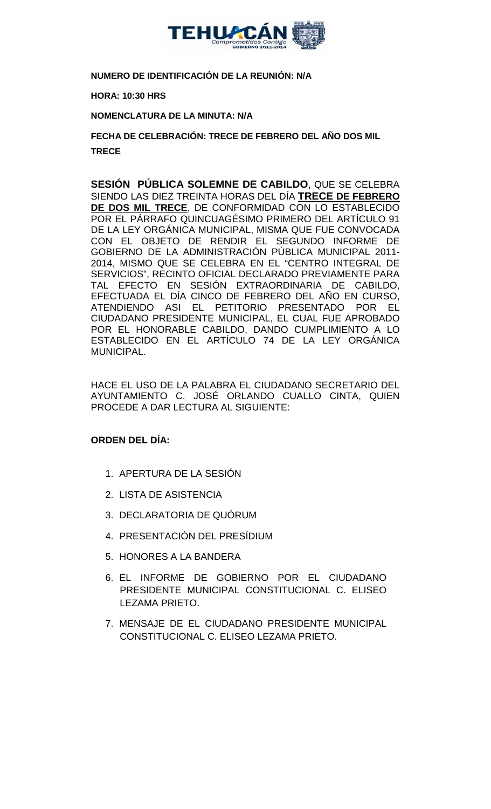

**NUMERO DE IDENTIFICACIÓN DE LA REUNIÓN: N/A**

**HORA: 10:30 HRS**

**NOMENCLATURA DE LA MINUTA: N/A**

**FECHA DE CELEBRACIÓN: TRECE DE FEBRERO DEL AÑO DOS MIL TRECE** 

**SESIÓN PÚBLICA SOLEMNE DE CABILDO**, QUE SE CELEBRA SIENDO LAS DIEZ TREINTA HORAS DEL DÍA **TRECE DE FEBRERO DE DOS MIL TRECE**, DE CONFORMIDAD CON LO ESTABLECIDO POR EL PÁRRAFO QUINCUAGÉSIMO PRIMERO DEL ARTÍCULO 91 DE LA LEY ORGÁNICA MUNICIPAL, MISMA QUE FUE CONVOCADA CON EL OBJETO DE RENDIR EL SEGUNDO INFORME DE GOBIERNO DE LA ADMINISTRACIÓN PÚBLICA MUNICIPAL 2011- 2014, MISMO QUE SE CELEBRA EN EL "CENTRO INTEGRAL DE SERVICIOS", RECINTO OFICIAL DECLARADO PREVIAMENTE PARA TAL EFECTO EN SESIÓN EXTRAORDINARIA DE CABILDO, EFECTUADA EL DÍA CINCO DE FEBRERO DEL AÑO EN CURSO, ATENDIENDO ASI EL PETITORIO PRESENTADO POR EL CIUDADANO PRESIDENTE MUNICIPAL, EL CUAL FUE APROBADO POR EL HONORABLE CABILDO, DANDO CUMPLIMIENTO A LO ESTABLECIDO EN EL ARTÍCULO 74 DE LA LEY ORGÁNICA MUNICIPAL.

HACE EL USO DE LA PALABRA EL CIUDADANO SECRETARIO DEL AYUNTAMIENTO C. JOSÉ ORLANDO CUALLO CINTA, QUIEN PROCEDE A DAR LECTURA AL SIGUIENTE:

# **ORDEN DEL DÍA:**

- 1. APERTURA DE LA SESIÓN
- 2. LISTA DE ASISTENCIA
- 3. DECLARATORIA DE QUÓRUM
- 4. PRESENTACIÓN DEL PRESÍDIUM
- 5. HONORES A LA BANDERA
- 6. EL INFORME DE GOBIERNO POR EL CIUDADANO PRESIDENTE MUNICIPAL CONSTITUCIONAL C. ELISEO LEZAMA PRIETO.
- 7. MENSAJE DE EL CIUDADANO PRESIDENTE MUNICIPAL CONSTITUCIONAL C. ELISEO LEZAMA PRIETO.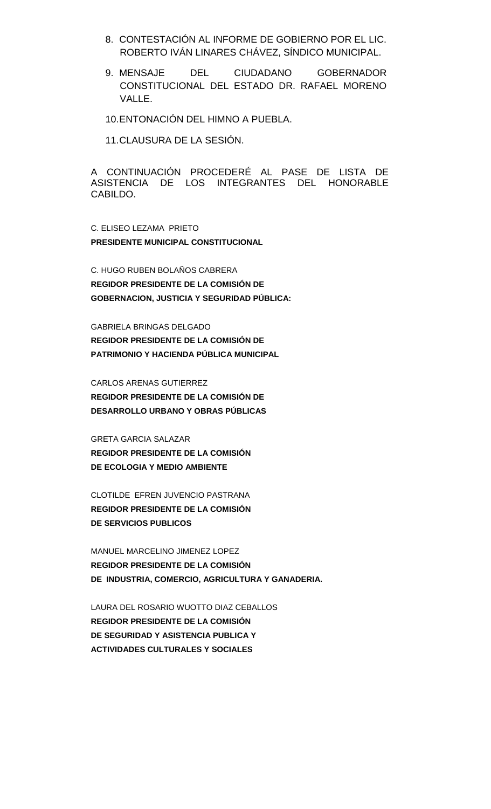- 8. CONTESTACIÓN AL INFORME DE GOBIERNO POR EL LIC. ROBERTO IVÁN LINARES CHÁVEZ, SÍNDICO MUNICIPAL.
- 9. MENSAJE DEL CIUDADANO GOBERNADOR CONSTITUCIONAL DEL ESTADO DR. RAFAEL MORENO VALLE.
- 10.ENTONACIÓN DEL HIMNO A PUEBLA.

11.CLAUSURA DE LA SESIÓN.

A CONTINUACIÓN PROCEDERÉ AL PASE DE LISTA DE ASISTENCIA DE LOS INTEGRANTES DEL HONORABLE CABILDO.

C. ELISEO LEZAMA PRIETO **PRESIDENTE MUNICIPAL CONSTITUCIONAL**

C. HUGO RUBEN BOLAÑOS CABRERA **REGIDOR PRESIDENTE DE LA COMISIÓN DE GOBERNACION, JUSTICIA Y SEGURIDAD PÚBLICA:**

GABRIELA BRINGAS DELGADO **REGIDOR PRESIDENTE DE LA COMISIÓN DE PATRIMONIO Y HACIENDA PÚBLICA MUNICIPAL**

CARLOS ARENAS GUTIERREZ

**REGIDOR PRESIDENTE DE LA COMISIÓN DE DESARROLLO URBANO Y OBRAS PÚBLICAS**

GRETA GARCIA SALAZAR

**REGIDOR PRESIDENTE DE LA COMISIÓN DE ECOLOGIA Y MEDIO AMBIENTE**

CLOTILDE EFREN JUVENCIO PASTRANA **REGIDOR PRESIDENTE DE LA COMISIÓN DE SERVICIOS PUBLICOS**

MANUEL MARCELINO JIMENEZ LOPEZ **REGIDOR PRESIDENTE DE LA COMISIÓN DE INDUSTRIA, COMERCIO, AGRICULTURA Y GANADERIA.**

LAURA DEL ROSARIO WUOTTO DIAZ CEBALLOS **REGIDOR PRESIDENTE DE LA COMISIÓN DE SEGURIDAD Y ASISTENCIA PUBLICA Y ACTIVIDADES CULTURALES Y SOCIALES**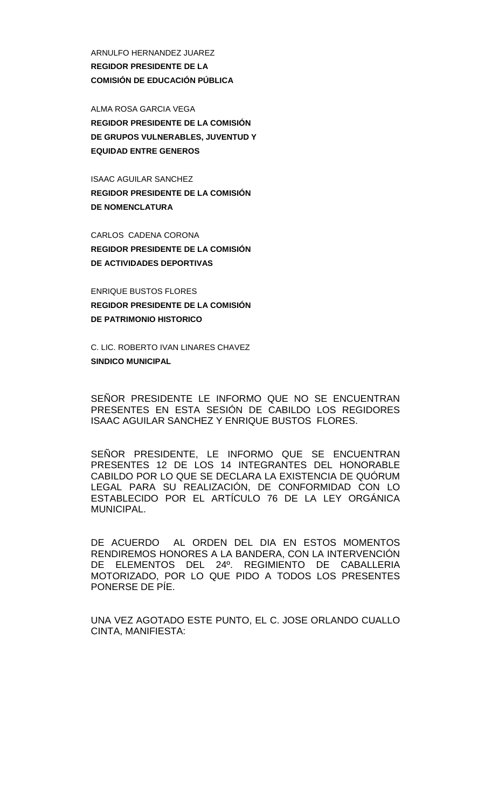ARNULFO HERNANDEZ JUAREZ **REGIDOR PRESIDENTE DE LA COMISIÓN DE EDUCACIÓN PÚBLICA**

ALMA ROSA GARCIA VEGA **REGIDOR PRESIDENTE DE LA COMISIÓN DE GRUPOS VULNERABLES, JUVENTUD Y EQUIDAD ENTRE GENEROS**

ISAAC AGUILAR SANCHEZ **REGIDOR PRESIDENTE DE LA COMISIÓN DE NOMENCLATURA**

CARLOS CADENA CORONA **REGIDOR PRESIDENTE DE LA COMISIÓN DE ACTIVIDADES DEPORTIVAS**

ENRIQUE BUSTOS FLORES **REGIDOR PRESIDENTE DE LA COMISIÓN DE PATRIMONIO HISTORICO**

C. LIC. ROBERTO IVAN LINARES CHAVEZ **SINDICO MUNICIPAL**

SEÑOR PRESIDENTE LE INFORMO QUE NO SE ENCUENTRAN PRESENTES EN ESTA SESIÓN DE CABILDO LOS REGIDORES ISAAC AGUILAR SANCHEZ Y ENRIQUE BUSTOS FLORES.

SEÑOR PRESIDENTE, LE INFORMO QUE SE ENCUENTRAN PRESENTES 12 DE LOS 14 INTEGRANTES DEL HONORABLE CABILDO POR LO QUE SE DECLARA LA EXISTENCIA DE QUÓRUM LEGAL PARA SU REALIZACIÓN, DE CONFORMIDAD CON LO ESTABLECIDO POR EL ARTÍCULO 76 DE LA LEY ORGÁNICA MUNICIPAL.

DE ACUERDO AL ORDEN DEL DIA EN ESTOS MOMENTOS RENDIREMOS HONORES A LA BANDERA, CON LA INTERVENCIÓN DE ELEMENTOS DEL 24º. REGIMIENTO DE CABALLERIA MOTORIZADO, POR LO QUE PIDO A TODOS LOS PRESENTES PONERSE DE PÍE.

UNA VEZ AGOTADO ESTE PUNTO, EL C. JOSE ORLANDO CUALLO CINTA, MANIFIESTA: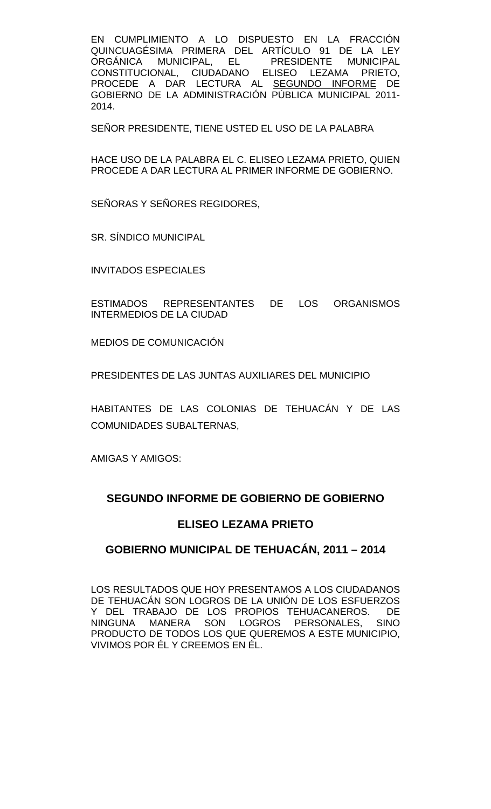EN CUMPLIMIENTO A LO DISPUESTO EN LA FRACCIÓN QUINCUAGÉSIMA PRIMERA DEL ARTÍCULO 91 DE LA LEY ORGÁNICA MUNICIPAL, EL PRESIDENTE MUNICIPAL CONSTITUCIONAL, CIUDADANO ELISEO LEZAMA PRIETO, PROCEDE A DAR LECTURA AL <u>SEGUNDO INFORME</u> DE GOBIERNO DE LA ADMINISTRACIÓN PÚBLICA MUNICIPAL 2011- 2014.

SEÑOR PRESIDENTE, TIENE USTED EL USO DE LA PALABRA

HACE USO DE LA PALABRA EL C. ELISEO LEZAMA PRIETO, QUIEN PROCEDE A DAR LECTURA AL PRIMER INFORME DE GOBIERNO.

SEÑORAS Y SEÑORES REGIDORES,

SR. SÍNDICO MUNICIPAL

INVITADOS ESPECIALES

ESTIMADOS REPRESENTANTES DE LOS ORGANISMOS INTERMEDIOS DE LA CIUDAD

MEDIOS DE COMUNICACIÓN

PRESIDENTES DE LAS JUNTAS AUXILIARES DEL MUNICIPIO

HABITANTES DE LAS COLONIAS DE TEHUACÁN Y DE LAS COMUNIDADES SUBALTERNAS,

AMIGAS Y AMIGOS:

# **SEGUNDO INFORME DE GOBIERNO DE GOBIERNO**

# **ELISEO LEZAMA PRIETO**

# **GOBIERNO MUNICIPAL DE TEHUACÁN, 2011 – 2014**

LOS RESULTADOS QUE HOY PRESENTAMOS A LOS CIUDADANOS DE TEHUACÁN SON LOGROS DE LA UNIÓN DE LOS ESFUERZOS Y DEL TRABAJO DE LOS PROPIOS TEHUACANEROS. DE NINGUNA MANERA SON LOGROS PERSONALES, SINO PRODUCTO DE TODOS LOS QUE QUEREMOS A ESTE MUNICIPIO, VIVIMOS POR ÉL Y CREEMOS EN ÉL.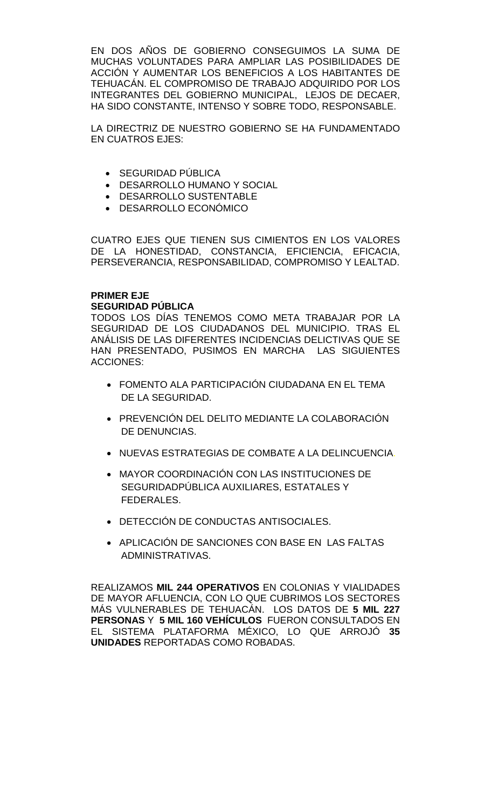EN DOS AÑOS DE GOBIERNO CONSEGUIMOS LA SUMA DE MUCHAS VOLUNTADES PARA AMPLIAR LAS POSIBILIDADES DE ACCIÓN Y AUMENTAR LOS BENEFICIOS A LOS HABITANTES DE TEHUACÁN. EL COMPROMISO DE TRABAJO ADQUIRIDO POR LOS INTEGRANTES DEL GOBIERNO MUNICIPAL, LEJOS DE DECAER, HA SIDO CONSTANTE, INTENSO Y SOBRE TODO, RESPONSABLE.

LA DIRECTRIZ DE NUESTRO GOBIERNO SE HA FUNDAMENTADO EN CUATROS EJES:

- SEGURIDAD PÚBLICA
- DESARROLLO HUMANO Y SOCIAL
- DESARROLLO SUSTENTABLE
- DESARROLLO ECONÓMICO

CUATRO EJES QUE TIENEN SUS CIMIENTOS EN LOS VALORES DE LA HONESTIDAD, CONSTANCIA, EFICIENCIA, EFICACIA, PERSEVERANCIA, RESPONSABILIDAD, COMPROMISO Y LEALTAD.

# **PRIMER EJE SEGURIDAD PÚBLICA**

TODOS LOS DÍAS TENEMOS COMO META TRABAJAR POR LA SEGURIDAD DE LOS CIUDADANOS DEL MUNICIPIO. TRAS EL ANÁLISIS DE LAS DIFERENTES INCIDENCIAS DELICTIVAS QUE SE HAN PRESENTADO, PUSIMOS EN MARCHA LAS SIGUIENTES ACCIONES:

- FOMENTO ALA PARTICIPACIÓN CIUDADANA EN EL TEMA DE LA SEGURIDAD.
- PREVENCIÓN DEL DELITO MEDIANTE LA COLABORACIÓN DE DENUNCIAS.
- NUEVAS ESTRATEGIAS DE COMBATE A LA DELINCUENCIA.
- MAYOR COORDINACIÓN CON LAS INSTITUCIONES DE SEGURIDADPÚBLICA AUXILIARES, ESTATALES Y FEDERALES.
- DETECCIÓN DE CONDUCTAS ANTISOCIALES.
- APLICACIÓN DE SANCIONES CON BASE EN LAS FALTAS ADMINISTRATIVAS.

REALIZAMOS **MIL 244 OPERATIVOS** EN COLONIAS Y VIALIDADES DE MAYOR AFLUENCIA, CON LO QUE CUBRIMOS LOS SECTORES MÁS VULNERABLES DE TEHUACÁN. LOS DATOS DE **5 MIL 227 PERSONAS** Y **5 MIL 160 VEHÍCULOS** FUERON CONSULTADOS EN EL SISTEMA PLATAFORMA MÉXICO, LO QUE ARROJÓ **35 UNIDADES** REPORTADAS COMO ROBADAS.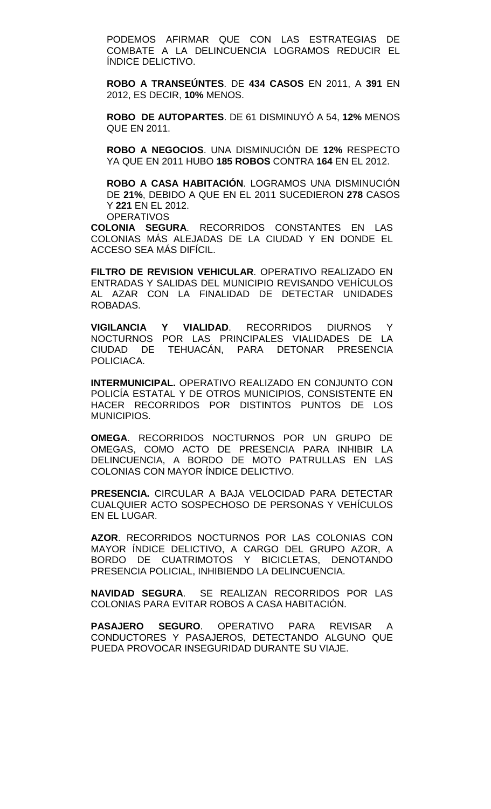PODEMOS AFIRMAR QUE CON LAS ESTRATEGIAS DE COMBATE A LA DELINCUENCIA LOGRAMOS REDUCIR EL ÍNDICE DELICTIVO.

**ROBO A TRANSEÚNTES**. DE **434 CASOS** EN 2011, A **391** EN 2012, ES DECIR, **10%** MENOS.

**ROBO DE AUTOPARTES**. DE 61 DISMINUYÓ A 54, **12%** MENOS QUE EN 2011.

**ROBO A NEGOCIOS**. UNA DISMINUCIÓN DE **12%** RESPECTO YA QUE EN 2011 HUBO **185 ROBOS** CONTRA **164** EN EL 2012.

**ROBO A CASA HABITACIÓN**. LOGRAMOS UNA DISMINUCIÓN DE **21%**, DEBIDO A QUE EN EL 2011 SUCEDIERON **278** CASOS Y **221** EN EL 2012. **OPERATIVOS** 

**COLONIA SEGURA**. RECORRIDOS CONSTANTES EN LAS COLONIAS MÁS ALEJADAS DE LA CIUDAD Y EN DONDE EL ACCESO SEA MÁS DIFÍCIL.

**FILTRO DE REVISION VEHICULAR**. OPERATIVO REALIZADO EN ENTRADAS Y SALIDAS DEL MUNICIPIO REVISANDO VEHÍCULOS AL AZAR CON LA FINALIDAD DE DETECTAR UNIDADES ROBADAS.

**VIGILANCIA Y VIALIDAD**. RECORRIDOS DIURNOS Y NOCTURNOS POR LAS PRINCIPALES VIALIDADES DE LA CIUDAD DE TEHUACÁN, PARA DETONAR PRESENCIA POLICIACA.

**INTERMUNICIPAL.** OPERATIVO REALIZADO EN CONJUNTO CON POLICÍA ESTATAL Y DE OTROS MUNICIPIOS, CONSISTENTE EN HACER RECORRIDOS POR DISTINTOS PUNTOS DE LOS MUNICIPIOS.

**OMEGA**. RECORRIDOS NOCTURNOS POR UN GRUPO DE OMEGAS, COMO ACTO DE PRESENCIA PARA INHIBIR LA DELINCUENCIA, A BORDO DE MOTO PATRULLAS EN LAS COLONIAS CON MAYOR ÍNDICE DELICTIVO.

**PRESENCIA.** CIRCULAR A BAJA VELOCIDAD PARA DETECTAR CUALQUIER ACTO SOSPECHOSO DE PERSONAS Y VEHÍCULOS EN EL LUGAR.

**AZOR**. RECORRIDOS NOCTURNOS POR LAS COLONIAS CON MAYOR ÍNDICE DELICTIVO, A CARGO DEL GRUPO AZOR, A BORDO DE CUATRIMOTOS Y BICICLETAS, DENOTANDO PRESENCIA POLICIAL, INHIBIENDO LA DELINCUENCIA.

**NAVIDAD SEGURA**. SE REALIZAN RECORRIDOS POR LAS COLONIAS PARA EVITAR ROBOS A CASA HABITACIÓN.

**PASAJERO SEGURO**. OPERATIVO PARA REVISAR A CONDUCTORES Y PASAJEROS, DETECTANDO ALGUNO QUE PUEDA PROVOCAR INSEGURIDAD DURANTE SU VIAJE.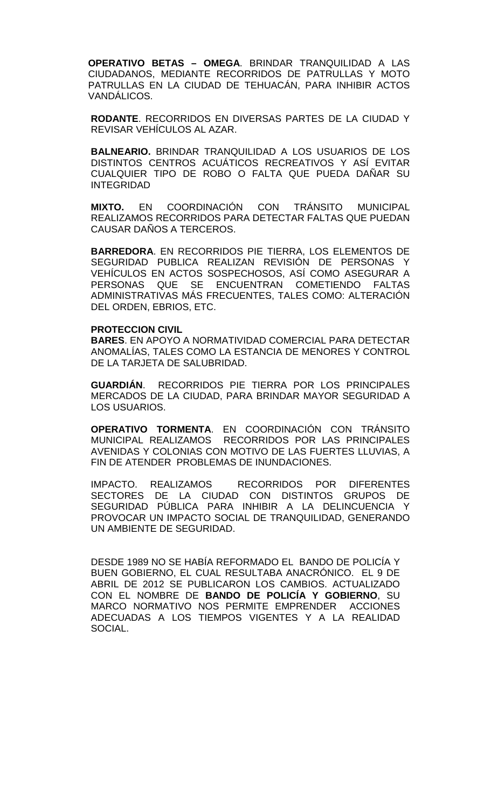**OPERATIVO BETAS – OMEGA**. BRINDAR TRANQUILIDAD A LAS CIUDADANOS, MEDIANTE RECORRIDOS DE PATRULLAS Y MOTO PATRULLAS EN LA CIUDAD DE TEHUACÁN, PARA INHIBIR ACTOS VANDÁLICOS.

**RODANTE**. RECORRIDOS EN DIVERSAS PARTES DE LA CIUDAD Y REVISAR VEHÍCULOS AL AZAR.

**BALNEARIO.** BRINDAR TRANQUILIDAD A LOS USUARIOS DE LOS DISTINTOS CENTROS ACUÁTICOS RECREATIVOS Y ASÍ EVITAR CUALQUIER TIPO DE ROBO O FALTA QUE PUEDA DAÑAR SU INTEGRIDAD

**MIXTO.** EN COORDINACIÓN CON TRÁNSITO MUNICIPAL REALIZAMOS RECORRIDOS PARA DETECTAR FALTAS QUE PUEDAN CAUSAR DAÑOS A TERCEROS.

**BARREDORA**. EN RECORRIDOS PIE TIERRA, LOS ELEMENTOS DE SEGURIDAD PUBLICA REALIZAN REVISIÓN DE PERSONAS Y VEHÍCULOS EN ACTOS SOSPECHOSOS, ASÍ COMO ASEGURAR A PERSONAS QUE SE ENCUENTRAN COMETIENDO FALTAS ADMINISTRATIVAS MÁS FRECUENTES, TALES COMO: ALTERACIÓN DEL ORDEN, EBRIOS, ETC.

#### **PROTECCION CIVIL**

**BARES**. EN APOYO A NORMATIVIDAD COMERCIAL PARA DETECTAR ANOMALÍAS, TALES COMO LA ESTANCIA DE MENORES Y CONTROL DE LA TARJETA DE SALUBRIDAD.

**GUARDIÁN**. RECORRIDOS PIE TIERRA POR LOS PRINCIPALES MERCADOS DE LA CIUDAD, PARA BRINDAR MAYOR SEGURIDAD A LOS USUARIOS.

**OPERATIVO TORMENTA**. EN COORDINACIÓN CON TRÁNSITO MUNICIPAL REALIZAMOS RECORRIDOS POR LAS PRINCIPALES AVENIDAS Y COLONIAS CON MOTIVO DE LAS FUERTES LLUVIAS, A FIN DE ATENDER PROBLEMAS DE INUNDACIONES.

IMPACTO. REALIZAMOS RECORRIDOS POR DIFERENTES SECTORES DE LA CIUDAD CON DISTINTOS GRUPOS DE SEGURIDAD PÚBLICA PARA INHIBIR A LA DELINCUENCIA Y PROVOCAR UN IMPACTO SOCIAL DE TRANQUILIDAD, GENERANDO UN AMBIENTE DE SEGURIDAD.

DESDE 1989 NO SE HABÍA REFORMADO EL BANDO DE POLICÍA Y BUEN GOBIERNO, EL CUAL RESULTABA ANACRÓNICO. EL 9 DE ABRIL DE 2012 SE PUBLICARON LOS CAMBIOS. ACTUALIZADO CON EL NOMBRE DE **BANDO DE POLICÍA Y GOBIERNO**, SU MARCO NORMATIVO NOS PERMITE EMPRENDER ACCIONES ADECUADAS A LOS TIEMPOS VIGENTES Y A LA REALIDAD SOCIAL.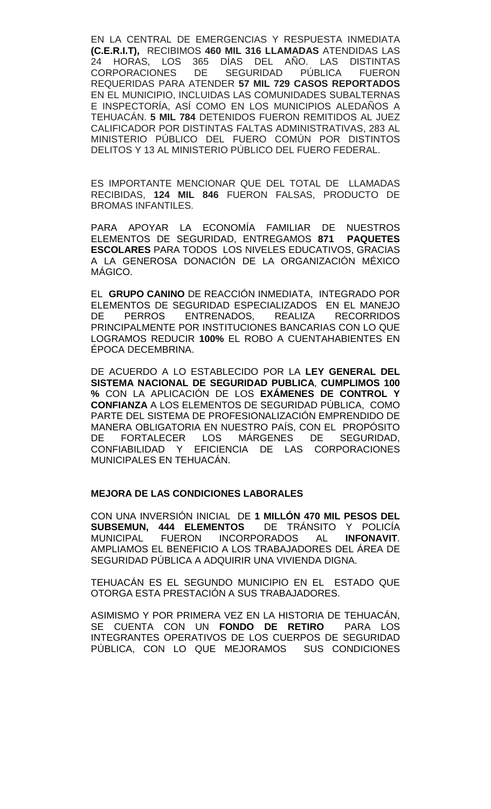EN LA CENTRAL DE EMERGENCIAS Y RESPUESTA INMEDIATA **(C.E.R.I.T),** RECIBIMOS **460 MIL 316 LLAMADAS** ATENDIDAS LAS 24 HORAS, LOS 365 DÍAS DEL AÑO. LAS DISTINTAS CORPORACIONES DE SEGURIDAD PÚBLICA FUERON REQUERIDAS PARA ATENDER **57 MIL 729 CASOS REPORTADOS** EN EL MUNICIPIO, INCLUIDAS LAS COMUNIDADES SUBALTERNAS E INSPECTORÍA, ASÍ COMO EN LOS MUNICIPIOS ALEDAÑOS A TEHUACÁN. **5 MIL 784** DETENIDOS FUERON REMITIDOS AL JUEZ CALIFICADOR POR DISTINTAS FALTAS ADMINISTRATIVAS, 283 AL MINISTERIO PÚBLICO DEL FUERO COMÚN POR DISTINTOS DELITOS Y 13 AL MINISTERIO PÚBLICO DEL FUERO FEDERAL.

ES IMPORTANTE MENCIONAR QUE DEL TOTAL DE LLAMADAS RECIBIDAS, **124 MIL 846** FUERON FALSAS, PRODUCTO DE BROMAS INFANTILES.

PARA APOYAR LA ECONOMÍA FAMILIAR DE NUESTROS ELEMENTOS DE SEGURIDAD, ENTREGAMOS **871 PAQUETES ESCOLARES** PARA TODOS LOS NIVELES EDUCATIVOS, GRACIAS A LA GENEROSA DONACIÓN DE LA ORGANIZACIÓN MÉXICO MÁGICO.

EL **GRUPO CANINO** DE REACCIÓN INMEDIATA, INTEGRADO POR ELEMENTOS DE SEGURIDAD ESPECIALIZADOS EN EL MANEJO<br>DE PERROS ENTRENADOS, REALIZA RECORRIDOS DE PERROS ENTRENADOS, REALIZA RECORRIDOS PRINCIPALMENTE POR INSTITUCIONES BANCARIAS CON LO QUE LOGRAMOS REDUCIR **100%** EL ROBO A CUENTAHABIENTES EN ÉPOCA DECEMBRINA.

DE ACUERDO A LO ESTABLECIDO POR LA **LEY GENERAL DEL SISTEMA NACIONAL DE SEGURIDAD PUBLICA**, **CUMPLIMOS 100 %** CON LA APLICACIÓN DE LOS **EXÁMENES DE CONTROL Y CONFIANZA** A LOS ELEMENTOS DE SEGURIDAD PÚBLICA, COMO PARTE DEL SISTEMA DE PROFESIONALIZACIÓN EMPRENDIDO DE MANERA OBLIGATORIA EN NUESTRO PAÍS, CON EL PROPÓSITO MÁRGENES DE CONFIABILIDAD Y EFICIENCIA DE LAS CORPORACIONES MUNICIPALES EN TEHUACÁN.

### **MEJORA DE LAS CONDICIONES LABORALES**

CON UNA INVERSIÓN INICIAL DE **1 MILLÓN 470 MIL PESOS DEL SUBSEMUN, 444 ELEMENTOS** DE TRÁNSITO Y POLICÍA MUNICIPAL FUERON INCORPORADOS AMPLIAMOS EL BENEFICIO A LOS TRABAJADORES DEL ÁREA DE SEGURIDAD PÚBLICA A ADQUIRIR UNA VIVIENDA DIGNA.

TEHUACÁN ES EL SEGUNDO MUNICIPIO EN EL ESTADO QUE OTORGA ESTA PRESTACIÓN A SUS TRABAJADORES.

ASIMISMO Y POR PRIMERA VEZ EN LA HISTORIA DE TEHUACÁN, SE CUENTA CON UN **FONDO DE RETIRO** PARA LOS INTEGRANTES OPERATIVOS DE LOS CUERPOS DE SEGURIDAD PÚBLICA, CON LO QUE MEJORAMOS SUS CONDICIONES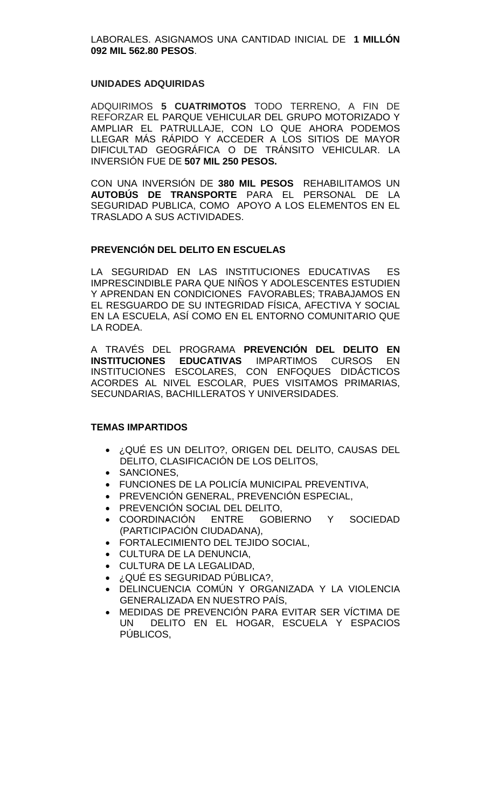LABORALES. ASIGNAMOS UNA CANTIDAD INICIAL DE **1 MILLÓN 092 MIL 562.80 PESOS**.

#### **UNIDADES ADQUIRIDAS**

ADQUIRIMOS **5 CUATRIMOTOS** TODO TERRENO, A FIN DE REFORZAR EL PARQUE VEHICULAR DEL GRUPO MOTORIZADO Y AMPLIAR EL PATRULLAJE, CON LO QUE AHORA PODEMOS LLEGAR MÁS RÁPIDO Y ACCEDER A LOS SITIOS DE MAYOR DIFICULTAD GEOGRÁFICA O DE TRÁNSITO VEHICULAR. LA INVERSIÓN FUE DE **507 MIL 250 PESOS.**

CON UNA INVERSIÓN DE **380 MIL PESOS** REHABILITAMOS UN **AUTOBÚS DE TRANSPORTE** PARA EL PERSONAL DE LA SEGURIDAD PUBLICA, COMO APOYO A LOS ELEMENTOS EN EL TRASLADO A SUS ACTIVIDADES.

# **PREVENCIÓN DEL DELITO EN ESCUELAS**

LA SEGURIDAD EN LAS INSTITUCIONES EDUCATIVAS ES IMPRESCINDIBLE PARA QUE NIÑOS Y ADOLESCENTES ESTUDIEN Y APRENDAN EN CONDICIONES FAVORABLES; TRABAJAMOS EN EL RESGUARDO DE SU INTEGRIDAD FÍSICA, AFECTIVA Y SOCIAL EN LA ESCUELA, ASÍ COMO EN EL ENTORNO COMUNITARIO QUE LA RODEA.

A TRAVÉS DEL PROGRAMA **PREVENCIÓN DEL DELITO EN INSTITUCIONES EDUCATIVAS** IMPARTIMOS CURSOS EN INSTITUCIONES ESCOLARES, CON ENFOQUES DIDÁCTICOS ACORDES AL NIVEL ESCOLAR, PUES VISITAMOS PRIMARIAS, SECUNDARIAS, BACHILLERATOS Y UNIVERSIDADES.

#### **TEMAS IMPARTIDOS**

- ¿QUÉ ES UN DELITO?, ORIGEN DEL DELITO, CAUSAS DEL DELITO, CLASIFICACIÓN DE LOS DELITOS,
- SANCIONES,
- FUNCIONES DE LA POLICÍA MUNICIPAL PREVENTIVA,
- PREVENCIÓN GENERAL, PREVENCIÓN ESPECIAL,
- PREVENCIÓN SOCIAL DEL DELITO,
- COORDINACIÓN ENTRE GOBIERNO Y SOCIEDAD (PARTICIPACIÓN CIUDADANA),
- FORTALECIMIENTO DEL TEJIDO SOCIAL,
- CULTURA DE LA DENUNCIA,
- CULTURA DE LA LEGALIDAD,
- ¿QUÉ ES SEGURIDAD PÚBLICA?,
- DELINCUENCIA COMÚN Y ORGANIZADA Y LA VIOLENCIA GENERALIZADA EN NUESTRO PAÍS,
- MEDIDAS DE PREVENCIÓN PARA EVITAR SER VÍCTIMA DE UN DELITO EN EL HOGAR, ESCUELA Y ESPACIOS PÚBLICOS,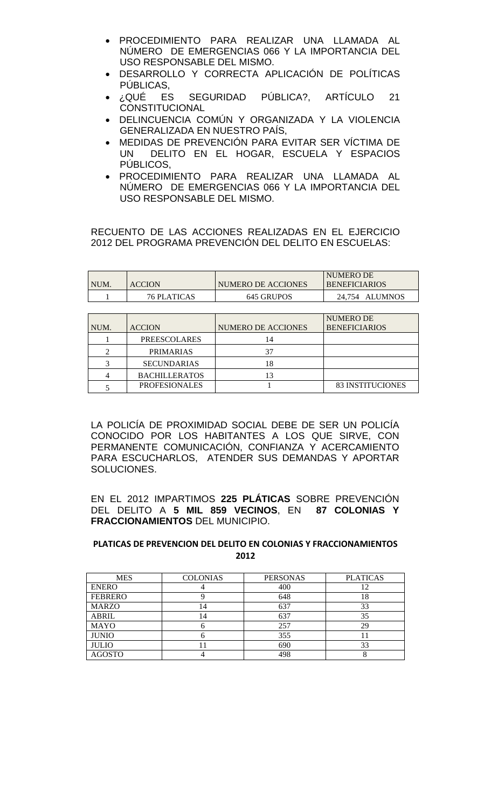- PROCEDIMIENTO PARA REALIZAR UNA LLAMADA AL NÚMERO DE EMERGENCIAS 066 Y LA IMPORTANCIA DEL USO RESPONSABLE DEL MISMO.
- DESARROLLO Y CORRECTA APLICACIÓN DE POLÍTICAS
- PÚBLICAS,<br>CQUÉ ES⊌ SEGURIDAD PÚBLICA?, ARTÍCULO 21 **CONSTITUCIONAL**
- DELINCUENCIA COMÚN Y ORGANIZADA Y LA VIOLENCIA GENERALIZADA EN NUESTRO PAÍS,
- MEDIDAS DE PREVENCIÓN PARA EVITAR SER VÍCTIMA DE DELITO EN EL HOGAR, ESCUELA Y ESPACIOS PÚBLICOS,
- PROCEDIMIENTO PARA REALIZAR UNA LLAMADA AL NÚMERO DE EMERGENCIAS 066 Y LA IMPORTANCIA DEL USO RESPONSABLE DEL MISMO.

RECUENTO DE LAS ACCIONES REALIZADAS EN EL EJERCICIO 2012 DEL PROGRAMA PREVENCIÓN DEL DELITO EN ESCUELAS:

| <b>NUM</b> | <b>ACCION</b>      | NUMERO DE ACCIONES | NUMERO DE<br><b>BENEFICIARIOS</b> |
|------------|--------------------|--------------------|-----------------------------------|
|            | <b>76 PLATICAS</b> | 645 GRUPOS         | 24.754 ALUMNOS                    |

| NUM. | <b>ACCION</b>        | NUMERO DE ACCIONES | <b>NUMERO DE</b><br><b>BENEFICIARIOS</b> |
|------|----------------------|--------------------|------------------------------------------|
|      | <b>PREESCOLARES</b>  | 14                 |                                          |
| ⌒    | <b>PRIMARIAS</b>     | 37                 |                                          |
| ⌒    | <b>SECUNDARIAS</b>   | 18                 |                                          |
|      | <b>BACHILLERATOS</b> |                    |                                          |
|      | <b>PROFESIONALES</b> |                    | <b>83 INSTITUCIONES</b>                  |

LA POLICÍA DE PROXIMIDAD SOCIAL DEBE DE SER UN POLICÍA CONOCIDO POR LOS HABITANTES A LOS QUE SIRVE, CON PERMANENTE COMUNICACIÓN, CONFIANZA Y ACERCAMIENTO PARA ESCUCHARLOS, ATENDER SUS DEMANDAS Y APORTAR SOLUCIONES.

EN EL 2012 IMPARTIMOS **225 PLÁTICAS** SOBRE PREVENCIÓN DEL DELITO A **5 MIL 859 VECINOS**, EN **87 COLONIAS Y FRACCIONAMIENTOS** DEL MUNICIPIO.

# **PLATICAS DE PREVENCION DEL DELITO EN COLONIAS Y FRACCIONAMIENTOS 2012**

| <b>MES</b>     | <b>COLONIAS</b> | <b>PERSONAS</b> | <b>PLATICAS</b> |
|----------------|-----------------|-----------------|-----------------|
| <b>ENERO</b>   |                 | 400             |                 |
| <b>FEBRERO</b> |                 | 648             | 18              |
| <b>MARZO</b>   | 14              | 637             | 33              |
| <b>ABRIL</b>   | 14              | 637             | 35              |
| <b>MAYO</b>    |                 | 257             | 29              |
| <b>JUNIO</b>   |                 | 355             |                 |
| <b>JULIO</b>   |                 | 690             | 33              |
| <b>AGOSTO</b>  |                 | 498             |                 |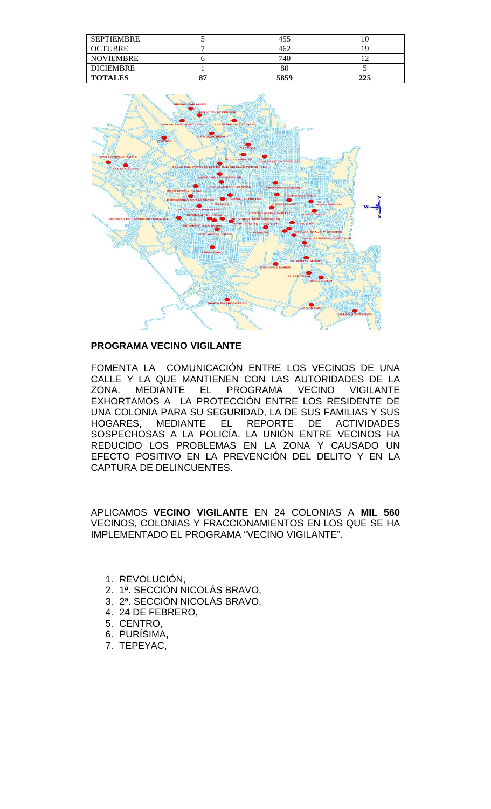| <b>SEPTIEMBRE</b> | 455  |     |
|-------------------|------|-----|
| <b>OCTUBRE</b>    | 462  |     |
| <b>NOVIEMBRE</b>  | 740  |     |
| <b>DICIEMBRE</b>  | 80   |     |
| <b>TOTALES</b>    | 5859 | つつら |



# **PROGRAMA VECINO VIGILANTE**

FOMENTA LA COMUNICACIÓN ENTRE LOS VECINOS DE UNA CALLE Y LA QUE MANTIENEN CON LAS AUTORIDADES DE LA<br>ZONA. MEDIANTE EL PROGRAMA VECINO VIGILANTE ZONA. MEDIANTE EL PROGRAMA VECINO VIGILANTE EXHORTAMOS A LA PROTECCIÓN ENTRE LOS RESIDENTE DE UNA COLONIA PARA SU SEGURIDAD, LA DE SUS FAMILIAS Y SUS HOGARES, MEDIANTE EL REPORTE DE ACTIVIDADES SOSPECHOSAS A LA POLICIA. LA UNION ENTRE VECINOS HA REDUCIDO LOS PROBLEMAS EN LA ZONA Y CAUSADO UN EFECTO POSITIVO EN LA PREVENCIÓN DEL DELITO Y EN LA CAPTURA DE DELINCUENTES.

APLICAMOS **VECINO VIGILANTE** EN 24 COLONIAS A **MIL 560** VECINOS, COLONIAS Y FRACCIONAMIENTOS EN LOS QUE SE HA IMPLEMENTADO EL PROGRAMA "VECINO VIGILANTE".

- 1. REVOLUCIÓN,
- 2. 1ª. SECCIÓN NICOLÁS BRAVO,
- 3. 2ª. SECCIÓN NICOLÁS BRAVO,
- 4. 24 DE FEBRERO,
- 5. CENTRO,
- 6. PURÍSIMA,
- 7. TEPEYAC,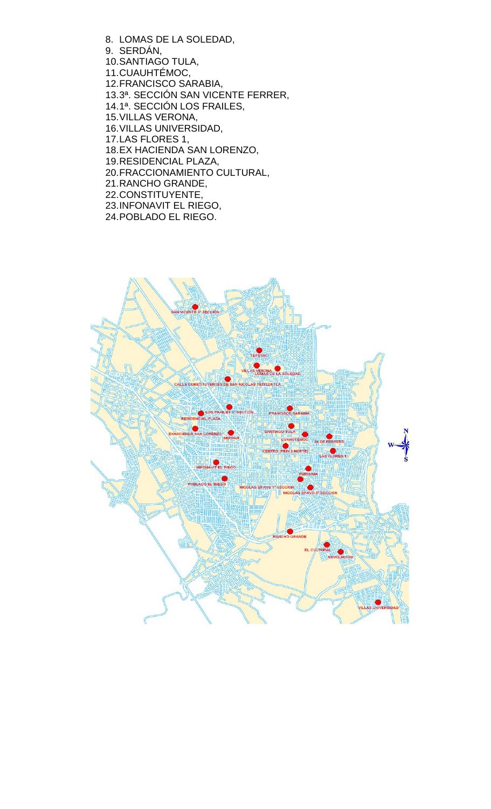- 8. LOMAS DE LA SOLEDAD, 9. SERDÁN, 10.SANTIAGO TULA, 11.CUAUHTÉMOC, 12.FRANCISCO SARABIA, 13.3ª. SECCIÓN SAN VICENTE FERRER, 14.1ª. SECCIÓN LOS FRAILES, 15.VILLAS VERONA, 16.VILLAS UNIVERSIDAD, 17.LAS FLORES 1, 18.EX HACIENDA SAN LORENZO, 19.RESIDENCIAL PLAZA, 20.FRACCIONAMIENTO CULTURAL, 21.RANCHO GRANDE,
- 22.CONSTITUYENTE, 23.INFONAVIT EL RIEGO,
- 24.POBLADO EL RIEGO.

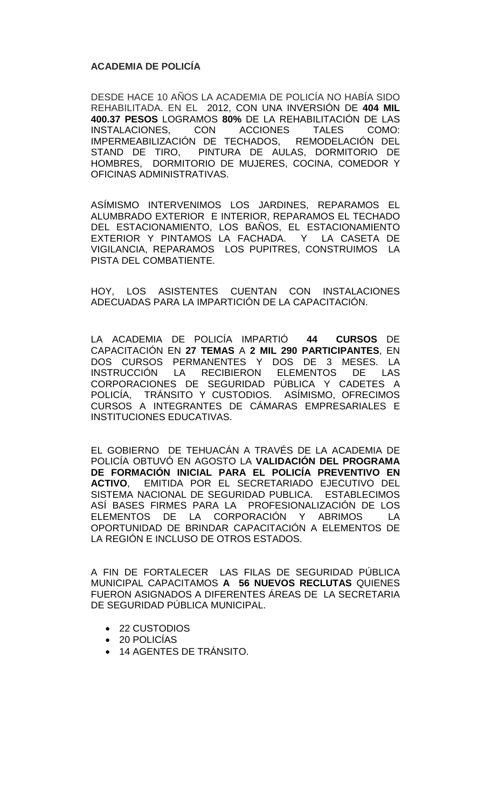# **ACADEMIA DE POLICÍA**

DESDE HACE 10 AÑOS LA ACADEMIA DE POLICÍA NO HABÍA SIDO REHABILITADA. EN EL 2012, CON UNA INVERSIÓN DE **404 MIL 400.37 PESOS** LOGRAMOS **80%** DE LA REHABILITACIÓN DE LAS INSTALACIONES, IMPERMEABILIZACIÓN DE TECHADOS, REMODELACIÓN DEL STAND DE TIRO, PINTURA DE AULAS, DORMITORIO DE HOMBRES, DORMITORIO DE MUJERES, COCINA, COMEDOR Y OFICINAS ADMINISTRATIVAS.

ASÍMISMO INTERVENIMOS LOS JARDINES, REPARAMOS EL ALUMBRADO EXTERIOR E INTERIOR, REPARAMOS EL TECHADO DEL ESTACIONAMIENTO, LOS BAÑOS, EL ESTACIONAMIENTO EXTERIOR Y PINTAMOS LA FACHADA. Y LA CASETA DE VIGILANCIA, REPARAMOS LOS PUPITRES, CONSTRUIMOS LA PISTA DEL COMBATIENTE.

HOY, LOS ASISTENTES CUENTAN CON INSTALACIONES ADECUADAS PARA LA IMPARTICIÓN DE LA CAPACITACIÓN.

LA ACADEMIA DE POLICÍA IMPARTIÓ **44 CURSOS** DE CAPACITACIÓN EN **27 TEMAS** A **2 MIL 290 PARTICIPANTES**, EN DOS CURSOS PERMANENTES Y DOS DE 3 MESES. LA INSTRUCCIÓN LA RECIBIERON ELEMENTOS DE LAS CORPORACIONES DE SEGURIDAD PÚBLICA Y CADETES A POLICÍA, TRÁNSITO Y CUSTODIOS. ASÍMISMO, OFRECIMOS CURSOS A INTEGRANTES DE CÁMARAS EMPRESARIALES E INSTITUCIONES EDUCATIVAS.

EL GOBIERNO DE TEHUACÁN A TRAVÉS DE LA ACADEMIA DE POLICÍA OBTUVÓ EN AGOSTO LA **VALIDACIÓN DEL PROGRAMA DE FORMACIÓN INICIAL PARA EL POLICÍA PREVENTIVO EN ACTIVO**, EMITIDA POR EL SECRETARIADO EJECUTIVO DEL SISTEMA NACIONAL DE SEGURIDAD PUBLICA. ESTABLECIMOS ASÍ BASES FIRMES PARA LA PROFESIONALIZACIÓN DE LOS ELEMENTOS DE LA CORPORACIÓN Y ABRIMOS LA OPORTUNIDAD DE BRINDAR CAPACITACIÓN A ELEMENTOS DE LA REGIÓN E INCLUSO DE OTROS ESTADOS.

A FIN DE FORTALECER LAS FILAS DE SEGURIDAD PÚBLICA MUNICIPAL CAPACITAMOS **A 56 NUEVOS RECLUTAS** QUIENES FUERON ASIGNADOS A DIFERENTES ÁREAS DE LA SECRETARIA DE SEGURIDAD PÚBLICA MUNICIPAL.

- 22 CUSTODIOS
- 20 POLICÍAS
- 14 AGENTES DE TRÁNSITO.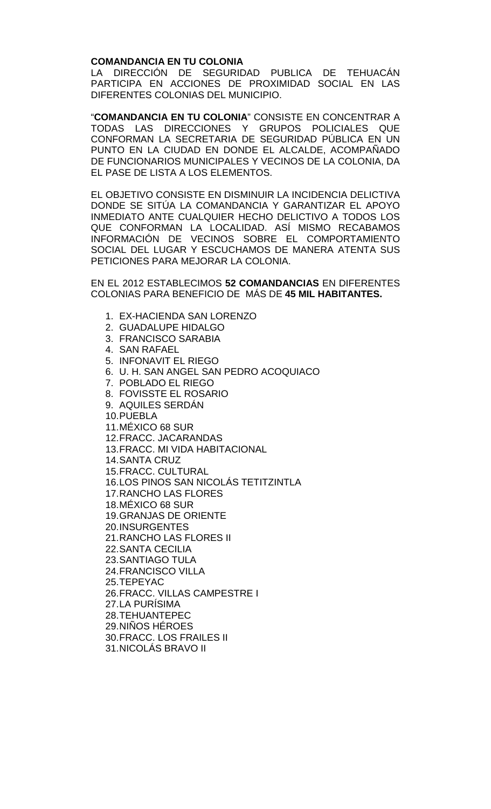#### **COMANDANCIA EN TU COLONIA**

LA DIRECCIÓN DE SEGURIDAD PUBLICA DE TEHUACÁN PARTICIPA EN ACCIONES DE PROXIMIDAD SOCIAL EN LAS DIFERENTES COLONIAS DEL MUNICIPIO.

"**COMANDANCIA EN TU COLONIA**" CONSISTE EN CONCENTRAR A TODAS LAS DIRECCIONES Y GRUPOS POLICIALES QUE CONFORMAN LA SECRETARIA DE SEGURIDAD PÚBLICA EN UN PUNTO EN LA CIUDAD EN DONDE EL ALCALDE, ACOMPAÑADO DE FUNCIONARIOS MUNICIPALES Y VECINOS DE LA COLONIA, DA EL PASE DE LISTA A LOS ELEMENTOS.

EL OBJETIVO CONSISTE EN DISMINUIR LA INCIDENCIA DELICTIVA DONDE SE SITÚA LA COMANDANCIA Y GARANTIZAR EL APOYO INMEDIATO ANTE CUALQUIER HECHO DELICTIVO A TODOS LOS QUE CONFORMAN LA LOCALIDAD. ASÍ MISMO RECABAMOS INFORMACIÓN DE VECINOS SOBRE EL COMPORTAMIENTO SOCIAL DEL LUGAR Y ESCUCHAMOS DE MANERA ATENTA SUS PETICIONES PARA MEJORAR LA COLONIA.

EN EL 2012 ESTABLECIMOS **52 COMANDANCIAS** EN DIFERENTES COLONIAS PARA BENEFICIO DE MÁS DE **45 MIL HABITANTES.** 

- 1. EX-HACIENDA SAN LORENZO
- 2. GUADALUPE HIDALGO
- 3. FRANCISCO SARABIA
- 4. SAN RAFAEL
- 5. INFONAVIT EL RIEGO
- 6. U. H. SAN ANGEL SAN PEDRO ACOQUIACO
- 7. POBLADO EL RIEGO
- 8. FOVISSTE EL ROSARIO
- 9. AQUILES SERDÁN
- 10.PUEBLA
- 11.MÉXICO 68 SUR
- 12.FRACC. JACARANDAS
- 13.FRACC. MI VIDA HABITACIONAL
- 14.SANTA CRUZ
- 15.FRACC. CULTURAL
- 16.LOS PINOS SAN NICOLÁS TETITZINTLA
- 17.RANCHO LAS FLORES
- 18.MÉXICO 68 SUR
- 19.GRANJAS DE ORIENTE
- 20.INSURGENTES
- 21.RANCHO LAS FLORES II
- 22.SANTA CECILIA
- 23.SANTIAGO TULA
- 24.FRANCISCO VILLA
- 25.TEPEYAC
- 26.FRACC. VILLAS CAMPESTRE I
- 27.LA PURÍSIMA
- 28.TEHUANTEPEC
- 29.NIÑOS HÉROES
- 30.FRACC. LOS FRAILES II
- 31.NICOLÁS BRAVO II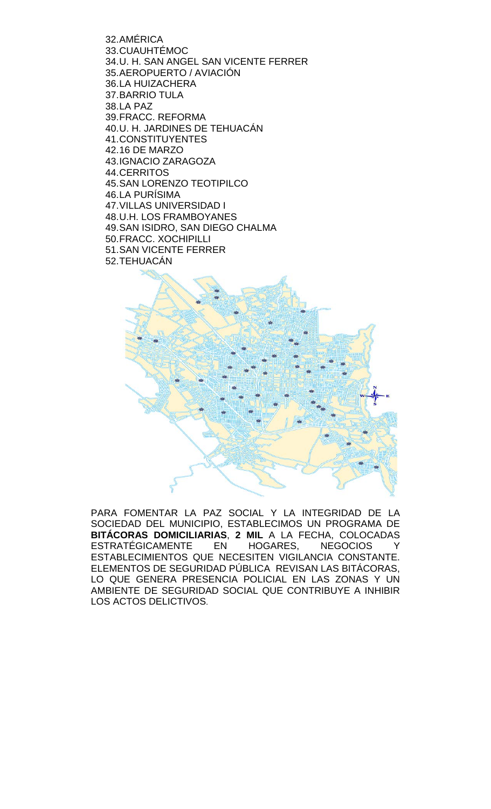32.AMÉRICA 33.CUAUHTÉMOC 34.U. H. SAN ANGEL SAN VICENTE FERRER 35.AEROPUERTO / AVIACIÓN 36.LA HUIZACHERA 37.BARRIO TULA 38.LA PAZ 39.FRACC. REFORMA 40.U. H. JARDINES DE TEHUACÁN 41.CONSTITUYENTES 42.16 DE MARZO 43.IGNACIO ZARAGOZA 44.CERRITOS 45.SAN LORENZO TEOTIPILCO 46.LA PURÍSIMA 47.VILLAS UNIVERSIDAD I 48.U.H. LOS FRAMBOYANES 49.SAN ISIDRO, SAN DIEGO CHALMA 50.FRACC. XOCHIPILLI 51.SAN VICENTE FERRER 52.TEHUACÁN



PARA FOMENTAR LA PAZ SOCIAL Y LA INTEGRIDAD DE LA SOCIEDAD DEL MUNICIPIO, ESTABLECIMOS UN PROGRAMA DE **BITÁCORAS DOMICILIARIAS**, **2 MIL** A LA FECHA, COLOCADAS ESTRATÉGICAMENTE EN HOGARES, NEGOCIOS Y ESTABLECIMIENTOS QUE NECESITEN VIGILANCIA CONSTANTE. ELEMENTOS DE SEGURIDAD PÚBLICA REVISAN LAS BITÁCORAS, LO QUE GENERA PRESENCIA POLICIAL EN LAS ZONAS Y UN AMBIENTE DE SEGURIDAD SOCIAL QUE CONTRIBUYE A INHIBIR LOS ACTOS DELICTIVOS.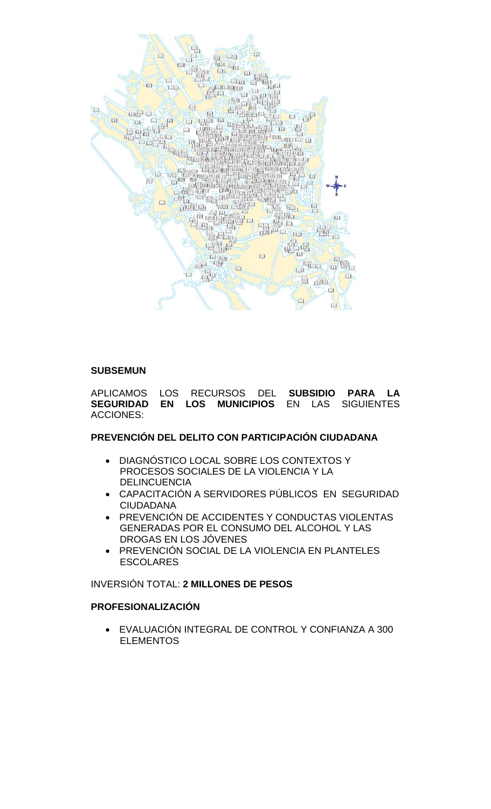

#### **SUBSEMUN**

APLICAMOS LOS RECURSOS DEL **SUBSIDIO PARA LA**  SEGURIDAD EN LOS MUNICIPIOS ACCIONES:

# **PREVENCIÓN DEL DELITO CON PARTICIPACIÓN CIUDADANA**

- DIAGNÓSTICO LOCAL SOBRE LOS CONTEXTOS Y PROCESOS SOCIALES DE LA VIOLENCIA Y LA DELINCUENCIA
- CAPACITACIÓN A SERVIDORES PÚBLICOS EN SEGURIDAD CIUDADANA
- PREVENCIÓN DE ACCIDENTES Y CONDUCTAS VIOLENTAS GENERADAS POR EL CONSUMO DEL ALCOHOL Y LAS DROGAS EN LOS JÓVENES
- PREVENCIÓN SOCIAL DE LA VIOLENCIA EN PLANTELES ESCOLARES

# INVERSIÓN TOTAL: **2 MILLONES DE PESOS**

# **PROFESIONALIZACIÓN**

• EVALUACIÓN INTEGRAL DE CONTROL Y CONFIANZA A 300 ELEMENTOS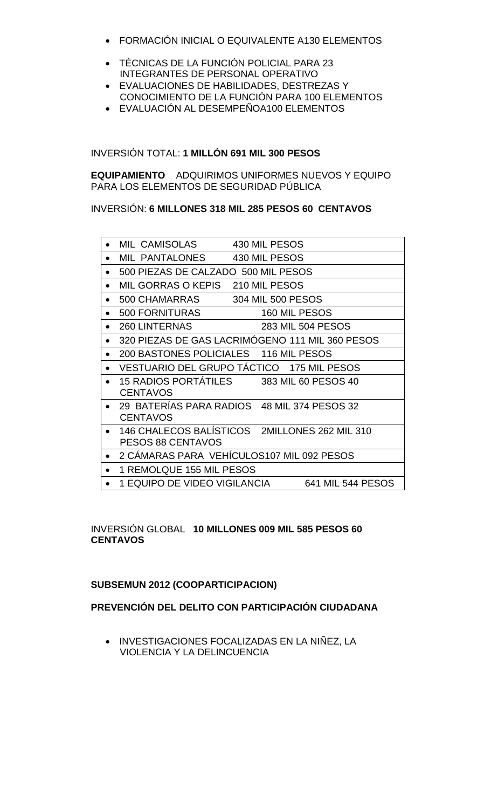- FORMACIÓN INICIAL O EQUIVALENTE A130 ELEMENTOS
- TÉCNICAS DE LA FUNCIÓN POLICIAL PARA 23 INTEGRANTES DE PERSONAL OPERATIVO
- EVALUACIONES DE HABILIDADES, DESTREZAS Y CONOCIMIENTO DE LA FUNCIÓN PARA 100 ELEMENTOS
- EVALUACIÓN AL DESEMPEÑOA100 ELEMENTOS

INVERSIÓN TOTAL: **1 MILLÓN 691 MIL 300 PESOS**

**EQUIPAMIENTO** ADQUIRIMOS UNIFORMES NUEVOS Y EQUIPO PARA LOS ELEMENTOS DE SEGURIDAD PÚBLICA

INVERSIÓN: **6 MILLONES 318 MIL 285 PESOS 60 CENTAVOS** 

|           | MIL CAMISOLAS                                                      | 430 MIL PESOS     |                   |
|-----------|--------------------------------------------------------------------|-------------------|-------------------|
|           | MIL PANTALONES                                                     | 430 MIL PESOS     |                   |
| $\bullet$ | 500 PIEZAS DE CALZADO 500 MIL PESOS                                |                   |                   |
|           | MIL GORRAS O KEPIS 210 MIL PESOS                                   |                   |                   |
| $\bullet$ | 500 CHAMARRAS                                                      | 304 MIL 500 PESOS |                   |
| $\bullet$ | <b>500 FORNITURAS</b>                                              | 160 MIL PESOS     |                   |
|           | <b>260 LINTERNAS</b>                                               |                   | 283 MIL 504 PESOS |
|           | 320 PIEZAS DE GAS LACRIMÓGENO 111 MIL 360 PESOS                    |                   |                   |
| $\bullet$ | 200 BASTONES POLICIALES 116 MIL PESOS                              |                   |                   |
|           | VESTUARIO DEL GRUPO TÁCTICO 175 MIL PESOS                          |                   |                   |
|           | 15 RADIOS PORTÁTILES 383 MIL 60 PESOS 40<br><b>CENTAVOS</b>        |                   |                   |
|           | 29 BATERÍAS PARA RADIOS 48 MIL 374 PESOS 32<br><b>CENTAVOS</b>     |                   |                   |
| $\bullet$ | 146 CHALECOS BALÍSTICOS 2MILLONES 262 MIL 310<br>PESOS 88 CENTAVOS |                   |                   |
| $\bullet$ | 2 CÁMARAS PARA VEHÍCULOS107 MIL 092 PESOS                          |                   |                   |
| $\bullet$ | 1 REMOLQUE 155 MIL PESOS                                           |                   |                   |
|           | 1 EQUIPO DE VIDEO VIGILANCIA                                       |                   | 641 MIL 544 PESOS |
|           |                                                                    |                   |                   |

# INVERSIÓN GLOBAL **10 MILLONES 009 MIL 585 PESOS 60 CENTAVOS**

# **SUBSEMUN 2012 (COOPARTICIPACION)**

# **PREVENCIÓN DEL DELITO CON PARTICIPACIÓN CIUDADANA**

• INVESTIGACIONES FOCALIZADAS EN LA NIÑEZ, LA VIOLENCIA Y LA DELINCUENCIA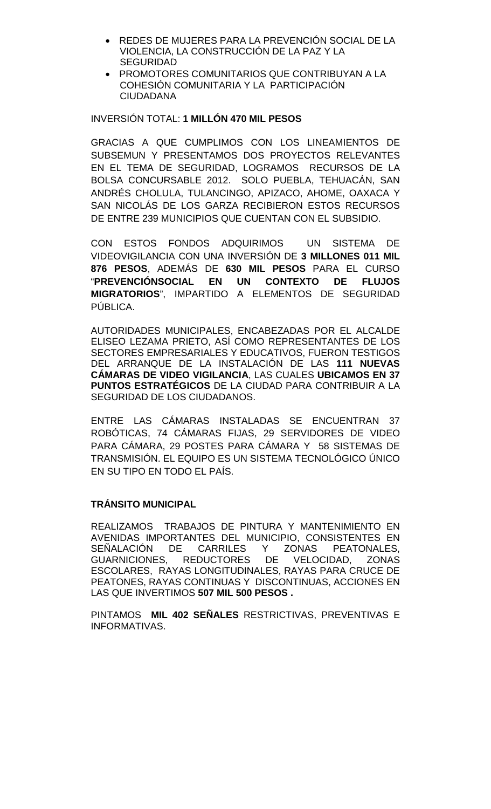- REDES DE MUJERES PARA LA PREVENCIÓN SOCIAL DE LA VIOLENCIA, LA CONSTRUCCIÓN DE LA PAZ Y LA SEGURIDAD
- PROMOTORES COMUNITARIOS QUE CONTRIBUYAN A LA COHESIÓN COMUNITARIA Y LA PARTICIPACIÓN CIUDADANA

# INVERSIÓN TOTAL: **1 MILLÓN 470 MIL PESOS**

GRACIAS A QUE CUMPLIMOS CON LOS LINEAMIENTOS DE SUBSEMUN Y PRESENTAMOS DOS PROYECTOS RELEVANTES EN EL TEMA DE SEGURIDAD, LOGRAMOS RECURSOS DE LA BOLSA CONCURSABLE 2012. SOLO PUEBLA, TEHUACÁN, SAN ANDRÉS CHOLULA, TULANCINGO, APIZACO, AHOME, OAXACA Y SAN NICOLÁS DE LOS GARZA RECIBIERON ESTOS RECURSOS DE ENTRE 239 MUNICIPIOS QUE CUENTAN CON EL SUBSIDIO.

CON ESTOS FONDOS ADQUIRIMOS UN SISTEMA DE VIDEOVIGILANCIA CON UNA INVERSIÓN DE **3 MILLONES 011 MIL 876 PESOS**, ADEMÁS DE **630 MIL PESOS** PARA EL CURSO "**PREVENCIÓNSOCIAL EN UN CONTEXTO DE FLUJOS MIGRATORIOS**", IMPARTIDO A ELEMENTOS DE SEGURIDAD PÚBLICA.

AUTORIDADES MUNICIPALES, ENCABEZADAS POR EL ALCALDE ELISEO LEZAMA PRIETO, ASÍ COMO REPRESENTANTES DE LOS SECTORES EMPRESARIALES Y EDUCATIVOS, FUERON TESTIGOS DEL ARRANQUE DE LA INSTALACIÓN DE LAS **111 NUEVAS CÁMARAS DE VIDEO VIGILANCIA**, LAS CUALES **UBICAMOS EN 37 PUNTOS ESTRATÉGICOS** DE LA CIUDAD PARA CONTRIBUIR A LA SEGURIDAD DE LOS CIUDADANOS.

ENTRE LAS CÁMARAS INSTALADAS SE ENCUENTRAN 37 ROBÓTICAS, 74 CÁMARAS FIJAS, 29 SERVIDORES DE VIDEO PARA CÁMARA, 29 POSTES PARA CÁMARA Y 58 SISTEMAS DE TRANSMISIÓN. EL EQUIPO ES UN SISTEMA TECNOLÓGICO ÚNICO EN SU TIPO EN TODO EL PAÍS.

# **TRÁNSITO MUNICIPAL**

REALIZAMOS TRABAJOS DE PINTURA Y MANTENIMIENTO EN AVENIDAS IMPORTANTES DEL MUNICIPIO, CONSISTENTES EN<br>SEÑALACIÓN DE CARRILES Y ZONAS PEATONALES, SEÑALACIÓN DE CARRILES<br>GUARNICIONES, REDUCTORES DE VELOCIDAD, ZONAS ESCOLARES, RAYAS LONGITUDINALES, RAYAS PARA CRUCE DE PEATONES, RAYAS CONTINUAS Y DISCONTINUAS, ACCIONES EN LAS QUE INVERTIMOS **507 MIL 500 PESOS .**

PINTAMOS **MIL 402 SEÑALES** RESTRICTIVAS, PREVENTIVAS E INFORMATIVAS.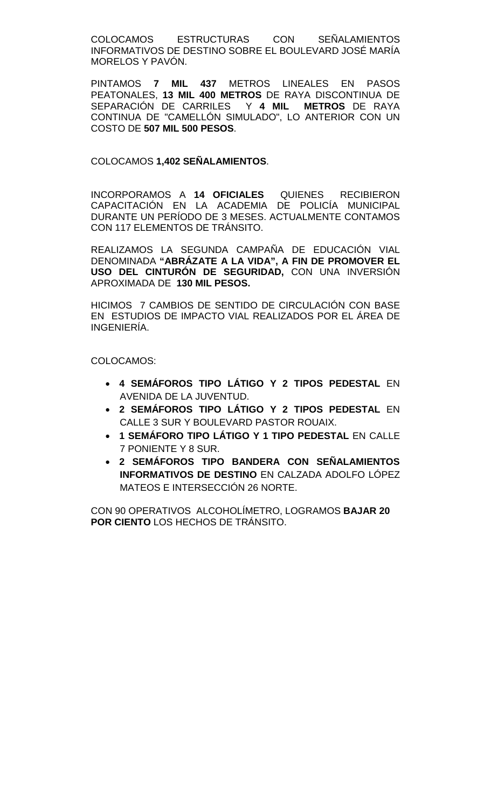COLOCAMOS ESTRUCTURAS CON SEÑALAMIENTOS INFORMATIVOS DE DESTINO SOBRE EL BOULEVARD JOSÉ MARÍA MORELOS Y PAVÓN.

PINTAMOS **7 MIL 437** METROS LINEALES EN PASOS PEATONALES, **13 MIL 400 METROS** DE RAYA DISCONTINUA DE SEPARACIÓN DE CARRILES Y **4 MIL METROS** DE RAYA CONTINUA DE "CAMELLÓN SIMULADO", LO ANTERIOR CON UN COSTO DE **507 MIL 500 PESOS**.

# COLOCAMOS **1,402 SEÑALAMIENTOS**.

INCORPORAMOS A **14 OFICIALES** QUIENES RECIBIERON CAPACITACIÓN EN LA ACADEMIA DE POLICÍA MUNICIPAL DURANTE UN PERÍODO DE 3 MESES. ACTUALMENTE CONTAMOS CON 117 ELEMENTOS DE TRÁNSITO.

REALIZAMOS LA SEGUNDA CAMPAÑA DE EDUCACIÓN VIAL DENOMINADA **"ABRÁZATE A LA VIDA", A FIN DE PROMOVER EL USO DEL CINTURÓN DE SEGURIDAD,** CON UNA INVERSIÓN APROXIMADA DE **130 MIL PESOS.**

HICIMOS 7 CAMBIOS DE SENTIDO DE CIRCULACIÓN CON BASE EN ESTUDIOS DE IMPACTO VIAL REALIZADOS POR EL ÁREA DE INGENIERÍA.

COLOCAMOS:

- **4 SEMÁFOROS TIPO LÁTIGO Y 2 TIPOS PEDESTAL** EN AVENIDA DE LA JUVENTUD.
- **2 SEMÁFOROS TIPO LÁTIGO Y 2 TIPOS PEDESTAL** EN CALLE 3 SUR Y BOULEVARD PASTOR ROUAIX.
- **1 SEMÁFORO TIPO LÁTIGO Y 1 TIPO PEDESTAL** EN CALLE 7 PONIENTE Y 8 SUR.
- **2 SEMÁFOROS TIPO BANDERA CON SEÑALAMIENTOS INFORMATIVOS DE DESTINO** EN CALZADA ADOLFO LÓPEZ MATEOS E INTERSECCIÓN 26 NORTE.

CON 90 OPERATIVOS ALCOHOLÍMETRO, LOGRAMOS **BAJAR 20 POR CIENTO** LOS HECHOS DE TRÁNSITO.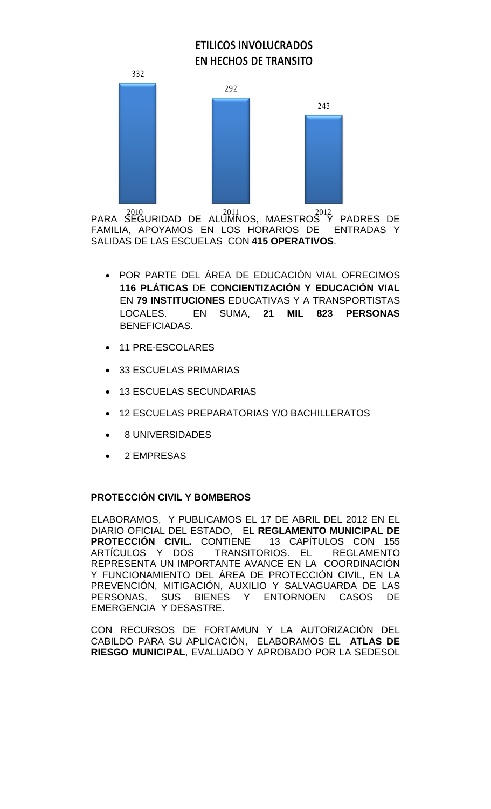# **ETILICOS INVOLUCRADOS EN HECHOS DE TRANSITO**



PARA SEGURIDAD DE ALUMNOS, MAESTROS Y PADRES DE FAMILIA, APOYAMOS EN LOS HORARIOS DE ENTRADAS Y SALIDAS DE LAS ESCUELAS CON **415 OPERATIVOS**.  $2010$ 

- POR PARTE DEL ÁREA DE EDUCACIÓN VIAL OFRECIMOS **116 PLÁTICAS** DE **CONCIENTIZACIÓN Y EDUCACIÓN VIAL** EN **79 INSTITUCIONES** EDUCATIVAS Y A TRANSPORTISTAS LOCALES. EN SUMA, **21 MIL 823 PERSONAS** BENEFICIADAS.
- 11 PRE-ESCOLARES
- 33 ESCUELAS PRIMARIAS
- 13 ESCUELAS SECUNDARIAS
- 12 ESCUELAS PREPARATORIAS Y/O BACHILLERATOS
- 8 UNIVERSIDADES
- 2 EMPRESAS

# **PROTECCIÓN CIVIL Y BOMBEROS**

ELABORAMOS, Y PUBLICAMOS EL 17 DE ABRIL DEL 2012 EN EL DIARIO OFICIAL DEL ESTADO, EL **REGLAMENTO MUNICIPAL DE PROTECCIÓN CIVIL. CONTIENE** ARTÍCULOS Y DOS TRANSITORIOS. EL REGLAMENTO REPRESENTA UN IMPORTANTE AVANCE EN LA COORDINACIÓN Y FUNCIONAMIENTO DEL ÁREA DE PROTECCIÓN CIVIL, EN LA PREVENCIÓN, MITIGACIÓN, AUXILIO Y SALVAGUARDA DE LAS PERSONAS, SUS BIENES Y ENTORNOEN CASOS EMERGENCIA Y DESASTRE.

CON RECURSOS DE FORTAMUN Y LA AUTORIZACIÓN DEL CABILDO PARA SU APLICACIÓN, ELABORAMOS EL **ATLAS DE RIESGO MUNICIPAL**, EVALUADO Y APROBADO POR LA SEDESOL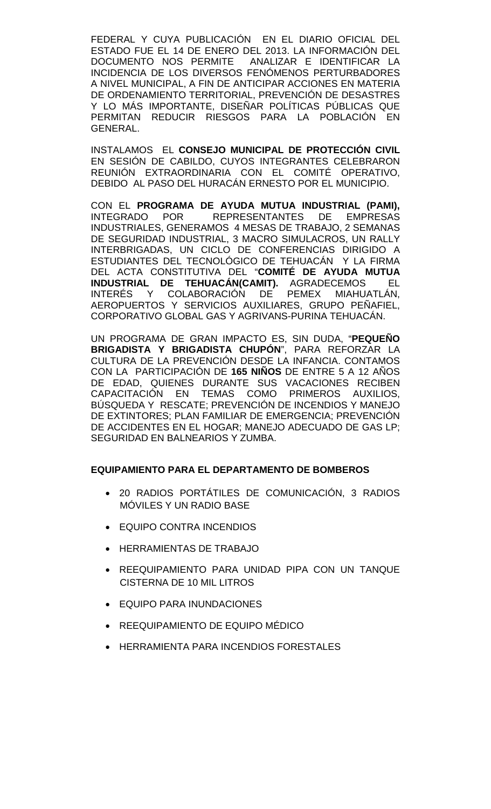FEDERAL Y CUYA PUBLICACIÓN EN EL DIARIO OFICIAL DEL ESTADO FUE EL 14 DE ENERO DEL 2013. LA INFORMACIÓN DEL DOCUMENTO NOS PERMITE ANALIZAR E IDENTIFICAR LA INCIDENCIA DE LOS DIVERSOS FENÓMENOS PERTURBADORES A NIVEL MUNICIPAL, A FIN DE ANTICIPAR ACCIONES EN MATERIA DE ORDENAMIENTO TERRITORIAL, PREVENCIÓN DE DESASTRES Y LO MÁS IMPORTANTE, DISEÑAR POLÍTICAS PÚBLICAS QUE PERMITAN REDUCIR RIESGOS PARA LA POBLACIÓN EN GENERAL.

INSTALAMOS EL **CONSEJO MUNICIPAL DE PROTECCIÓN CIVIL** EN SESIÓN DE CABILDO, CUYOS INTEGRANTES CELEBRARON REUNIÓN EXTRAORDINARIA CON EL COMITÉ OPERATIVO, DEBIDO AL PASO DEL HURACÁN ERNESTO POR EL MUNICIPIO.

CON EL **PROGRAMA DE AYUDA MUTUA INDUSTRIAL (PAMI),** REPRESENTANTES DE EMPRESAS INDUSTRIALES, GENERAMOS 4 MESAS DE TRABAJO, 2 SEMANAS DE SEGURIDAD INDUSTRIAL, 3 MACRO SIMULACROS, UN RALLY INTERBRIGADAS, UN CICLO DE CONFERENCIAS DIRIGIDO A ESTUDIANTES DEL TECNOLÓGICO DE TEHUACÁN Y LA FIRMA DEL ACTA CONSTITUTIVA DEL "**COMITÉ DE AYUDA MUTUA TEHUACÁN(CAMIT).** AGRADECEMOS EL INTERÉS Y COLABORACIÓN DE PEMEX MIAHUATLÁN, AEROPUERTOS Y SERVICIOS AUXILIARES, GRUPO PEÑAFIEL, CORPORATIVO GLOBAL GAS Y AGRIVANS-PURINA TEHUACÁN.

UN PROGRAMA DE GRAN IMPACTO ES, SIN DUDA, "**PEQUEÑO**  BRIGADISTA Y BRIGADISTA CHUPÓN". CULTURA DE LA PREVENCIÓN DESDE LA INFANCIA. CONTAMOS CON LA PARTICIPACIÓN DE **165 NIÑOS** DE ENTRE 5 A 12 AÑOS DE EDAD, QUIENES DURANTE SUS VACACIONES RECIBEN CAPACITACIÓN EN TEMAS COMO PRIMEROS AUXILIOS, BÚSQUEDA Y RESCATE; PREVENCIÓN DE INCENDIOS Y MANEJO DE EXTINTORES; PLAN FAMILIAR DE EMERGENCIA; PREVENCIÓN DE ACCIDENTES EN EL HOGAR; MANEJO ADECUADO DE GAS LP; SEGURIDAD EN BALNEARIOS Y ZUMBA.

# **EQUIPAMIENTO PARA EL DEPARTAMENTO DE BOMBEROS**

- 20 RADIOS PORTÁTILES DE COMUNICACIÓN, 3 RADIOS MÓVILES Y UN RADIO BASE
- EQUIPO CONTRA INCENDIOS
- HERRAMIENTAS DE TRABAJO
- REEQUIPAMIENTO PARA UNIDAD PIPA CON UN TANQUE CISTERNA DE 10 MIL LITROS
- EQUIPO PARA INUNDACIONES
- REEQUIPAMIENTO DE EQUIPO MÉDICO
- HERRAMIENTA PARA INCENDIOS FORESTALES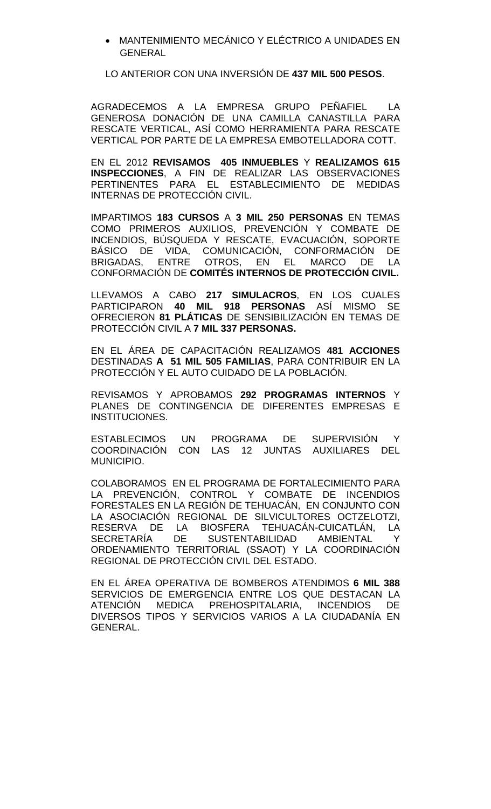• MANTENIMIENTO MECÁNICO Y ELÉCTRICO A UNIDADES EN GENERAL

LO ANTERIOR CON UNA INVERSIÓN DE **437 MIL 500 PESOS**.

AGRADECEMOS A LA EMPRESA GRUPO PEÑAFIEL LA GENEROSA DONACIÓN DE UNA CAMILLA CANASTILLA PARA RESCATE VERTICAL, ASÍ COMO HERRAMIENTA PARA RESCATE VERTICAL POR PARTE DE LA EMPRESA EMBOTELLADORA COTT.

EN EL 2012 **REVISAMOS 405 INMUEBLES** Y **REALIZAMOS 615 INSPECCIONES**, A FIN DE REALIZAR LAS OBSERVACIONES PERTINENTES PARA EL ESTABLECIMIENTO DE MEDIDAS INTERNAS DE PROTECCIÓN CIVIL.

IMPARTIMOS **183 CURSOS** A **3 MIL 250 PERSONAS** EN TEMAS COMO PRIMEROS AUXILIOS, PREVENCIÓN Y COMBATE DE INCENDIOS, BÚSQUEDA Y RESCATE, EVACUACIÓN, SOPORTE<br>BÁSICO DE VIDA. COMUNICACIÓN. CONFORMACIÓN DE VIDA, COMUNICACIÓN, CONFORMACIÓN DE<br>ENTRE OTROS. EN EL MARCO DE LA BRIGADAS, ENTRE OTROS, EN EL MARCO DE LA CONFORMACIÓN DE **COMITÉS INTERNOS DE PROTECCIÓN CIVIL.**

LLEVAMOS A CABO **217 SIMULACROS**, EN LOS CUALES PARTICIPARON **40 MIL 918 PERSONAS** ASÍ MISMO SE OFRECIERON **81 PLÁTICAS** DE SENSIBILIZACIÓN EN TEMAS DE PROTECCIÓN CIVIL A **7 MIL 337 PERSONAS.**

EN EL ÁREA DE CAPACITACIÓN REALIZAMOS **481 ACCIONES** DESTINADAS **A 51 MIL 505 FAMILIAS**, PARA CONTRIBUIR EN LA PROTECCIÓN Y EL AUTO CUIDADO DE LA POBLACIÓN.

REVISAMOS Y APROBAMOS **292 PROGRAMAS INTERNOS** Y PLANES DE CONTINGENCIA DE DIFERENTES EMPRESAS E INSTITUCIONES.

ESTABLECIMOS UN PROGRAMA DE SUPERVISIÓN Y COORDINACIÓN CON LAS 12 JUNTAS AUXILIARES DEL MUNICIPIO.

COLABORAMOS EN EL PROGRAMA DE FORTALECIMIENTO PARA LA PREVENCIÓN, CONTROL Y COMBATE DE INCENDIOS FORESTALES EN LA REGIÓN DE TEHUACÁN, EN CONJUNTO CON LA ASOCIACIÓN REGIONAL DE SILVICULTORES OCTZELOTZI, RESERVA DE LA BIOSFERA TEHUACÁN-CUICATLÁN, LA<br>SECRETARÍA DE SUSTENTABILIDAD AMBIENTAL Y SECRETARÍA DE SUSTENTABILIDAD AMBIENTAL Y ORDENAMIENTO TERRITORIAL (SSAOT) Y LA COORDINACIÓN REGIONAL DE PROTECCIÓN CIVIL DEL ESTADO.

EN EL ÁREA OPERATIVA DE BOMBEROS ATENDIMOS **6 MIL 388** SERVICIOS DE EMERGENCIA ENTRE LOS QUE DESTACAN LA ATENCIÓN MEDICA PREHOSPITALARIA, INCENDIOS DE DIVERSOS TIPOS Y SERVICIOS VARIOS A LA CIUDADANÍA EN GENERAL.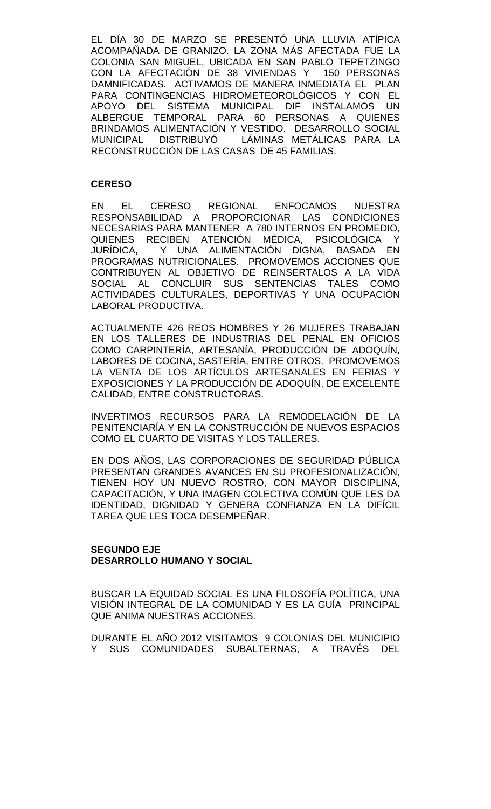EL DÍA 30 DE MARZO SE PRESENTÓ UNA LLUVIA ATÍPICA ACOMPAÑADA DE GRANIZO. LA ZONA MÁS AFECTADA FUE LA COLONIA SAN MIGUEL, UBICADA EN SAN PABLO TEPETZINGO CON LA AFECTACIÓN DE 38 VIVIENDAS Y 150 PERSONAS DAMNIFICADAS. ACTIVAMOS DE MANERA INMEDIATA EL PLAN PARA CONTINGENCIAS HIDROMETEOROLÓGICOS Y CON EL APOYO DEL SISTEMA MUNICIPAL DIF INSTALAMOS UN ALBERGUE TEMPORAL PARA 60 PERSONAS A QUIENES BRINDAMOS ALIMENTACIÓN Y VESTIDO. DESARROLLO SOCIAL MUNICIPAL DISTRIBUYÓ LÁMINAS METÁLICAS PARA LA RECONSTRUCCIÓN DE LAS CASAS DE 45 FAMILIAS.

#### **CERESO**

EN EL CERESO REGIONAL ENFOCAMOS NUESTRA RESPONSABILIDAD A PROPORCIONAR LAS CONDICIONES NECESARIAS PARA MANTENER A 780 INTERNOS EN PROMEDIO, QUIENES RECIBEN ATENCIÓN MÉDICA, PSICOLÓGICA Y JURÍDICA, Y UNA ALIMENTACIÓN DIGNA, BASADA EN PROGRAMAS NUTRICIONALES. PROMOVEMOS ACCIONES QUE CONTRIBUYEN AL OBJETIVO DE REINSERTALOS A LA VIDA SOCIAL AL CONCLUIR SUS SENTENCIAS TALES COMO ACTIVIDADES CULTURALES, DEPORTIVAS Y UNA OCUPACIÓN LABORAL PRODUCTIVA.

ACTUALMENTE 426 REOS HOMBRES Y 26 MUJERES TRABAJAN EN LOS TALLERES DE INDUSTRIAS DEL PENAL EN OFICIOS COMO CARPINTERÍA, ARTESANÍA, PRODUCCIÓN DE ADOQUÍN, LABORES DE COCINA, SASTERÍA, ENTRE OTROS. PROMOVEMOS LA VENTA DE LOS ARTÍCULOS ARTESANALES EN FERIAS Y EXPOSICIONES Y LA PRODUCCIÓN DE ADOQUÍN, DE EXCELENTE CALIDAD, ENTRE CONSTRUCTORAS.

INVERTIMOS RECURSOS PARA LA REMODELACIÓN DE LA PENITENCIARÍA Y EN LA CONSTRUCCIÓN DE NUEVOS ESPACIOS COMO EL CUARTO DE VISITAS Y LOS TALLERES.

EN DOS AÑOS, LAS CORPORACIONES DE SEGURIDAD PÚBLICA PRESENTAN GRANDES AVANCES EN SU PROFESIONALIZACIÓN, TIENEN HOY UN NUEVO ROSTRO, CON MAYOR DISCIPLINA, CAPACITACIÓN, Y UNA IMAGEN COLECTIVA COMÚN QUE LES DA IDENTIDAD, DIGNIDAD Y GENERA CONFIANZA EN LA DIFÍCIL TAREA QUE LES TOCA DESEMPEÑAR.

# **SEGUNDO EJE DESARROLLO HUMANO Y SOCIAL**

BUSCAR LA EQUIDAD SOCIAL ES UNA FILOSOFÍA POLÍTICA, UNA VISIÓN INTEGRAL DE LA COMUNIDAD Y ES LA GUÍA PRINCIPAL QUE ANIMA NUESTRAS ACCIONES.

DURANTE EL AÑO 2012 VISITAMOS 9 COLONIAS DEL MUNICIPIO Y SUS COMUNIDADES SUBALTERNAS, A TRAVÉS DEL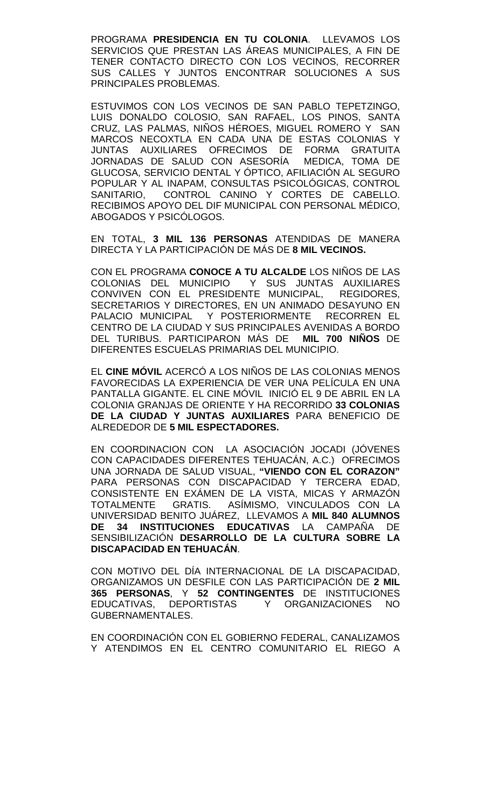PROGRAMA **PRESIDENCIA EN TU COLONIA**. LLEVAMOS LOS SERVICIOS QUE PRESTAN LAS ÁREAS MUNICIPALES, A FIN DE TENER CONTACTO DIRECTO CON LOS VECINOS, RECORRER SUS CALLES Y JUNTOS ENCONTRAR SOLUCIONES A SUS PRINCIPALES PROBLEMAS.

ESTUVIMOS CON LOS VECINOS DE SAN PABLO TEPETZINGO, LUIS DONALDO COLOSIO, SAN RAFAEL, LOS PINOS, SANTA CRUZ, LAS PALMAS, NIÑOS HÉROES, MIGUEL ROMERO Y SAN MARCOS NECOXTLA EN CADA UNA DE ESTAS COLONIAS Y JUNTAS AUXILIARES OFRECIMOS DE FORMA GRATUITA JORNADAS DE SALUD CON ASESORÍA GLUCOSA, SERVICIO DENTAL Y ÓPTICO, AFILIACIÓN AL SEGURO POPULAR Y AL INAPAM, CONSULTAS PSICOLÓGICAS, CONTROL SANITARIO, CONTROL CANINO Y CORTES DE CABELLO. RECIBIMOS APOYO DEL DIF MUNICIPAL CON PERSONAL MÉDICO, ABOGADOS Y PSICÓLOGOS.

EN TOTAL, **3 MIL 136 PERSONAS** ATENDIDAS DE MANERA DIRECTA Y LA PARTICIPACIÓN DE MÁS DE **8 MIL VECINOS.** 

CON EL PROGRAMA **CONOCE A TU ALCALDE** LOS NIÑOS DE LAS Y SUS JUNTAS AUXILIARES CONVIVEN CON EL PRESIDENTE MUNICIPAL, REGIDORES, SECRETARIOS Y DIRECTORES, EN UN ANIMADO DESAYUNO EN PALACIO MUNICIPAL Y POSTERIORMENTE RECORREN EL CENTRO DE LA CIUDAD Y SUS PRINCIPALES AVENIDAS A BORDO DEL TURIBUS. PARTICIPARON MÁS DE **MIL 700 NIÑOS** DE DIFERENTES ESCUELAS PRIMARIAS DEL MUNICIPIO.

EL **CINE MÓVIL** ACERCÓ A LOS NIÑOS DE LAS COLONIAS MENOS FAVORECIDAS LA EXPERIENCIA DE VER UNA PELÍCULA EN UNA PANTALLA GIGANTE. EL CINE MÓVIL INICIÓ EL 9 DE ABRIL EN LA COLONIA GRANJAS DE ORIENTE Y HA RECORRIDO **33 COLONIAS DE LA CIUDAD Y JUNTAS AUXILIARES** PARA BENEFICIO DE ALREDEDOR DE **5 MIL ESPECTADORES.** 

EN COORDINACION CON LA ASOCIACIÓN JOCADI (JÓVENES CON CAPACIDADES DIFERENTES TEHUACÁN, A.C.) OFRECIMOS UNA JORNADA DE SALUD VISUAL, **"VIENDO CON EL CORAZON"** PARA PERSONAS CON DISCAPACIDAD Y TERCERA EDAD, CONSISTENTE EN EXÁMEN DE LA VISTA, MICAS Y ARMAZÓN TOTALMENTE GRATIS. ASÍMISMO, VINCULADOS CON LA UNIVERSIDAD BENITO JUÁREZ, LLEVAMOS A **MIL 840 ALUMNOS DE 34 INSTITUCIONES EDUCATIVAS** LA CAMPAÑA DE SENSIBILIZACIÓN **DESARROLLO DE LA CULTURA SOBRE LA DISCAPACIDAD EN TEHUACÁN**.

CON MOTIVO DEL DÍA INTERNACIONAL DE LA DISCAPACIDAD, ORGANIZAMOS UN DESFILE CON LAS PARTICIPACIÓN DE **2 MIL 365 PERSONAS**, Y **52 CONTINGENTES** DE INSTITUCIONES EDUCATIVAS, DEPORTISTAS Y ORGANIZACIONES NO GUBERNAMENTALES.

EN COORDINACIÓN CON EL GOBIERNO FEDERAL, CANALIZAMOS Y ATENDIMOS EN EL CENTRO COMUNITARIO EL RIEGO A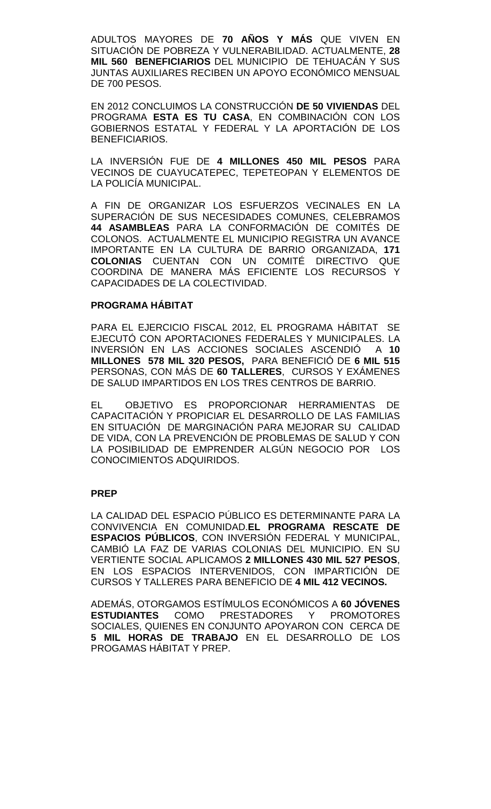ADULTOS MAYORES DE **70 AÑOS Y MÁS** QUE VIVEN EN SITUACIÓN DE POBREZA Y VULNERABILIDAD. ACTUALMENTE, **28 MIL 560 BENEFICIARIOS** DEL MUNICIPIO DE TEHUACÁN Y SUS JUNTAS AUXILIARES RECIBEN UN APOYO ECONÓMICO MENSUAL DE 700 PESOS.

EN 2012 CONCLUIMOS LA CONSTRUCCIÓN **DE 50 VIVIENDAS** DEL PROGRAMA **ESTA ES TU CASA**, EN COMBINACIÓN CON LOS GOBIERNOS ESTATAL Y FEDERAL Y LA APORTACIÓN DE LOS BENEFICIARIOS.

LA INVERSIÓN FUE DE **4 MILLONES 450 MIL PESOS** PARA VECINOS DE CUAYUCATEPEC, TEPETEOPAN Y ELEMENTOS DE LA POLICÍA MUNICIPAL.

A FIN DE ORGANIZAR LOS ESFUERZOS VECINALES EN LA SUPERACIÓN DE SUS NECESIDADES COMUNES, CELEBRAMOS **44 ASAMBLEAS** PARA LA CONFORMACIÓN DE COMITÉS DE COLONOS. ACTUALMENTE EL MUNICIPIO REGISTRA UN AVANCE IMPORTANTE EN LA CULTURA DE BARRIO ORGANIZADA, **171 COLONIAS** CUENTAN CON UN COMITÉ DIRECTIVO QUE COORDINA DE MANERA MÁS EFICIENTE LOS RECURSOS Y CAPACIDADES DE LA COLECTIVIDAD.

#### **PROGRAMA HÁBITAT**

PARA EL EJERCICIO FISCAL 2012, EL PROGRAMA HÁBITAT SE EJECUTÓ CON APORTACIONES FEDERALES Y MUNICIPALES. LA INVERSIÓN EN LAS ACCIONES SOCIALES ASCENDIÓ A **10 MILLONES 578 MIL 320 PESOS,** PARA BENEFICIÓ DE **6 MIL 515** PERSONAS, CON MÁS DE **60 TALLERES**, CURSOS Y EXÁMENES DE SALUD IMPARTIDOS EN LOS TRES CENTROS DE BARRIO.

EL OBJETIVO ES PROPORCIONAR HERRAMIENTAS DE CAPACITACIÓN Y PROPICIAR EL DESARROLLO DE LAS FAMILIAS EN SITUACIÓN DE MARGINACIÓN PARA MEJORAR SU CALIDAD DE VIDA, CON LA PREVENCIÓN DE PROBLEMAS DE SALUD Y CON LA POSIBILIDAD DE EMPRENDER ALGÚN NEGOCIO POR LOS CONOCIMIENTOS ADQUIRIDOS.

#### **PREP**

LA CALIDAD DEL ESPACIO PÚBLICO ES DETERMINANTE PARA LA CONVIVENCIA EN COMUNIDAD.**EL PROGRAMA RESCATE DE ESPACIOS PÚBLICOS**, CON INVERSIÓN FEDERAL Y MUNICIPAL, CAMBIÓ LA FAZ DE VARIAS COLONIAS DEL MUNICIPIO. EN SU VERTIENTE SOCIAL APLICAMOS **2 MILLONES 430 MIL 527 PESOS**, EN LOS ESPACIOS INTERVENIDOS, CON IMPARTICIÓN DE CURSOS Y TALLERES PARA BENEFICIO DE **4 MIL 412 VECINOS.**

ADEMÁS, OTORGAMOS ESTÍMULOS ECONÓMICOS A **60 JÓVENES ESTUDIANTES** COMO PRESTADORES Y PROMOTORES SOCIALES, QUIENES EN CONJUNTO APOYARON CON CERCA DE **5 MIL HORAS DE TRABAJO** EN EL DESARROLLO DE LOS PROGAMAS HÁBITAT Y PREP.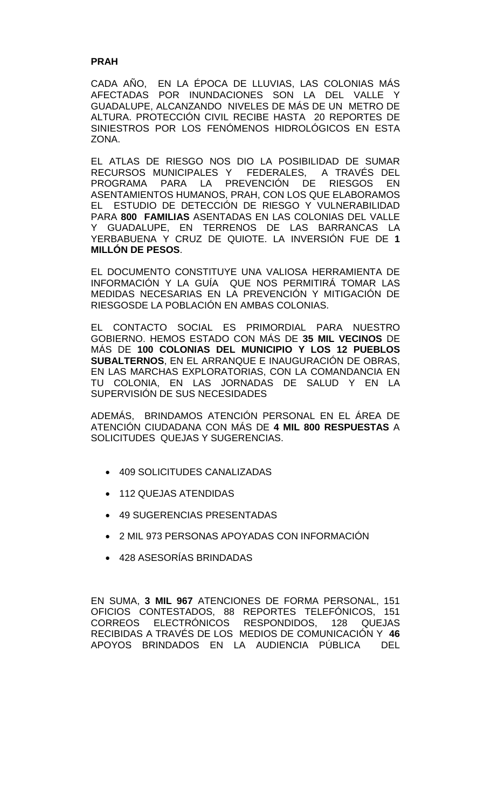#### **PRAH**

CADA AÑO, EN LA ÉPOCA DE LLUVIAS, LAS COLONIAS MÁS AFECTADAS POR INUNDACIONES SON LA DEL VALLE Y GUADALUPE, ALCANZANDO NIVELES DE MÁS DE UN METRO DE ALTURA. PROTECCIÓN CIVIL RECIBE HASTA 20 REPORTES DE SINIESTROS POR LOS FENÓMENOS HIDROLÓGICOS EN ESTA ZONA.

EL ATLAS DE RIESGO NOS DIO LA POSIBILIDAD DE SUMAR RECURSOS MUNICIPALES Y FEDERALES, A TRAVÉS DEL<br>PROGRAMA PARA LA PREVENCIÓN DE RIESGOS EN PROGRAMA PARA LA PREVENCIÓN DE RIESGOS EN ASENTAMIENTOS HUMANOS, PRAH, CON LOS QUE ELABORAMOS EL ESTUDIO DE DETECCIÓN DE RIESGO Y VULNERABILIDAD PARA **800 FAMILIAS** ASENTADAS EN LAS COLONIAS DEL VALLE Y GUADALUPE, EN TERRENOS DE LAS BARRANCAS LA YERBABUENA Y CRUZ DE QUIOTE. LA INVERSIÓN FUE DE **1 MILLÓN DE PESOS**.

EL DOCUMENTO CONSTITUYE UNA VALIOSA HERRAMIENTA DE INFORMACIÓN Y LA GUÍA QUE NOS PERMITIRÁ TOMAR LAS MEDIDAS NECESARIAS EN LA PREVENCIÓN Y MITIGACIÓN DE RIESGOSDE LA POBLACIÓN EN AMBAS COLONIAS.

EL CONTACTO SOCIAL ES PRIMORDIAL PARA NUESTRO GOBIERNO. HEMOS ESTADO CON MÁS DE **35 MIL VECINOS** DE MÁS DE **100 COLONIAS DEL MUNICIPIO Y LOS 12 PUEBLOS SUBALTERNOS**, EN EL ARRANQUE E INAUGURACIÓN DE OBRAS, EN LAS MARCHAS EXPLORATORIAS, CON LA COMANDANCIA EN TU COLONIA, EN LAS JORNADAS DE SALUD Y EN LA SUPERVISIÓN DE SUS NECESIDADES

ADEMÁS, BRINDAMOS ATENCIÓN PERSONAL EN EL ÁREA DE ATENCIÓN CIUDADANA CON MÁS DE **4 MIL 800 RESPUESTAS** A SOLICITUDES QUEJAS Y SUGERENCIAS.

- 409 SOLICITUDES CANALIZADAS
- 112 QUEJAS ATENDIDAS
- 49 SUGERENCIAS PRESENTADAS
- 2 MIL 973 PERSONAS APOYADAS CON INFORMACIÓN
- 428 ASESORÍAS BRINDADAS

EN SUMA, **3 MIL 967** ATENCIONES DE FORMA PERSONAL, 151 OFICIOS CONTESTADOS, 88 REPORTES TELEFÓNICOS, 151 CORREOS ELECTRÓNICOS RESPONDIDOS, 128 QUEJAS RECIBIDAS A TRAVÉS DE LOS MEDIOS DE COMUNICACIÓN Y **46**  APOYOS BRINDADOS EN LA AUDIENCIA PÚBLICA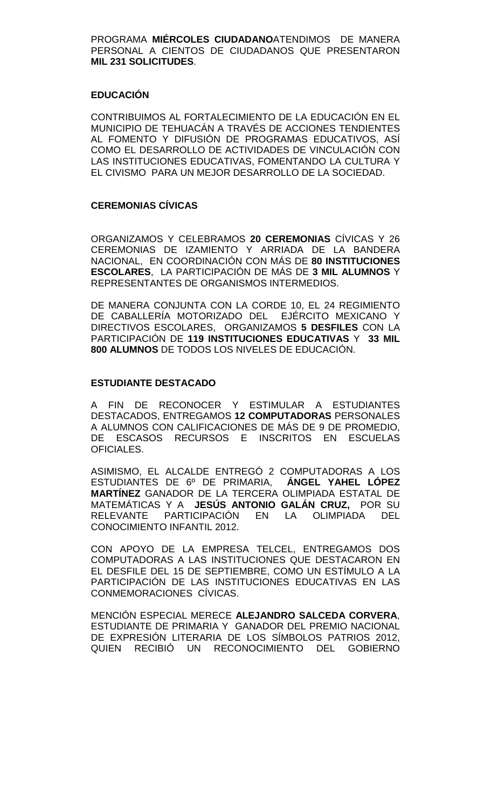PROGRAMA **MIÉRCOLES CIUDADANO**ATENDIMOS DE MANERA PERSONAL A CIENTOS DE CIUDADANOS QUE PRESENTARON **MIL 231 SOLICITUDES**.

# **EDUCACIÓN**

CONTRIBUIMOS AL FORTALECIMIENTO DE LA EDUCACIÓN EN EL MUNICIPIO DE TEHUACÁN A TRAVÉS DE ACCIONES TENDIENTES AL FOMENTO Y DIFUSIÓN DE PROGRAMAS EDUCATIVOS, ASÍ COMO EL DESARROLLO DE ACTIVIDADES DE VINCULACIÓN CON LAS INSTITUCIONES EDUCATIVAS, FOMENTANDO LA CULTURA Y EL CIVISMO PARA UN MEJOR DESARROLLO DE LA SOCIEDAD.

# **CEREMONIAS CÍVICAS**

ORGANIZAMOS Y CELEBRAMOS **20 CEREMONIAS** CÍVICAS Y 26 CEREMONIAS DE IZAMIENTO Y ARRIADA DE LA BANDERA NACIONAL, EN COORDINACIÓN CON MÁS DE **80 INSTITUCIONES ESCOLARES**, LA PARTICIPACIÓN DE MÁS DE **3 MIL ALUMNOS** Y REPRESENTANTES DE ORGANISMOS INTERMEDIOS.

DE MANERA CONJUNTA CON LA CORDE 10, EL 24 REGIMIENTO DE CABALLERÍA MOTORIZADO DEL EJÉRCITO MEXICANO Y DIRECTIVOS ESCOLARES, ORGANIZAMOS **5 DESFILES** CON LA PARTICIPACIÓN DE **119 INSTITUCIONES EDUCATIVAS** Y **33 MIL 800 ALUMNOS** DE TODOS LOS NIVELES DE EDUCACIÓN.

#### **ESTUDIANTE DESTACADO**

A FIN DE RECONOCER Y ESTIMULAR A ESTUDIANTES DESTACADOS, ENTREGAMOS **12 COMPUTADORAS** PERSONALES A ALUMNOS CON CALIFICACIONES DE MÁS DE 9 DE PROMEDIO, DE ESCASOS RECURSOS E INSCRITOS EN ESCUELAS OFICIALES.

ASIMISMO, EL ALCALDE ENTREGÓ 2 COMPUTADORAS A LOS ESTUDIANTES DE 6º DE PRIMARIA, **ÁNGEL YAHEL LÓPEZ MARTÍNEZ** GANADOR DE LA TERCERA OLIMPIADA ESTATAL DE MATEMÁTICAS Y A **JESÚS ANTONIO GALÁN CRUZ,** POR SU EN LA OLIMPIADA CONOCIMIENTO INFANTIL 2012.

CON APOYO DE LA EMPRESA TELCEL, ENTREGAMOS DOS COMPUTADORAS A LAS INSTITUCIONES QUE DESTACARON EN EL DESFILE DEL 15 DE SEPTIEMBRE, COMO UN ESTÍMULO A LA PARTICIPACIÓN DE LAS INSTITUCIONES EDUCATIVAS EN LAS CONMEMORACIONES CÍVICAS.

MENCIÓN ESPECIAL MERECE **ALEJANDRO SALCEDA CORVERA**, ESTUDIANTE DE PRIMARIA Y GANADOR DEL PREMIO NACIONAL DE EXPRESIÓN LITERARIA DE LOS SÍMBOLOS PATRIOS 2012, QUIEN RECIBIÓ UN RECONOCIMIENTO DEL GOBIERNO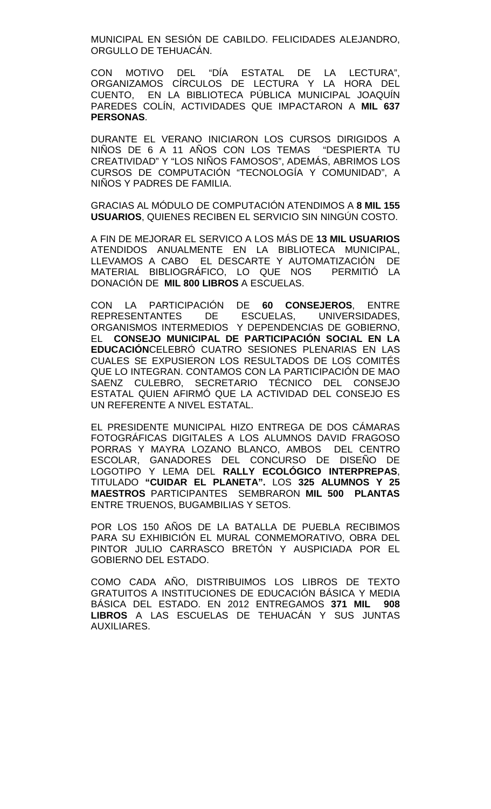MUNICIPAL EN SESIÓN DE CABILDO. FELICIDADES ALEJANDRO, ORGULLO DE TEHUACÁN.

CON MOTIVO DEL "DÍA ESTATAL DE LA LECTURA", ORGANIZAMOS CÍRCULOS DE LECTURA Y LA HORA DEL CUENTO, EN LA BIBLIOTECA PÚBLICA MUNICIPAL JOAQUÍN PAREDES COLÍN, ACTIVIDADES QUE IMPACTARON A **MIL 637 PERSONAS**.

DURANTE EL VERANO INICIARON LOS CURSOS DIRIGIDOS A NIÑOS DE 6 A 11 AÑOS CON LOS TEMAS "DESPIERTA TU CREATIVIDAD" Y "LOS NIÑOS FAMOSOS", ADEMÁS, ABRIMOS LOS CURSOS DE COMPUTACIÓN "TECNOLOGÍA Y COMUNIDAD", A NIÑOS Y PADRES DE FAMILIA.

GRACIAS AL MÓDULO DE COMPUTACIÓN ATENDIMOS A **8 MIL 155 USUARIOS**, QUIENES RECIBEN EL SERVICIO SIN NINGÚN COSTO.

A FIN DE MEJORAR EL SERVICO A LOS MÁS DE **13 MIL USUARIOS** ATENDIDOS ANUALMENTE EN LA BIBLIOTECA MUNICIPAL, LLEVAMOS A CABO EL DESCARTE Y AUTOMATIZACIÓN DE MATERIAL BIBLIOGRÁFICO, LO QUE NOS PERMITIÓ LA DONACIÓN DE **MIL 800 LIBROS** A ESCUELAS.

CON LA PARTICIPACIÓN DE **60 CONSEJEROS**, ENTRE REPRESENTANTES DE ESCUELAS, UNIVERSIDADES, ORGANISMOS INTERMEDIOS Y DEPENDENCIAS DE GOBIERNO, EL **CONSEJO MUNICIPAL DE PARTICIPACIÓN SOCIAL EN LA EDUCACIÓN**CELEBRÓ CUATRO SESIONES PLENARIAS EN LAS CUALES SE EXPUSIERON LOS RESULTADOS DE LOS COMITÉS QUE LO INTEGRAN. CONTAMOS CON LA PARTICIPACIÓN DE MAO SAENZ CULEBRO, SECRETARIO TÉCNICO DEL CONSEJO ESTATAL QUIEN AFIRMÓ QUE LA ACTIVIDAD DEL CONSEJO ES UN REFERENTE A NIVEL ESTATAL.

EL PRESIDENTE MUNICIPAL HIZO ENTREGA DE DOS CÁMARAS FOTOGRÁFICAS DIGITALES A LOS ALUMNOS DAVID FRAGOSO PORRAS Y MAYRA LOZANO BLANCO, AMBOS DEL CENTRO ESCOLAR, GANADORES DEL CONCURSO DE DISENO DE LOGOTIPO Y LEMA DEL **RALLY ECOLÓGICO INTERPREPAS**, TITULADO **"CUIDAR EL PLANETA".** LOS **325 ALUMNOS Y 25 MAESTROS** PARTICIPANTES SEMBRARON **MIL 500 PLANTAS** ENTRE TRUENOS, BUGAMBILIAS Y SETOS.

POR LOS 150 AÑOS DE LA BATALLA DE PUEBLA RECIBIMOS PARA SU EXHIBICIÓN EL MURAL CONMEMORATIVO, OBRA DEL PINTOR JULIO CARRASCO BRETÓN Y AUSPICIADA POR EL GOBIERNO DEL ESTADO.

COMO CADA AÑO, DISTRIBUIMOS LOS LIBROS DE TEXTO GRATUITOS A INSTITUCIONES DE EDUCACIÓN BÁSICA Y MEDIA BÁSICA DEL ESTADO. EN 2012 ENTREGAMOS **371 MIL 908 LIBROS** A LAS ESCUELAS DE TEHUACÁN Y SUS JUNTAS AUXILIARES.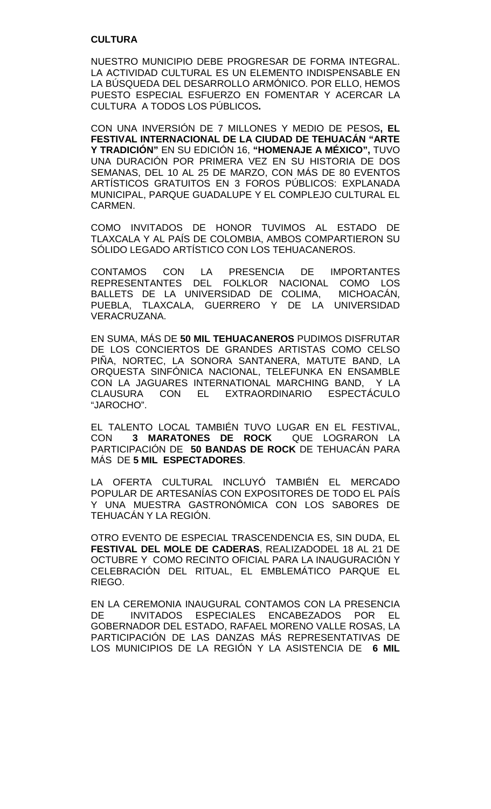### **CULTURA**

NUESTRO MUNICIPIO DEBE PROGRESAR DE FORMA INTEGRAL. LA ACTIVIDAD CULTURAL ES UN ELEMENTO INDISPENSABLE EN LA BÚSQUEDA DEL DESARROLLO ARMÓNICO. POR ELLO, HEMOS PUESTO ESPECIAL ESFUERZO EN FOMENTAR Y ACERCAR LA CULTURA A TODOS LOS PÚBLICOS**.** 

CON UNA INVERSIÓN DE 7 MILLONES Y MEDIO DE PESOS**, EL FESTIVAL INTERNACIONAL DE LA CIUDAD DE TEHUACÁN "ARTE Y TRADICIÓN"** EN SU EDICIÓN 16, **"HOMENAJE A MÉXICO",** TUVO UNA DURACIÓN POR PRIMERA VEZ EN SU HISTORIA DE DOS SEMANAS, DEL 10 AL 25 DE MARZO, CON MÁS DE 80 EVENTOS ARTÍSTICOS GRATUITOS EN 3 FOROS PÚBLICOS: EXPLANADA MUNICIPAL, PARQUE GUADALUPE Y EL COMPLEJO CULTURAL EL CARMEN.

COMO INVITADOS DE HONOR TUVIMOS AL ESTADO DE TLAXCALA Y AL PAÍS DE COLOMBIA, AMBOS COMPARTIERON SU SÓLIDO LEGADO ARTÍSTICO CON LOS TEHUACANEROS.

CONTAMOS CON LA PRESENCIA DE IMPORTANTES REPRESENTANTES DEL FOLKLOR NACIONAL COMO LOS BALLETS DE LA UNIVERSIDAD DE COLIMA, MICHOACÁN, PUEBLA, TLAXCALA, GUERRERO Y DE LA UNIVERSIDAD VERACRUZANA.

EN SUMA, MÁS DE **50 MIL TEHUACANEROS** PUDIMOS DISFRUTAR DE LOS CONCIERTOS DE GRANDES ARTISTAS COMO CELSO PIÑA, NORTEC, LA SONORA SANTANERA, MATUTE BAND, LA ORQUESTA SINFÓNICA NACIONAL, TELEFUNKA EN ENSAMBLE CON LA JAGUARES INTERNATIONAL MARCHING BAND, Y LA CLAUSURA CON EL EXTRAORDINARIO ESPECTÁCULO "JAROCHO".

EL TALENTO LOCAL TAMBIÉN TUVO LUGAR EN EL FESTIVAL, **3 MARATONES DE ROCK** PARTICIPACIÓN DE **50 BANDAS DE ROCK** DE TEHUACÁN PARA MÁS DE **5 MIL ESPECTADORES**.

LA OFERTA CULTURAL INCLUYÓ TAMBIÉN EL MERCADO POPULAR DE ARTESANÍAS CON EXPOSITORES DE TODO EL PAÍS Y UNA MUESTRA GASTRONÓMICA CON LOS SABORES DE TEHUACÁN Y LA REGIÓN.

OTRO EVENTO DE ESPECIAL TRASCENDENCIA ES, SIN DUDA, EL **FESTIVAL DEL MOLE DE CADERAS**, REALIZADODEL 18 AL 21 DE OCTUBRE Y COMO RECINTO OFICIAL PARA LA INAUGURACIÓN Y CELEBRACIÓN DEL RITUAL, EL EMBLEMÁTICO PARQUE EL RIEGO.

EN LA CEREMONIA INAUGURAL CONTAMOS CON LA PRESENCIA DE INVITADOS ESPECIALES ENCABEZADOS POR EL GOBERNADOR DEL ESTADO, RAFAEL MORENO VALLE ROSAS, LA PARTICIPACIÓN DE LAS DANZAS MÁS REPRESENTATIVAS DE LOS MUNICIPIOS DE LA REGIÓN Y LA ASISTENCIA DE **6 MIL**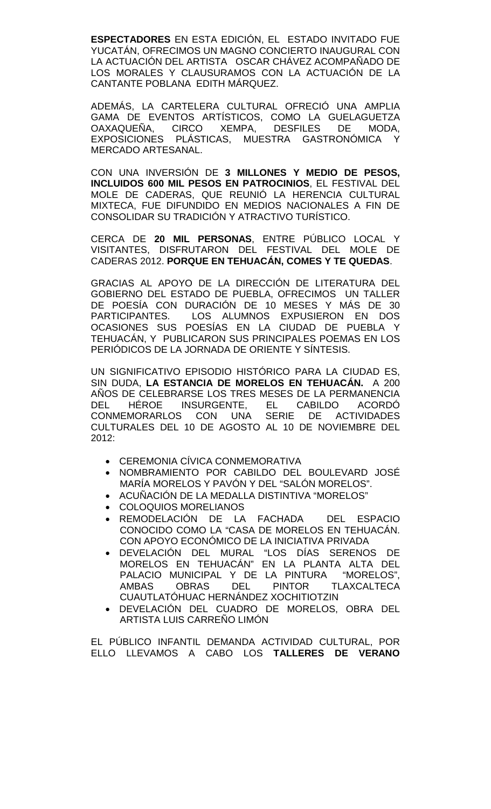**ESPECTADORES** EN ESTA EDICIÓN, EL ESTADO INVITADO FUE YUCATÁN, OFRECIMOS UN MAGNO CONCIERTO INAUGURAL CON LA ACTUACIÓN DEL ARTISTA OSCAR CHÁVEZ ACOMPAÑADO DE LOS MORALES Y CLAUSURAMOS CON LA ACTUACIÓN DE LA CANTANTE POBLANA EDITH MÁRQUEZ.

ADEMÁS, LA CARTELERA CULTURAL OFRECIÓ UNA AMPLIA GAMA DE EVENTOS ARTÍSTICOS, COMO LA GUELAGUETZA<br>OAXAQUEÑA. CIRCO XEMPA. DESFILES DE MODA, CIRCO XEMPA, DESFILES EXPOSICIONES PLÁSTICAS, MUESTRA GASTRONÓMICA Y MERCADO ARTESANAL.

CON UNA INVERSIÓN DE **3 MILLONES Y MEDIO DE PESOS, INCLUIDOS 600 MIL PESOS EN PATROCINIOS**, EL FESTIVAL DEL MOLE DE CADERAS, QUE REUNIÓ LA HERENCIA CULTURAL MIXTECA, FUE DIFUNDIDO EN MEDIOS NACIONALES A FIN DE CONSOLIDAR SU TRADICIÓN Y ATRACTIVO TURÍSTICO.

CERCA DE **20 MIL PERSONAS**, ENTRE PÚBLICO LOCAL Y VISITANTES, DISFRUTARON DEL FESTIVAL DEL MOLE DE CADERAS 2012. **PORQUE EN TEHUACÁN, COMES Y TE QUEDAS**.

GRACIAS AL APOYO DE LA DIRECCIÓN DE LITERATURA DEL GOBIERNO DEL ESTADO DE PUEBLA, OFRECIMOS UN TALLER DE POESÍA CON DURACIÓN DE 10 MESES Y MÁS DE 30<br>PARTICIPANTES. LOS ALUMNOS EXPUSIERON EN DOS LOS ALUMNOS EXPUSIERON EN DOS OCASIONES SUS POESÍAS EN LA CIUDAD DE PUEBLA Y TEHUACÁN, Y PUBLICARON SUS PRINCIPALES POEMAS EN LOS PERIÓDICOS DE LA JORNADA DE ORIENTE Y SÍNTESIS.

UN SIGNIFICATIVO EPISODIO HISTÓRICO PARA LA CIUDAD ES, SIN DUDA, **LA ESTANCIA DE MORELOS EN TEHUACÁN.** A 200 AÑOS DE CELEBRARSE LOS TRES MESES DE LA PERMANENCIA<br>DEL HÉROE INSURGENTE, EL CABILDO ACORDÓ INSURGENTE, EL CABILDO ACORDÓ<br>3 CON UNA SERIE DE ACTIVIDADES CONMEMORARLOS CON UNA CULTURALES DEL 10 DE AGOSTO AL 10 DE NOVIEMBRE DEL 2012:

- CEREMONIA CÍVICA CONMEMORATIVA
- NOMBRAMIENTO POR CABILDO DEL BOULEVARD JOSÉ MARÍA MORELOS Y PAVÓN Y DEL "SALÓN MORELOS".
- ACUÑACIÓN DE LA MEDALLA DISTINTIVA "MORELOS"
- COLOQUIOS MORELIANOS
- REMODELACIÓN DE LA FACHADA DEL ESPACIO CONOCIDO COMO LA "CASA DE MORELOS EN TEHUACÁN. CON APOYO ECONÓMICO DE LA INICIATIVA PRIVADA
- DEVELACIÓN DEL MURAL "LOS DÍAS SERENOS DE MORELOS EN TEHUACÁN" EN LA PLANTA ALTA DEL PALACIO MUNICIPAL Y DE LA PINTURA<br>AMBAS OBRAS DEL PINTOR T AMBAS OBRAS DEL PINTOR TLAXCALTECA CUAUTLATÓHUAC HERNÁNDEZ XOCHITIOTZIN
- DEVELACIÓN DEL CUADRO DE MORELOS, OBRA DEL ARTISTA LUIS CARREÑO LIMÓN

EL PÚBLICO INFANTIL DEMANDA ACTIVIDAD CULTURAL, POR ELLO LLEVAMOS A CABO LOS **TALLERES DE VERANO**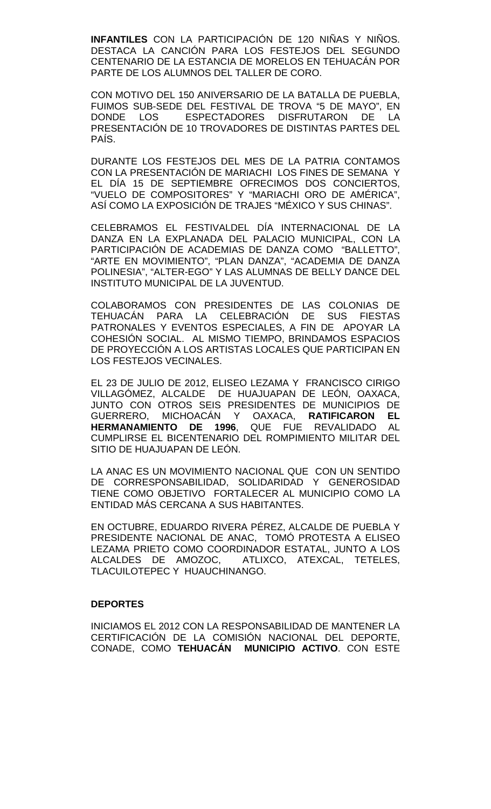**INFANTILES** CON LA PARTICIPACIÓN DE 120 NIÑAS Y NIÑOS. DESTACA LA CANCIÓN PARA LOS FESTEJOS DEL SEGUNDO CENTENARIO DE LA ESTANCIA DE MORELOS EN TEHUACÁN POR PARTE DE LOS ALUMNOS DEL TALLER DE CORO.

CON MOTIVO DEL 150 ANIVERSARIO DE LA BATALLA DE PUEBLA, FUIMOS SUB-SEDE DEL FESTIVAL DE TROVA "5 DE MAYO", EN<br>DONDE LOS ESPECTADORES DISFRUTARON DE LA ESPECTADORES DISFRUTARON DE LA PRESENTACIÓN DE 10 TROVADORES DE DISTINTAS PARTES DEL PAÍS.

DURANTE LOS FESTEJOS DEL MES DE LA PATRIA CONTAMOS CON LA PRESENTACIÓN DE MARIACHI LOS FINES DE SEMANA Y EL DÍA 15 DE SEPTIEMBRE OFRECIMOS DOS CONCIERTOS, "VUELO DE COMPOSITORES" Y "MARIACHI ORO DE AMÉRICA", ASÍ COMO LA EXPOSICIÓN DE TRAJES "MÉXICO Y SUS CHINAS".

CELEBRAMOS EL FESTIVALDEL DÍA INTERNACIONAL DE LA DANZA EN LA EXPLANADA DEL PALACIO MUNICIPAL, CON LA PARTICIPACIÓN DE ACADEMIAS DE DANZA COMO "BALLETTO", "ARTE EN MOVIMIENTO", "PLAN DANZA", "ACADEMIA DE DANZA POLINESIA", "ALTER-EGO" Y LAS ALUMNAS DE BELLY DANCE DEL INSTITUTO MUNICIPAL DE LA JUVENTUD.

COLABORAMOS CON PRESIDENTES DE LAS COLONIAS DE TEHUACÁN PARA LA CELEBRACIÓN DE SUS FIESTAS PATRONALES Y EVENTOS ESPECIALES, A FIN DE APOYAR LA COHESIÓN SOCIAL. AL MISMO TIEMPO, BRINDAMOS ESPACIOS DE PROYECCIÓN A LOS ARTISTAS LOCALES QUE PARTICIPAN EN LOS FESTEJOS VECINALES.

EL 23 DE JULIO DE 2012, ELISEO LEZAMA Y FRANCISCO CIRIGO VILLAGÓMEZ, ALCALDE DE HUAJUAPAN DE LEÓN, OAXACA, JUNTO CON OTROS SEIS PRESIDENTES DE MUNICIPIOS DE<br>GUERRERO, MICHOACÁN Y OAXACA, **RATIFICARON EL** Y OAXACA, **RATIFICARON EL**<br>**96**. QUE FUE REVALIDADO AL **HERMANAMIENTO DE 1996, QUE FUE** CUMPLIRSE EL BICENTENARIO DEL ROMPIMIENTO MILITAR DEL SITIO DE HUAJUAPAN DE LEÓN.

LA ANAC ES UN MOVIMIENTO NACIONAL QUE CON UN SENTIDO DE CORRESPONSABILIDAD, SOLIDARIDAD Y GENEROSIDAD TIENE COMO OBJETIVO FORTALECER AL MUNICIPIO COMO LA ENTIDAD MÁS CERCANA A SUS HABITANTES.

EN OCTUBRE, EDUARDO RIVERA PÉREZ, ALCALDE DE PUEBLA Y PRESIDENTE NACIONAL DE ANAC, TOMÓ PROTESTA A ELISEO LEZAMA PRIETO COMO COORDINADOR ESTATAL, JUNTO A LOS ALCALDES DE AMOZOC, ATLIXCO, ATEXCAL, TETELES, TLACUILOTEPEC Y HUAUCHINANGO.

#### **DEPORTES**

INICIAMOS EL 2012 CON LA RESPONSABILIDAD DE MANTENER LA CERTIFICACIÓN DE LA COMISIÓN NACIONAL DEL DEPORTE, CONADE, COMO **TEHUACÁN MUNICIPIO ACTIVO**. CON ESTE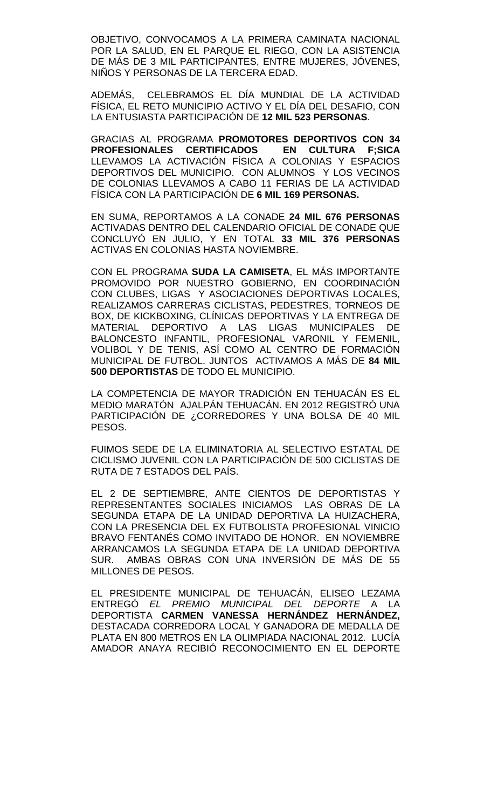OBJETIVO, CONVOCAMOS A LA PRIMERA CAMINATA NACIONAL POR LA SALUD, EN EL PARQUE EL RIEGO, CON LA ASISTENCIA DE MÁS DE 3 MIL PARTICIPANTES, ENTRE MUJERES, JÓVENES, NIÑOS Y PERSONAS DE LA TERCERA EDAD.

ADEMÁS, CELEBRAMOS EL DÍA MUNDIAL DE LA ACTIVIDAD FÍSICA, EL RETO MUNICIPIO ACTIVO Y EL DÍA DEL DESAFIO, CON LA ENTUSIASTA PARTICIPACIÓN DE **12 MIL 523 PERSONAS**.

GRACIAS AL PROGRAMA **PROMOTORES DEPORTIVOS CON 34 PROFESIONALES CERTIFICADOS EN CULTURA F;SICA** LLEVAMOS LA ACTIVACIÓN FÍSICA A COLONIAS Y ESPACIOS DEPORTIVOS DEL MUNICIPIO. CON ALUMNOS Y LOS VECINOS DE COLONIAS LLEVAMOS A CABO 11 FERIAS DE LA ACTIVIDAD FÍSICA CON LA PARTICIPACIÓN DE **6 MIL 169 PERSONAS.** 

EN SUMA, REPORTAMOS A LA CONADE **24 MIL 676 PERSONAS** ACTIVADAS DENTRO DEL CALENDARIO OFICIAL DE CONADE QUE CONCLUYÓ EN JULIO, Y EN TOTAL **33 MIL 376 PERSONAS** ACTIVAS EN COLONIAS HASTA NOVIEMBRE.

CON EL PROGRAMA **SUDA LA CAMISETA**, EL MÁS IMPORTANTE PROMOVIDO POR NUESTRO GOBIERNO, EN COORDINACIÓN CON CLUBES, LIGAS Y ASOCIACIONES DEPORTIVAS LOCALES, REALIZAMOS CARRERAS CICLISTAS, PEDESTRES, TORNEOS DE BOX, DE KICKBOXING, CLÍNICAS DEPORTIVAS Y LA ENTREGA DE MATERIAL DEPORTIVO A LAS LIGAS MUNICIPALES DE BALONCESTO INFANTIL, PROFESIONAL VARONIL Y FEMENIL, VOLIBOL Y DE TENIS, ASÍ COMO AL CENTRO DE FORMACIÓN MUNICIPAL DE FUTBOL. JUNTOS ACTIVAMOS A MÁS DE **84 MIL 500 DEPORTISTAS** DE TODO EL MUNICIPIO.

LA COMPETENCIA DE MAYOR TRADICIÓN EN TEHUACÁN ES EL MEDIO MARATÓN AJALPÁN TEHUACÁN. EN 2012 REGISTRÓ UNA PARTICIPACIÓN DE ¿CORREDORES Y UNA BOLSA DE 40 MIL PESOS.

FUIMOS SEDE DE LA ELIMINATORIA AL SELECTIVO ESTATAL DE CICLISMO JUVENIL CON LA PARTICIPACIÓN DE 500 CICLISTAS DE RUTA DE 7 ESTADOS DEL PAÍS.

EL 2 DE SEPTIEMBRE, ANTE CIENTOS DE DEPORTISTAS Y REPRESENTANTES SOCIALES INICIAMOS LAS OBRAS DE LA SEGUNDA ETAPA DE LA UNIDAD DEPORTIVA LA HUIZACHERA, CON LA PRESENCIA DEL EX FUTBOLISTA PROFESIONAL VINICIO BRAVO FENTANÉS COMO INVITADO DE HONOR. EN NOVIEMBRE ARRANCAMOS LA SEGUNDA ETAPA DE LA UNIDAD DEPORTIVA SUR. AMBAS OBRAS CON UNA INVERSIÓN DE MÁS DE 55 MILLONES DE PESOS.

EL PRESIDENTE MUNICIPAL DE TEHUACÁN, ELISEO LEZAMA ENTREGÓ *EL PREMIO MUNICIPAL DEL DEPORTE* A LA DEPORTISTA **CARMEN VANESSA HERNÁNDEZ HERNÁNDEZ,** DESTACADA CORREDORA LOCAL Y GANADORA DE MEDALLA DE PLATA EN 800 METROS EN LA OLIMPIADA NACIONAL 2012. LUCÍA AMADOR ANAYA RECIBIÓ RECONOCIMIENTO EN EL DEPORTE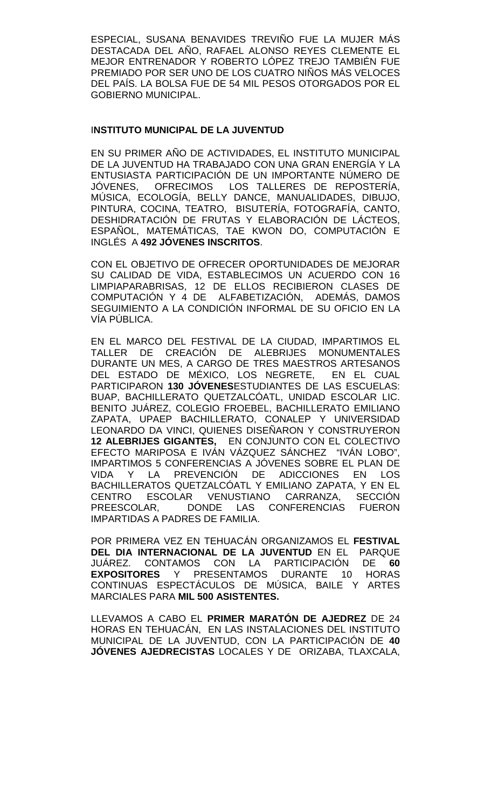ESPECIAL, SUSANA BENAVIDES TREVIÑO FUE LA MUJER MÁS DESTACADA DEL AÑO, RAFAEL ALONSO REYES CLEMENTE EL MEJOR ENTRENADOR Y ROBERTO LÓPEZ TREJO TAMBIÉN FUE PREMIADO POR SER UNO DE LOS CUATRO NIÑOS MÁS VELOCES DEL PAÍS. LA BOLSA FUE DE 54 MIL PESOS OTORGADOS POR EL GOBIERNO MUNICIPAL.

# I**NSTITUTO MUNICIPAL DE LA JUVENTUD**

EN SU PRIMER AÑO DE ACTIVIDADES, EL INSTITUTO MUNICIPAL DE LA JUVENTUD HA TRABAJADO CON UNA GRAN ENERGÍA Y LA ENTUSIASTA PARTICIPACIÓN DE UN IMPORTANTE NÚMERO DE<br>JÓVENES. OFRECIMOS LOS TALLERES DE REPOSTERÍA. JÓVENES, OFRECIMOS LOS TALLERES DE REPOSTERÍA, MÚSICA, ECOLOGÍA, BELLY DANCE, MANUALIDADES, DIBUJO, PINTURA, COCINA, TEATRO, BISUTERÍA, FOTOGRAFÍA, CANTO, DESHIDRATACIÓN DE FRUTAS Y ELABORACIÓN DE LÁCTEOS, ESPAÑOL, MATEMÁTICAS, TAE KWON DO, COMPUTACIÓN E INGLÉS A **492 JÓVENES INSCRITOS**.

CON EL OBJETIVO DE OFRECER OPORTUNIDADES DE MEJORAR SU CALIDAD DE VIDA, ESTABLECIMOS UN ACUERDO CON 16 LIMPIAPARABRISAS, 12 DE ELLOS RECIBIERON CLASES DE COMPUTACIÓN Y 4 DE ALFABETIZACIÓN, ADEMÁS, DAMOS SEGUIMIENTO A LA CONDICIÓN INFORMAL DE SU OFICIO EN LA VÍA PÚBLICA.

EN EL MARCO DEL FESTIVAL DE LA CIUDAD, IMPARTIMOS EL TALLER DE CREACIÓN DE ALEBRIJES MONUMENTALES DURANTE UN MES, A CARGO DE TRES MAESTROS ARTESANOS DEL ESTADO DE MÉXICO, LOS NEGRETE, EN EL CUAL PARTICIPARON **130 JÓVENES**ESTUDIANTES DE LAS ESCUELAS: BUAP, BACHILLERATO QUETZALCÓATL, UNIDAD ESCOLAR LIC. BENITO JUÁREZ, COLEGIO FROEBEL, BACHILLERATO EMILIANO ZAPATA, UPAEP BACHILLERATO, CONALEP Y UNIVERSIDAD LEONARDO DA VINCI, QUIENES DISEÑARON Y CONSTRUYERON **12 ALEBRIJES GIGANTES,** EN CONJUNTO CON EL COLECTIVO EFECTO MARIPOSA E IVÁN VÁZQUEZ SÁNCHEZ "IVÁN LOBO", IMPARTIMOS 5 CONFERENCIAS A JÓVENES SOBRE EL PLAN DE VIDA Y LA PREVENCIÓN DE ADICCIONES EN LOS BACHILLERATOS QUETZALCÓATL Y EMILIANO ZAPATA, Y EN EL<br>CENTRO ESCOLAR VENUSTIANO CARRANZA. SECCIÓN CENTRO ESCOLAR VENUSTIANO CARRANZA, SECCIÓN<br>PREESCOLAR. DONDE LAS CONFERENCIAS FUERON PREESCOLAR, DONDE LAS CONFERENCIAS FUERON IMPARTIDAS A PADRES DE FAMILIA.

POR PRIMERA VEZ EN TEHUACÁN ORGANIZAMOS EL **FESTIVAL DEL DIA INTERNACIONAL DE LA JUVENTUD** EN EL PARQUE JUÁREZ. CONTAMOS CON LA PARTICIPACIÓN DE **60 EXPOSITORES** Y PRESENTAMOS DURANTE 10 HORAS CONTINUAS ESPECTÁCULOS DE MÚSICA, BAILE Y ARTES MARCIALES PARA **MIL 500 ASISTENTES.**

LLEVAMOS A CABO EL **PRIMER MARATÓN DE AJEDREZ** DE 24 HORAS EN TEHUACÁN, EN LAS INSTALACIONES DEL INSTITUTO MUNICIPAL DE LA JUVENTUD, CON LA PARTICIPACIÓN DE **40 JÓVENES AJEDRECISTAS** LOCALES Y DE ORIZABA, TLAXCALA,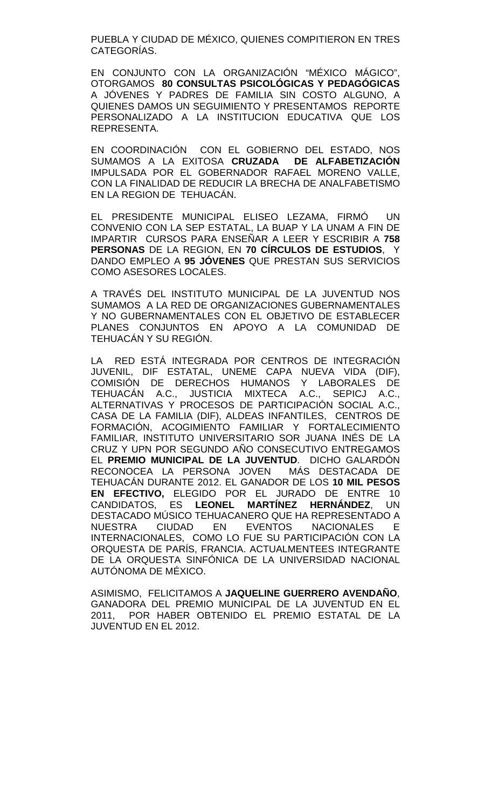PUEBLA Y CIUDAD DE MÉXICO, QUIENES COMPITIERON EN TRES CATEGORÍAS.

EN CONJUNTO CON LA ORGANIZACIÓN "MÉXICO MÁGICO", OTORGAMOS **80 CONSULTAS PSICOLÓGICAS Y PEDAGÓGICAS** A JÓVENES Y PADRES DE FAMILIA SIN COSTO ALGUNO, A QUIENES DAMOS UN SEGUIMIENTO Y PRESENTAMOS REPORTE PERSONALIZADO A LA INSTITUCION EDUCATIVA QUE LOS REPRESENTA.

EN COORDINACIÓN CON EL GOBIERNO DEL ESTADO, NOS SUMAMOS A LA EXITOSA **CRUZADA DE ALFABETIZACIÓN**  IMPULSADA POR EL GOBERNADOR RAFAEL MORENO VALLE, CON LA FINALIDAD DE REDUCIR LA BRECHA DE ANALFABETISMO EN LA REGION DE TEHUACÁN.

EL PRESIDENTE MUNICIPAL ELISEO LEZAMA, FIRMÓ UN CONVENIO CON LA SEP ESTATAL, LA BUAP Y LA UNAM A FIN DE IMPARTIR CURSOS PARA ENSEÑAR A LEER Y ESCRIBIR A **758 PERSONAS** DE LA REGION, EN **70 CÍRCULOS DE ESTUDIOS**, Y DANDO EMPLEO A **95 JÓVENES** QUE PRESTAN SUS SERVICIOS COMO ASESORES LOCALES.

A TRAVÉS DEL INSTITUTO MUNICIPAL DE LA JUVENTUD NOS SUMAMOS A LA RED DE ORGANIZACIONES GUBERNAMENTALES Y NO GUBERNAMENTALES CON EL OBJETIVO DE ESTABLECER PLANES CONJUNTOS EN APOYO A LA COMUNIDAD DE TEHUACÁN Y SU REGIÓN.

LA RED ESTÁ INTEGRADA POR CENTROS DE INTEGRACIÓN JUVENIL, DIF ESTATAL, UNEME CAPA NUEVA VIDA (DIF), COMISIÓN DE DERECHOS HUMANOS Y LABORALES DE TEHUACÁN A.C., JUSTICIA MIXTECA A.C., SEPICJ A.C., ALTERNATIVAS Y PROCESOS DE PARTICIPACIÓN SOCIAL A.C., CASA DE LA FAMILIA (DIF), ALDEAS INFANTILES, CENTROS DE FORMACIÓN, ACOGIMIENTO FAMILIAR Y FORTALECIMIENTO FAMILIAR, INSTITUTO UNIVERSITARIO SOR JUANA INÉS DE LA CRUZ Y UPN POR SEGUNDO AÑO CONSECUTIVO ENTREGAMOS EL **PREMIO MUNICIPAL DE LA JUVENTUD**. DICHO GALARDÓN RECONOCEA LA PERSONA JOVEN TEHUACÁN DURANTE 2012. EL GANADOR DE LOS **10 MIL PESOS EN EFECTIVO,** ELEGIDO POR EL JURADO DE ENTRE 10 CANDIDATOS, ES LEONEL MARTÍNEZ HERNÁNDEZ, DESTACADO MÚSICO TEHUACANERO QUE HA REPRESENTADO A NUESTRA CIUDAD EN EVENTOS NACIONALES E INTERNACIONALES, COMO LO FUE SU PARTICIPACIÓN CON LA ORQUESTA DE PARÍS, FRANCIA. ACTUALMENTEES INTEGRANTE DE LA ORQUESTA SINFÓNICA DE LA UNIVERSIDAD NACIONAL AUTÓNOMA DE MÉXICO.

ASIMISMO, FELICITAMOS A **JAQUELINE GUERRERO AVENDAÑO**, GANADORA DEL PREMIO MUNICIPAL DE LA JUVENTUD EN EL 2011, POR HABER OBTENIDO EL PREMIO ESTATAL DE LA JUVENTUD EN EL 2012.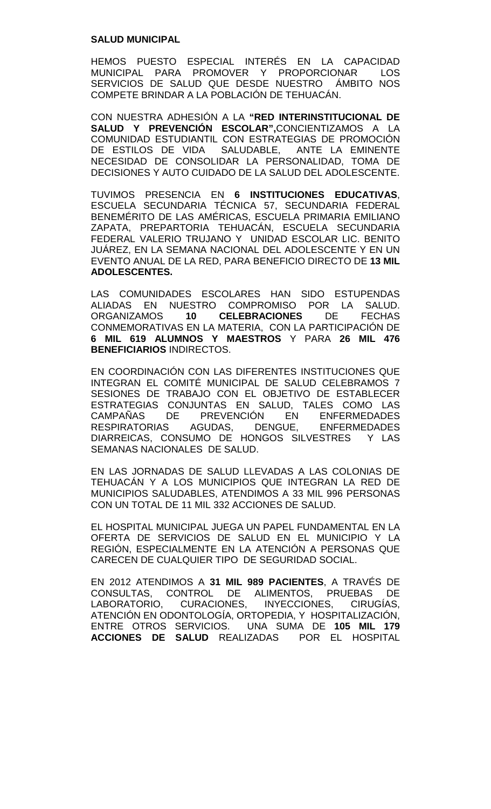#### **SALUD MUNICIPAL**

HEMOS PUESTO ESPECIAL INTERÉS EN LA CAPACIDAD MUNICIPAL PARA PROMOVER Y PROPORCIONAR LOS SERVICIOS DE SALUD QUE DESDE NUESTRO ÁMBITO NOS COMPETE BRINDAR A LA POBLACIÓN DE TEHUACÁN.

CON NUESTRA ADHESIÓN A LA **"RED INTERINSTITUCIONAL DE SALUD Y PREVENCIÓN ESCOLAR",**CONCIENTIZAMOS A LA COMUNIDAD ESTUDIANTIL CON ESTRATEGIAS DE PROMOCIÓN DE ESTILOS DE VIDA SALUDABLE, ANTE LA EMINENTE NECESIDAD DE CONSOLIDAR LA PERSONALIDAD, TOMA DE DECISIONES Y AUTO CUIDADO DE LA SALUD DEL ADOLESCENTE.

TUVIMOS PRESENCIA EN **6 INSTITUCIONES EDUCATIVAS**, ESCUELA SECUNDARIA TÉCNICA 57, SECUNDARIA FEDERAL BENEMÉRITO DE LAS AMÉRICAS, ESCUELA PRIMARIA EMILIANO ZAPATA, PREPARTORIA TEHUACÁN, ESCUELA SECUNDARIA FEDERAL VALERIO TRUJANO Y UNIDAD ESCOLAR LIC. BENITO JUÁREZ, EN LA SEMANA NACIONAL DEL ADOLESCENTE Y EN UN EVENTO ANUAL DE LA RED, PARA BENEFICIO DIRECTO DE **13 MIL ADOLESCENTES.** 

LAS COMUNIDADES ESCOLARES HAN SIDO ESTUPENDAS ALIADAS EN NUESTRO COMPROMISO POR LA SALUD.<br>ORGANIZAMOS 10 CELEBRACIONES DE FECHAS **CELEBRACIONES** DE FECHAS CONMEMORATIVAS EN LA MATERIA, CON LA PARTICIPACIÓN DE **6 MIL 619 ALUMNOS Y MAESTROS** Y PARA **26 MIL 476 BENEFICIARIOS** INDIRECTOS.

EN COORDINACIÓN CON LAS DIFERENTES INSTITUCIONES QUE INTEGRAN EL COMITÉ MUNICIPAL DE SALUD CELEBRAMOS 7 SESIONES DE TRABAJO CON EL OBJETIVO DE ESTABLECER ESTRATEGIAS CONJUNTAS EN SALUD, TALES COMO LAS<br>CAMPAÑAS DE PREVENCIÓN EN ENFERMEDADES CAMPAÑAS DE PREVENCIÓN EN ENFERMEDADES<br>RESPIRATORIAS AGUDAS, DENGUE, ENFERMEDADES AGUDAS, DENGUE, ENFERMEDADES DIARREICAS, CONSUMO DE HONGOS SILVESTRES Y LAS SEMANAS NACIONALES DE SALUD.

EN LAS JORNADAS DE SALUD LLEVADAS A LAS COLONIAS DE TEHUACÁN Y A LOS MUNICIPIOS QUE INTEGRAN LA RED DE MUNICIPIOS SALUDABLES, ATENDIMOS A 33 MIL 996 PERSONAS CON UN TOTAL DE 11 MIL 332 ACCIONES DE SALUD.

EL HOSPITAL MUNICIPAL JUEGA UN PAPEL FUNDAMENTAL EN LA OFERTA DE SERVICIOS DE SALUD EN EL MUNICIPIO Y LA REGIÓN, ESPECIALMENTE EN LA ATENCIÓN A PERSONAS QUE CARECEN DE CUALQUIER TIPO DE SEGURIDAD SOCIAL.

EN 2012 ATENDIMOS A **31 MIL 989 PACIENTES**, A TRAVÉS DE CONSULTAS, CONTROL DE ALIMENTOS, PRUEBAS DE LABORATORIO, CURACIONES, INYECCIONES, CIRUGÍAS, ATENCIÓN EN ODONTOLOGÍA, ORTOPEDIA, Y HOSPITALIZACIÓN, ENTRE OTROS SERVICIOS. UNA SUMA DE **105 MIL 179 ACCIONES DE SALUD** REALIZADAS POR EL HOSPITAL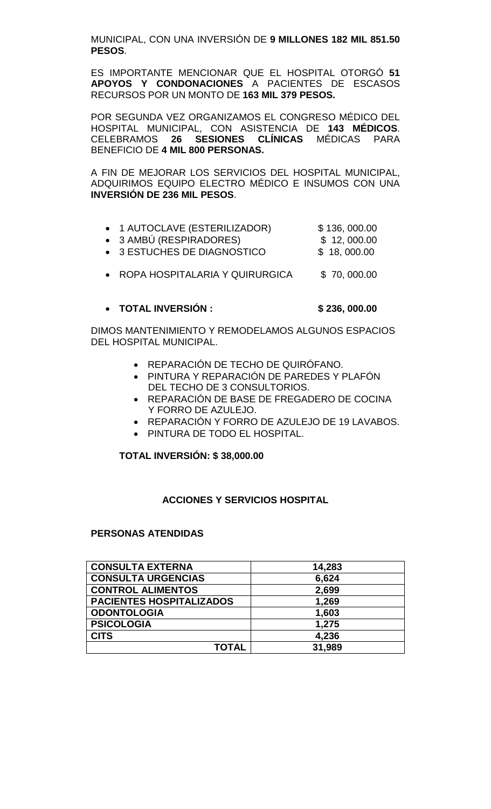MUNICIPAL, CON UNA INVERSIÓN DE **9 MILLONES 182 MIL 851.50 PESOS**.

ES IMPORTANTE MENCIONAR QUE EL HOSPITAL OTORGÓ **51 APOYOS Y CONDONACIONES** A PACIENTES DE ESCASOS RECURSOS POR UN MONTO DE **163 MIL 379 PESOS.** 

POR SEGUNDA VEZ ORGANIZAMOS EL CONGRESO MÉDICO DEL HOSPITAL MUNICIPAL, CON ASISTENCIA DE **143 MÉDICOS**. CELEBRAMOS **26 SESIONES CLÍNICAS** MÉDICAS PARA BENEFICIO DE **4 MIL 800 PERSONAS.**

A FIN DE MEJORAR LOS SERVICIOS DEL HOSPITAL MUNICIPAL, ADQUIRIMOS EQUIPO ELECTRO MÉDICO E INSUMOS CON UNA **INVERSIÓN DE 236 MIL PESOS**.

|  | 1 AUTOCLAVE (ESTERILIZADOR) | \$136,000.00 |
|--|-----------------------------|--------------|
|--|-----------------------------|--------------|

- 3 AMBÚ (RESPIRADORES) \$ 12, 000.00
- 3 ESTUCHES DE DIAGNOSTICO \$ 18, 000.00
- ROPA HOSPITALARIA Y QUIRURGICA \$70,000.00

# • **TOTAL INVERSIÓN : \$ 236, 000.00**

DIMOS MANTENIMIENTO Y REMODELAMOS ALGUNOS ESPACIOS DEL HOSPITAL MUNICIPAL.

- REPARACIÓN DE TECHO DE QUIRÓFANO.
- PINTURA Y REPARACIÓN DE PAREDES Y PLAFÓN DEL TECHO DE 3 CONSULTORIOS.
- REPARACIÓN DE BASE DE FREGADERO DE COCINA Y FORRO DE AZULEJO.
- REPARACIÓN Y FORRO DE AZULEJO DE 19 LAVABOS.
- PINTURA DE TODO EL HOSPITAL.

# **TOTAL INVERSIÓN: \$ 38,000.00**

# **ACCIONES Y SERVICIOS HOSPITAL**

# **PERSONAS ATENDIDAS**

| <b>CONSULTA EXTERNA</b>         | 14,283 |
|---------------------------------|--------|
| <b>CONSULTA URGENCIAS</b>       | 6,624  |
| <b>CONTROL ALIMENTOS</b>        | 2,699  |
| <b>PACIENTES HOSPITALIZADOS</b> | 1,269  |
| <b>ODONTOLOGIA</b>              | 1,603  |
| <b>PSICOLOGIA</b>               | 1,275  |
| <b>CITS</b>                     | 4,236  |
| <b>TOTAL</b>                    | 31,989 |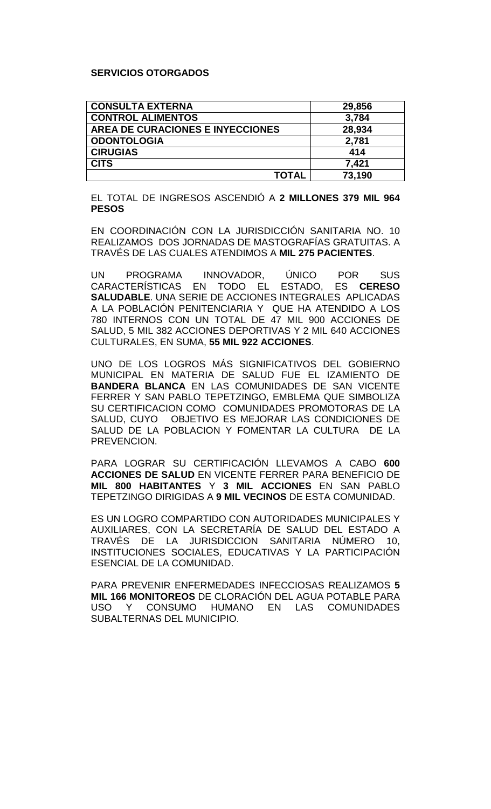# **SERVICIOS OTORGADOS**

| <b>CONSULTA EXTERNA</b>          | 29,856 |
|----------------------------------|--------|
| <b>CONTROL ALIMENTOS</b>         | 3,784  |
| AREA DE CURACIONES E INYECCIONES | 28,934 |
| <b>ODONTOLOGIA</b>               | 2,781  |
| <b>CIRUGIAS</b>                  | 414    |
| <b>CITS</b>                      | 7,421  |
| <b>TOTAL</b>                     | 73,190 |

EL TOTAL DE INGRESOS ASCENDIÓ A **2 MILLONES 379 MIL 964 PESOS** 

EN COORDINACIÓN CON LA JURISDICCIÓN SANITARIA NO. 10 REALIZAMOS DOS JORNADAS DE MASTOGRAFÍAS GRATUITAS. A TRAVÉS DE LAS CUALES ATENDIMOS A **MIL 275 PACIENTES**.

UN PROGRAMA INNOVADOR, ÚNICO POR SUS<br>CARACTERÍSTICAS EN TODO EL ESTADO, ES **CERESO** CARACTERÍSTICAS EN **SALUDABLE**. UNA SERIE DE ACCIONES INTEGRALES APLICADAS A LA POBLACIÓN PENITENCIARIA Y QUE HA ATENDIDO A LOS 780 INTERNOS CON UN TOTAL DE 47 MIL 900 ACCIONES DE SALUD, 5 MIL 382 ACCIONES DEPORTIVAS Y 2 MIL 640 ACCIONES CULTURALES, EN SUMA, **55 MIL 922 ACCIONES**.

UNO DE LOS LOGROS MÁS SIGNIFICATIVOS DEL GOBIERNO MUNICIPAL EN MATERIA DE SALUD FUE EL IZAMIENTO DE **BANDERA BLANCA** EN LAS COMUNIDADES DE SAN VICENTE FERRER Y SAN PABLO TEPETZINGO, EMBLEMA QUE SIMBOLIZA SU CERTIFICACION COMO COMUNIDADES PROMOTORAS DE LA SALUD, CUYO OBJETIVO ES MEJORAR LAS CONDICIONES DE SALUD DE LA POBLACION Y FOMENTAR LA CULTURA DE LA PREVENCION.

PARA LOGRAR SU CERTIFICACIÓN LLEVAMOS A CABO **600 ACCIONES DE SALUD** EN VICENTE FERRER PARA BENEFICIO DE **MIL 800 HABITANTES** Y **3 MIL ACCIONES** EN SAN PABLO TEPETZINGO DIRIGIDAS A **9 MIL VECINOS** DE ESTA COMUNIDAD.

ES UN LOGRO COMPARTIDO CON AUTORIDADES MUNICIPALES Y AUXILIARES, CON LA SECRETARÍA DE SALUD DEL ESTADO A TRAVÉS DE LA JURISDICCION SANITARIA NÚMERO 10, INSTITUCIONES SOCIALES, EDUCATIVAS Y LA PARTICIPACIÓN ESENCIAL DE LA COMUNIDAD.

PARA PREVENIR ENFERMEDADES INFECCIOSAS REALIZAMOS **5 MIL 166 MONITOREOS** DE CLORACIÓN DEL AGUA POTABLE PARA USO Y CONSUMO HUMANO EN LAS SUBALTERNAS DEL MUNICIPIO.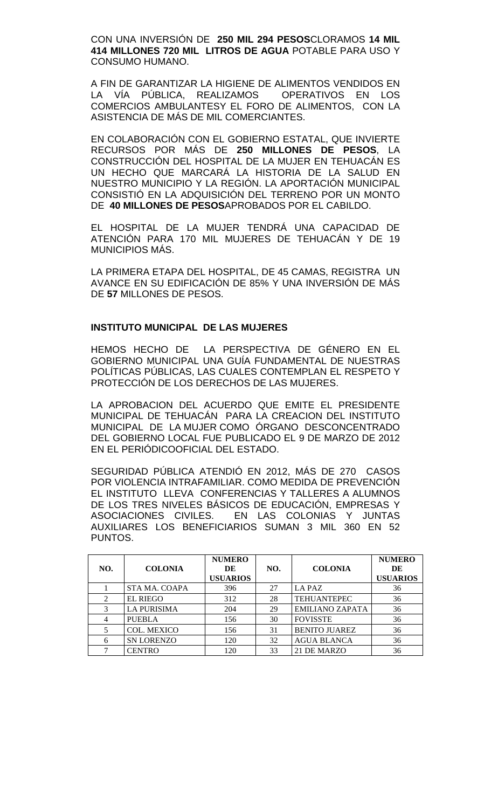CON UNA INVERSIÓN DE **250 MIL 294 PESOS**CLORAMOS **14 MIL 414 MILLONES 720 MIL LITROS DE AGUA** POTABLE PARA USO Y CONSUMO HUMANO.

A FIN DE GARANTIZAR LA HIGIENE DE ALIMENTOS VENDIDOS EN LA VÍA PÚBLICA, REALIZAMOS OPERATIVOS EN LOS COMERCIOS AMBULANTESY EL FORO DE ALIMENTOS, CON LA ASISTENCIA DE MÁS DE MIL COMERCIANTES.

EN COLABORACIÓN CON EL GOBIERNO ESTATAL, QUE INVIERTE RECURSOS POR MÁS DE **250 MILLONES DE PESOS**, LA CONSTRUCCIÓN DEL HOSPITAL DE LA MUJER EN TEHUACÁN ES UN HECHO QUE MARCARÁ LA HISTORIA DE LA SALUD EN NUESTRO MUNICIPIO Y LA REGIÓN. LA APORTACIÓN MUNICIPAL CONSISTIÓ EN LA ADQUISICIÓN DEL TERRENO POR UN MONTO DE **40 MILLONES DE PESOS**APROBADOS POR EL CABILDO.

EL HOSPITAL DE LA MUJER TENDRÁ UNA CAPACIDAD DE ATENCIÓN PARA 170 MIL MUJERES DE TEHUACÁN Y DE 19 MUNICIPIOS MÁS.

LA PRIMERA ETAPA DEL HOSPITAL, DE 45 CAMAS, REGISTRA UN AVANCE EN SU EDIFICACIÓN DE 85% Y UNA INVERSIÓN DE MÁS DE **57** MILLONES DE PESOS.

#### **INSTITUTO MUNICIPAL DE LAS MUJERES**

HEMOS HECHO DE LA PERSPECTIVA DE GÉNERO EN EL GOBIERNO MUNICIPAL UNA GUÍA FUNDAMENTAL DE NUESTRAS POLÍTICAS PÚBLICAS, LAS CUALES CONTEMPLAN EL RESPETO Y PROTECCIÓN DE LOS DERECHOS DE LAS MUJERES.

LA APROBACION DEL ACUERDO QUE EMITE EL PRESIDENTE MUNICIPAL DE TEHUACÁN PARA LA CREACION DEL INSTITUTO MUNICIPAL DE LA MUJER COMO ÓRGANO DESCONCENTRADO DEL GOBIERNO LOCAL FUE PUBLICADO EL 9 DE MARZO DE 2012 EN EL PERIÓDICOOFICIAL DEL ESTADO.

SEGURIDAD PÚBLICA ATENDIÓ EN 2012, MÁS DE 270 CASOS POR VIOLENCIA INTRAFAMILIAR. COMO MEDIDA DE PREVENCIÓN EL INSTITUTO LLEVA CONFERENCIAS Y TALLERES A ALUMNOS DE LOS TRES NIVELES BÁSICOS DE EDUCACIÓN, EMPRESAS Y ASOCIACIONES CIVILES. EN LAS COLONIAS Y JUNTAS AUXILIARES LOS BENEFICIARIOS SUMAN 3 MIL 360 EN 52 PUNTOS.

| NO. | <b>COLONIA</b>     | <b>NUMERO</b><br>DE<br><b>USUARIOS</b> | NO. | <b>COLONIA</b>         | <b>NUMERO</b><br>DE<br><b>USUARIOS</b> |
|-----|--------------------|----------------------------------------|-----|------------------------|----------------------------------------|
|     | STA MA. COAPA      | 396                                    | 27  | LA PAZ                 | 36                                     |
| 2   | <b>EL RIEGO</b>    | 312                                    | 28  | <b>TEHUANTEPEC</b>     | 36                                     |
| 3   | <b>LA PURISIMA</b> | 204                                    | 29  | <b>EMILIANO ZAPATA</b> | 36                                     |
| 4   | <b>PUEBLA</b>      | 156                                    | 30  | <b>FOVISSTE</b>        | 36                                     |
|     | <b>COL. MEXICO</b> | 156                                    | 31  | <b>BENITO JUAREZ</b>   | 36                                     |
| 6   | <b>SN LORENZO</b>  | 120                                    | 32  | <b>AGUA BLANCA</b>     | 36                                     |
| ⇁   | <b>CENTRO</b>      | 120                                    | 33  | 21 DE MARZO            | 36                                     |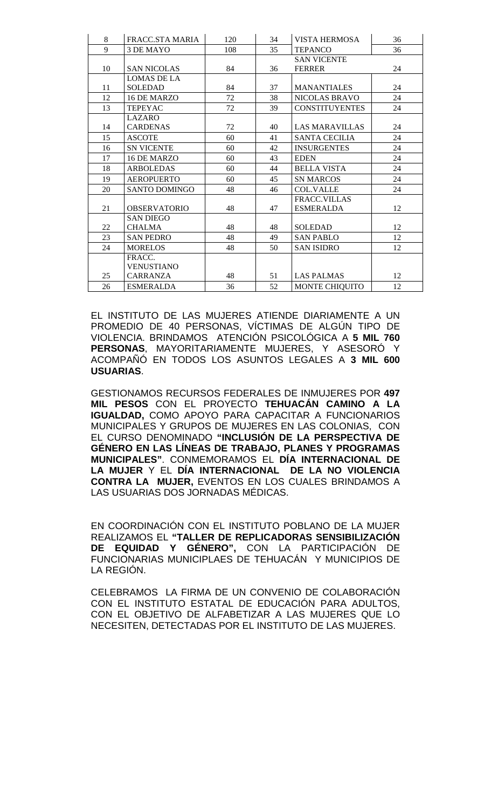| 8  | FRACC.STA MARIA      | 120 | 34 | <b>VISTA HERMOSA</b>  | 36 |
|----|----------------------|-----|----|-----------------------|----|
| 9  | 3 DE MAYO            | 108 | 35 | <b>TEPANCO</b>        | 36 |
|    |                      |     |    | <b>SAN VICENTE</b>    |    |
| 10 | <b>SAN NICOLAS</b>   | 84  | 36 | <b>FERRER</b>         | 24 |
|    | LOMAS DE LA          |     |    |                       |    |
| 11 | <b>SOLEDAD</b>       | 84  | 37 | <b>MANANTIALES</b>    | 24 |
| 12 | 16 DE MARZO          | 72  | 38 | <b>NICOLAS BRAVO</b>  | 24 |
| 13 | <b>TEPEYAC</b>       | 72  | 39 | <b>CONSTITUYENTES</b> | 24 |
|    | <b>LAZARO</b>        |     |    |                       |    |
| 14 | <b>CARDENAS</b>      | 72  | 40 | <b>LAS MARAVILLAS</b> | 24 |
| 15 | <b>ASCOTE</b>        | 60  | 41 | <b>SANTA CECILIA</b>  | 24 |
| 16 | <b>SN VICENTE</b>    | 60  | 42 | <b>INSURGENTES</b>    | 24 |
| 17 | 16 DE MARZO          | 60  | 43 | <b>EDEN</b>           | 24 |
| 18 | <b>ARBOLEDAS</b>     | 60  | 44 | <b>BELLA VISTA</b>    | 24 |
| 19 | <b>AEROPUERTO</b>    | 60  | 45 | <b>SN MARCOS</b>      | 24 |
| 20 | <b>SANTO DOMINGO</b> | 48  | 46 | <b>COL.VALLE</b>      | 24 |
|    |                      |     |    | FRACC.VILLAS          |    |
| 21 | <b>OBSERVATORIO</b>  | 48  | 47 | <b>ESMERALDA</b>      | 12 |
|    | <b>SAN DIEGO</b>     |     |    |                       |    |
| 22 | <b>CHALMA</b>        | 48  | 48 | <b>SOLEDAD</b>        | 12 |
| 23 | <b>SAN PEDRO</b>     | 48  | 49 | <b>SAN PABLO</b>      | 12 |
| 24 | <b>MORELOS</b>       | 48  | 50 | <b>SAN ISIDRO</b>     | 12 |
|    | FRACC.               |     |    |                       |    |
|    | <b>VENUSTIANO</b>    |     |    |                       |    |
| 25 | <b>CARRANZA</b>      | 48  | 51 | <b>LAS PALMAS</b>     | 12 |
| 26 | <b>ESMERALDA</b>     | 36  | 52 | MONTE CHIQUITO        | 12 |

EL INSTITUTO DE LAS MUJERES ATIENDE DIARIAMENTE A UN PROMEDIO DE 40 PERSONAS, VÍCTIMAS DE ALGÚN TIPO DE VIOLENCIA. BRINDAMOS ATENCIÓN PSICOLÓGICA A **5 MIL 760 PERSONAS**, MAYORITARIAMENTE MUJERES, Y ASESORÓ Y ACOMPAÑÓ EN TODOS LOS ASUNTOS LEGALES A **3 MIL 600 USUARIAS**.

GESTIONAMOS RECURSOS FEDERALES DE INMUJERES POR **497 MIL PESOS** CON EL PROYECTO **TEHUACÁN CAMINO A LA IGUALDAD,** COMO APOYO PARA CAPACITAR A FUNCIONARIOS MUNICIPALES Y GRUPOS DE MUJERES EN LAS COLONIAS, CON EL CURSO DENOMINADO **"INCLUSIÓN DE LA PERSPECTIVA DE GÉNERO EN LAS LÍNEAS DE TRABAJO, PLANES Y PROGRAMAS MUNICIPALES"**. CONMEMORAMOS EL **DÍA INTERNACIONAL DE LA MUJER** Y EL **DÍA INTERNACIONAL DE LA NO VIOLENCIA CONTRA LA MUJER,** EVENTOS EN LOS CUALES BRINDAMOS A LAS USUARIAS DOS JORNADAS MÉDICAS.

EN COORDINACIÓN CON EL INSTITUTO POBLANO DE LA MUJER REALIZAMOS EL **"TALLER DE REPLICADORAS SENSIBILIZACIÓN DE EQUIDAD Y GÉNERO",** CON LA PARTICIPACIÓN DE FUNCIONARIAS MUNICIPLAES DE TEHUACÁN Y MUNICIPIOS DE LA REGIÓN.

CELEBRAMOS LA FIRMA DE UN CONVENIO DE COLABORACIÓN CON EL INSTITUTO ESTATAL DE EDUCACIÓN PARA ADULTOS, CON EL OBJETIVO DE ALFABETIZAR A LAS MUJERES QUE LO NECESITEN, DETECTADAS POR EL INSTITUTO DE LAS MUJERES.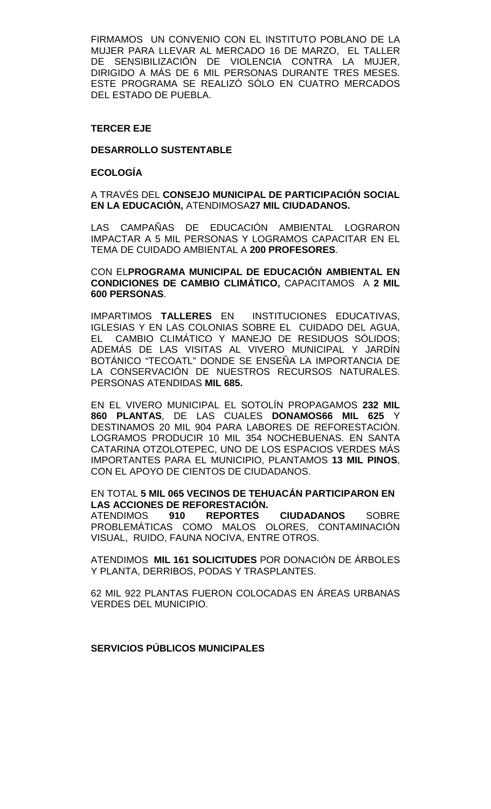FIRMAMOS UN CONVENIO CON EL INSTITUTO POBLANO DE LA MUJER PARA LLEVAR AL MERCADO 16 DE MARZO, EL TALLER DE SENSIBILIZACIÓN DE VIOLENCIA CONTRA LA MUJER, DIRIGIDO A MÁS DE 6 MIL PERSONAS DURANTE TRES MESES. ESTE PROGRAMA SE REALIZÓ SÓLO EN CUATRO MERCADOS DEL ESTADO DE PUEBLA.

#### **TERCER EJE**

#### **DESARROLLO SUSTENTABLE**

#### **ECOLOGÍA**

A TRAVÉS DEL **CONSEJO MUNICIPAL DE PARTICIPACIÓN SOCIAL EN LA EDUCACIÓN,** ATENDIMOSA**27 MIL CIUDADANOS.** 

LAS CAMPAÑAS DE EDUCACIÓN AMBIENTAL LOGRARON IMPACTAR A 5 MIL PERSONAS Y LOGRAMOS CAPACITAR EN EL TEMA DE CUIDADO AMBIENTAL A **200 PROFESORES**.

CON EL**PROGRAMA MUNICIPAL DE EDUCACIÓN AMBIENTAL EN CONDICIONES DE CAMBIO CLIMÁTICO,** CAPACITAMOS A **2 MIL 600 PERSONAS**.

IMPARTIMOS **TALLERES** EN INSTITUCIONES EDUCATIVAS, IGLESIAS Y EN LAS COLONIAS SOBRE EL CUIDADO DEL AGUA, EL CAMBIO CLIMÁTICO Y MANEJO DE RESIDUOS SÓLIDOS; ADEMÁS DE LAS VISITAS AL VIVERO MUNICIPAL Y JARDÍN BOTÁNICO "TECOATL" DONDE SE ENSEÑA LA IMPORTANCIA DE LA CONSERVACIÓN DE NUESTROS RECURSOS NATURALES. PERSONAS ATENDIDAS **MIL 685.**

EN EL VIVERO MUNICIPAL EL SOTOLÍN PROPAGAMOS **232 MIL 860 PLANTAS**, DE LAS CUALES **DONAMOS66 MIL 625** Y DESTINAMOS 20 MIL 904 PARA LABORES DE REFORESTACIÓN. LOGRAMOS PRODUCIR 10 MIL 354 NOCHEBUENAS. EN SANTA CATARINA OTZOLOTEPEC, UNO DE LOS ESPACIOS VERDES MÁS IMPORTANTES PARA EL MUNICIPIO, PLANTAMOS **13 MIL PINOS**, CON EL APOYO DE CIENTOS DE CIUDADANOS.

EN TOTAL **5 MIL 065 VECINOS DE TEHUACÁN PARTICIPARON EN LAS ACCIONES DE REFORESTACIÓN.**

ATENDIMOS **910 REPORTES CIUDADANOS** SOBRE PROBLEMÁTICAS COMO MALOS OLORES, CONTAMINACIÓN VISUAL, RUIDO, FAUNA NOCIVA, ENTRE OTROS.

ATENDIMOS **MIL 161 SOLICITUDES** POR DONACIÓN DE ÁRBOLES Y PLANTA, DERRIBOS, PODAS Y TRASPLANTES.

62 MIL 922 PLANTAS FUERON COLOCADAS EN ÁREAS URBANAS VERDES DEL MUNICIPIO.

**SERVICIOS PÚBLICOS MUNICIPALES**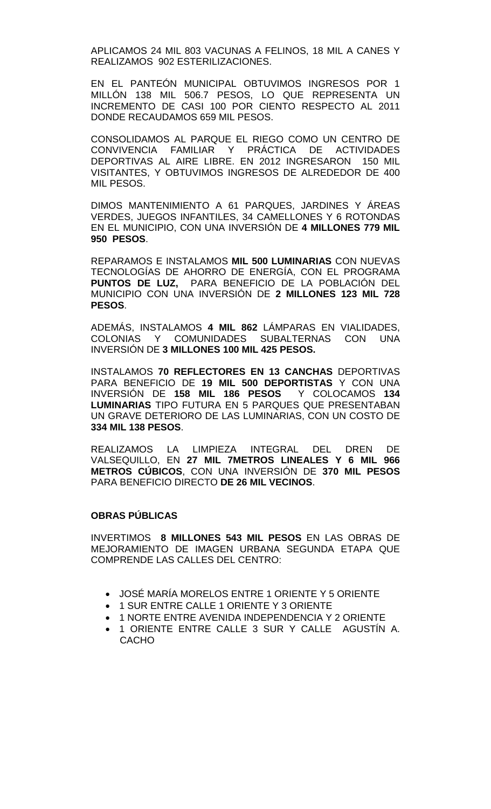APLICAMOS 24 MIL 803 VACUNAS A FELINOS, 18 MIL A CANES Y REALIZAMOS 902 ESTERILIZACIONES.

EN EL PANTEÓN MUNICIPAL OBTUVIMOS INGRESOS POR 1 MILLÓN 138 MIL 506.7 PESOS, LO QUE REPRESENTA UN INCREMENTO DE CASI 100 POR CIENTO RESPECTO AL 2011 DONDE RECAUDAMOS 659 MIL PESOS.

CONSOLIDAMOS AL PARQUE EL RIEGO COMO UN CENTRO DE CONVIVENCIA FAMILIAR Y PRÁCTICA DE ACTIVIDADES DEPORTIVAS AL AIRE LIBRE. EN 2012 INGRESARON 150 MIL VISITANTES, Y OBTUVIMOS INGRESOS DE ALREDEDOR DE 400 MIL PESOS.

DIMOS MANTENIMIENTO A 61 PARQUES, JARDINES Y ÁREAS VERDES, JUEGOS INFANTILES, 34 CAMELLONES Y 6 ROTONDAS EN EL MUNICIPIO, CON UNA INVERSIÓN DE **4 MILLONES 779 MIL 950 PESOS**.

REPARAMOS E INSTALAMOS **MIL 500 LUMINARIAS** CON NUEVAS TECNOLOGÍAS DE AHORRO DE ENERGÍA, CON EL PROGRAMA **PUNTOS DE LUZ,** PARA BENEFICIO DE LA POBLACIÓN DEL MUNICIPIO CON UNA INVERSIÓN DE **2 MILLONES 123 MIL 728 PESOS**.

ADEMÁS, INSTALAMOS **4 MIL 862** LÁMPARAS EN VIALIDADES, COLONIAS Y COMUNIDADES SUBALTERNAS CON UNA INVERSIÓN DE **3 MILLONES 100 MIL 425 PESOS.** 

INSTALAMOS **70 REFLECTORES EN 13 CANCHAS** DEPORTIVAS PARA BENEFICIO DE **19 MIL 500 DEPORTISTAS** Y CON UNA INVERSIÓN DE **158 MIL 186 PESOS** Y COLOCAMOS **134 LUMINARIAS** TIPO FUTURA EN 5 PARQUES QUE PRESENTABAN UN GRAVE DETERIORO DE LAS LUMINARIAS, CON UN COSTO DE **334 MIL 138 PESOS**.

REALIZAMOS LA LIMPIEZA INTEGRAL DEL DREN DE VALSEQUILLO, EN **27 MIL 7METROS LINEALES Y 6 MIL 966 METROS CÚBICOS**, CON UNA INVERSIÓN DE **370 MIL PESOS** PARA BENEFICIO DIRECTO **DE 26 MIL VECINOS**.

#### **OBRAS PÚBLICAS**

INVERTIMOS **8 MILLONES 543 MIL PESOS** EN LAS OBRAS DE MEJORAMIENTO DE IMAGEN URBANA SEGUNDA ETAPA QUE COMPRENDE LAS CALLES DEL CENTRO:

- JOSÉ MARÍA MORELOS ENTRE 1 ORIENTE Y 5 ORIENTE
- 1 SUR ENTRE CALLE 1 ORIENTE Y 3 ORIENTE
- 1 NORTE ENTRE AVENIDA INDEPENDENCIA Y 2 ORIENTE
- 1 ORIENTE ENTRE CALLE 3 SUR Y CALLE AGUSTÍN A. CACHO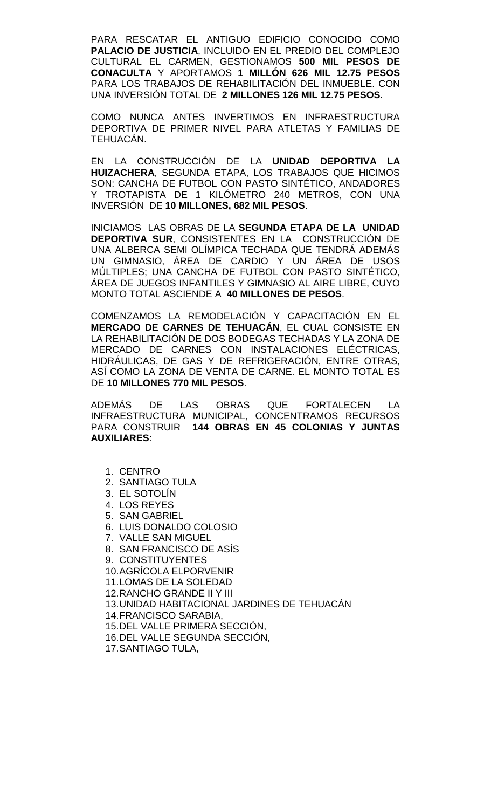PARA RESCATAR EL ANTIGUO EDIFICIO CONOCIDO COMO **PALACIO DE JUSTICIA**, INCLUIDO EN EL PREDIO DEL COMPLEJO CULTURAL EL CARMEN, GESTIONAMOS **500 MIL PESOS DE CONACULTA** Y APORTAMOS **1 MILLÓN 626 MIL 12.75 PESOS**  PARA LOS TRABAJOS DE REHABILITACIÓN DEL INMUEBLE. CON UNA INVERSIÓN TOTAL DE **2 MILLONES 126 MIL 12.75 PESOS.**

COMO NUNCA ANTES INVERTIMOS EN INFRAESTRUCTURA DEPORTIVA DE PRIMER NIVEL PARA ATLETAS Y FAMILIAS DE TEHUACÁN.

EN LA CONSTRUCCIÓN DE LA **UNIDAD DEPORTIVA LA HUIZACHERA**, SEGUNDA ETAPA, LOS TRABAJOS QUE HICIMOS SON: CANCHA DE FUTBOL CON PASTO SINTÉTICO, ANDADORES Y TROTAPISTA DE 1 KILÓMETRO 240 METROS, CON UNA INVERSIÓN DE **10 MILLONES, 682 MIL PESOS**.

INICIAMOS LAS OBRAS DE LA **SEGUNDA ETAPA DE LA UNIDAD DEPORTIVA SUR**, CONSISTENTES EN LA CONSTRUCCIÓN DE UNA ALBERCA SEMI OLÍMPICA TECHADA QUE TENDRÁ ADEMÁS UN GIMNASIO, ÁREA DE CARDIO Y UN ÁREA DE USOS MÚLTIPLES; UNA CANCHA DE FUTBOL CON PASTO SINTÉTICO, ÁREA DE JUEGOS INFANTILES Y GIMNASIO AL AIRE LIBRE, CUYO MONTO TOTAL ASCIENDE A **40 MILLONES DE PESOS**.

COMENZAMOS LA REMODELACIÓN Y CAPACITACIÓN EN EL **MERCADO DE CARNES DE TEHUACÁN**, EL CUAL CONSISTE EN LA REHABILITACIÓN DE DOS BODEGAS TECHADAS Y LA ZONA DE MERCADO DE CARNES CON INSTALACIONES ELÉCTRICAS, HIDRÁULICAS, DE GAS Y DE REFRIGERACIÓN, ENTRE OTRAS, ASÍ COMO LA ZONA DE VENTA DE CARNE. EL MONTO TOTAL ES DE **10 MILLONES 770 MIL PESOS**.

ADEMÁS DE LAS OBRAS QUE FORTALECEN LA INFRAESTRUCTURA MUNICIPAL, CONCENTRAMOS RECURSOS PARA CONSTRUIR **144 OBRAS EN 45 COLONIAS Y JUNTAS AUXILIARES**:

- 1. CENTRO
- 2. SANTIAGO TULA
- 3. EL SOTOLÍN
- 4. LOS REYES
- 5. SAN GABRIEL
- 6. LUIS DONALDO COLOSIO
- 7. VALLE SAN MIGUEL
- 8. SAN FRANCISCO DE ASÍS
- 9. CONSTITUYENTES
- 10.AGRÍCOLA ELPORVENIR
- 11.LOMAS DE LA SOLEDAD
- 12.RANCHO GRANDE II Y III
- 13.UNIDAD HABITACIONAL JARDINES DE TEHUACÁN
- 14.FRANCISCO SARABIA,
- 15.DEL VALLE PRIMERA SECCIÓN,
- 16.DEL VALLE SEGUNDA SECCIÓN,
- 17.SANTIAGO TULA,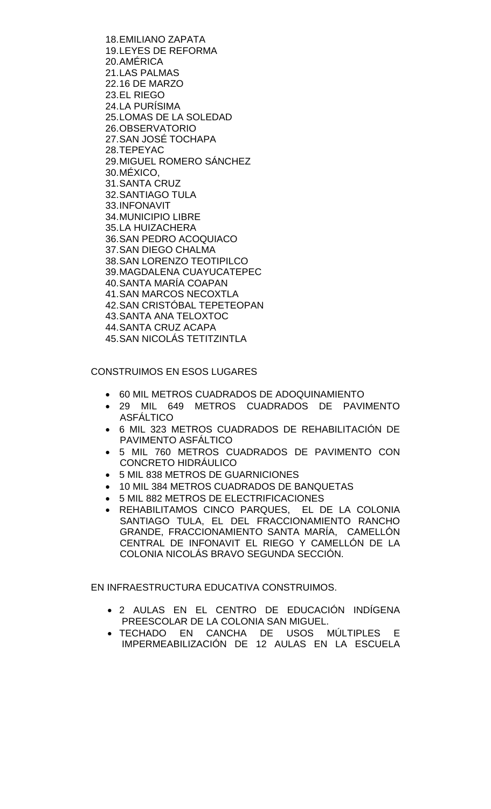18.EMILIANO ZAPATA 19.LEYES DE REFORMA 20.AMÉRICA 21.LAS PALMAS 22.16 DE MARZO 23.EL RIEGO 24.LA PURÍSIMA 25.LOMAS DE LA SOLEDAD 26.OBSERVATORIO 27.SAN JOSÉ TOCHAPA 28.TEPEYAC 29.MIGUEL ROMERO SÁNCHEZ 30.MÉXICO, 31.SANTA CRUZ 32.SANTIAGO TULA 33.INFONAVIT 34.MUNICIPIO LIBRE 35.LA HUIZACHERA 36.SAN PEDRO ACOQUIACO 37.SAN DIEGO CHALMA 38.SAN LORENZO TEOTIPILCO 39.MAGDALENA CUAYUCATEPEC 40.SANTA MARÍA COAPAN 41.SAN MARCOS NECOXTLA 42.SAN CRISTÓBAL TEPETEOPAN 43.SANTA ANA TELOXTOC 44.SANTA CRUZ ACAPA 45.SAN NICOLÁS TETITZINTLA

CONSTRUIMOS EN ESOS LUGARES

- 60 MIL METROS CUADRADOS DE ADOQUINAMIENTO
- 29 MIL 649 METROS CUADRADOS DE PAVIMENTO ASFÁLTICO
- 6 MIL 323 METROS CUADRADOS DE REHABILITACIÓN DE PAVIMENTO ASFÁLTICO
- 5 MIL 760 METROS CUADRADOS DE PAVIMENTO CON CONCRETO HIDRÁULICO
- 5 MIL 838 METROS DE GUARNICIONES
- 10 MIL 384 METROS CUADRADOS DE BANQUETAS
- 5 MIL 882 METROS DE ELECTRIFICACIONES
- REHABILITAMOS CINCO PARQUES, EL DE LA COLONIA SANTIAGO TULA, EL DEL FRACCIONAMIENTO RANCHO GRANDE, FRACCIONAMIENTO SANTA MARÍA, CAMELLÓN CENTRAL DE INFONAVIT EL RIEGO Y CAMELLÓN DE LA COLONIA NICOLÁS BRAVO SEGUNDA SECCIÓN.

EN INFRAESTRUCTURA EDUCATIVA CONSTRUIMOS.

- 2 AULAS EN EL CENTRO DE EDUCACIÓN INDÍGENA PREESCOLAR DE LA COLONIA SAN MIGUEL.
- TECHADO EN CANCHA DE USOS MÚLTIPLES E IMPERMEABILIZACIÓN DE 12 AULAS EN LA ESCUELA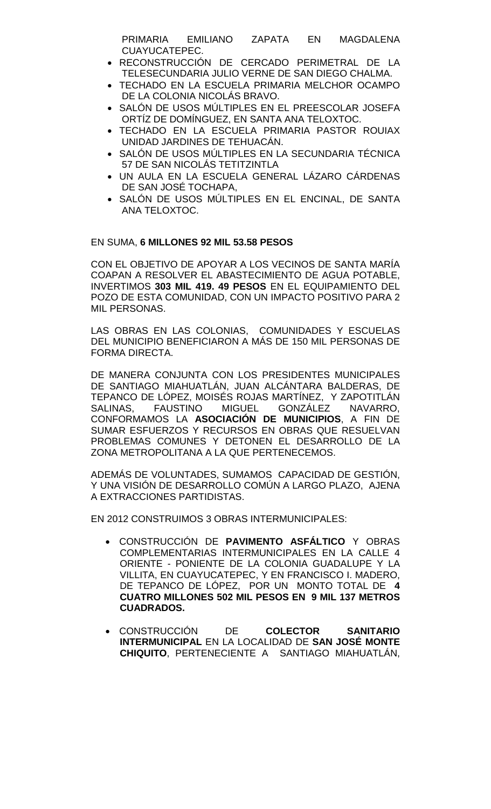PRIMARIA EMILIANO ZAPATA EN MAGDALENA CUAYUCATEPEC.

- RECONSTRUCCIÓN DE CERCADO PERIMETRAL DE LA TELESECUNDARIA JULIO VERNE DE SAN DIEGO CHALMA.
- TECHADO EN LA ESCUELA PRIMARIA MELCHOR OCAMPO DE LA COLONIA NICOLÁS BRAVO.
- SALÓN DE USOS MÚLTIPLES EN EL PREESCOLAR JOSEFA ORTÍZ DE DOMÍNGUEZ, EN SANTA ANA TELOXTOC.
- TECHADO EN LA ESCUELA PRIMARIA PASTOR ROUIAX UNIDAD JARDINES DE TEHUACÁN.
- SALÓN DE USOS MÚLTIPLES EN LA SECUNDARIA TÉCNICA 57 DE SAN NICOLÁS TETITZINTLA
- UN AULA EN LA ESCUELA GENERAL LÁZARO CÁRDENAS DE SAN JOSÉ TOCHAPA,
- SALÓN DE USOS MÚLTIPLES EN EL ENCINAL, DE SANTA ANA TELOXTOC.

# EN SUMA, **6 MILLONES 92 MIL 53.58 PESOS**

CON EL OBJETIVO DE APOYAR A LOS VECINOS DE SANTA MARÍA COAPAN A RESOLVER EL ABASTECIMIENTO DE AGUA POTABLE, INVERTIMOS **303 MIL 419. 49 PESOS** EN EL EQUIPAMIENTO DEL POZO DE ESTA COMUNIDAD, CON UN IMPACTO POSITIVO PARA 2 MIL PERSONAS.

LAS OBRAS EN LAS COLONIAS, COMUNIDADES Y ESCUELAS DEL MUNICIPIO BENEFICIARON A MÁS DE 150 MIL PERSONAS DE FORMA DIRECTA.

DE MANERA CONJUNTA CON LOS PRESIDENTES MUNICIPALES DE SANTIAGO MIAHUATLÁN, JUAN ALCÁNTARA BALDERAS, DE TEPANCO DE LÓPEZ, MOISÉS ROJAS MARTÍNEZ, Y ZAPOTITLÁN<br>SALINAS. FAUSTINO MIGUEL GONZÁLEZ NAVARRO. SALINAS, FAUSTINO MIGUEL GONZÁLEZ NAVARRO, CONFORMAMOS LA **ASOCIACIÓN DE MUNICIPIOS**, A FIN DE SUMAR ESFUERZOS Y RECURSOS EN OBRAS QUE RESUELVAN PROBLEMAS COMUNES Y DETONEN EL DESARROLLO DE LA ZONA METROPOLITANA A LA QUE PERTENECEMOS.

ADEMÁS DE VOLUNTADES, SUMAMOS CAPACIDAD DE GESTIÓN, Y UNA VISIÓN DE DESARROLLO COMÚN A LARGO PLAZO, AJENA A EXTRACCIONES PARTIDISTAS.

EN 2012 CONSTRUIMOS 3 OBRAS INTERMUNICIPALES:

- CONSTRUCCIÓN DE **PAVIMENTO ASFÁLTICO** Y OBRAS COMPLEMENTARIAS INTERMUNICIPALES EN LA CALLE 4 ORIENTE - PONIENTE DE LA COLONIA GUADALUPE Y LA VILLITA, EN CUAYUCATEPEC, Y EN FRANCISCO I. MADERO, DE TEPANCO DE LÓPEZ, POR UN MONTO TOTAL DE **4 CUATRO MILLONES 502 MIL PESOS EN 9 MIL 137 METROS CUADRADOS.**
- CONSTRUCCIÓN DE **COLECTOR SANITARIO INTERMUNICIPAL** EN LA LOCALIDAD DE **SAN JOSÉ MONTE CHIQUITO**, PERTENECIENTE A SANTIAGO MIAHUATLÁN,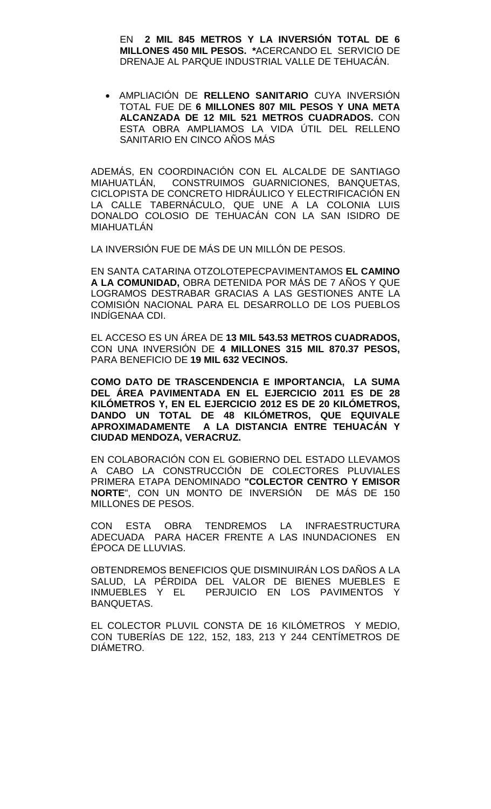EN **2 MIL 845 METROS Y LA INVERSIÓN TOTAL DE 6 MILLONES 450 MIL PESOS. \***ACERCANDO EL SERVICIO DE DRENAJE AL PARQUE INDUSTRIAL VALLE DE TEHUACÁN.

• AMPLIACIÓN DE **RELLENO SANITARIO** CUYA INVERSIÓN TOTAL FUE DE **6 MILLONES 807 MIL PESOS Y UNA META ALCANZADA DE 12 MIL 521 METROS CUADRADOS.** CON ESTA OBRA AMPLIAMOS LA VIDA ÚTIL DEL RELLENO SANITARIO EN CINCO AÑOS MÁS

ADEMÁS, EN COORDINACIÓN CON EL ALCALDE DE SANTIAGO MIAHUATLÁN, CONSTRUIMOS GUARNICIONES, BANQUETAS, CICLOPISTA DE CONCRETO HIDRÁULICO Y ELECTRIFICACIÓN EN LA CALLE TABERNÁCULO, QUE UNE A LA COLONIA LUIS DONALDO COLOSIO DE TEHUACÁN CON LA SAN ISIDRO DE MIAHUATLÁN

LA INVERSIÓN FUE DE MÁS DE UN MILLÓN DE PESOS.

EN SANTA CATARINA OTZOLOTEPECPAVIMENTAMOS **EL CAMINO A LA COMUNIDAD,** OBRA DETENIDA POR MÁS DE 7 AÑOS Y QUE LOGRAMOS DESTRABAR GRACIAS A LAS GESTIONES ANTE LA COMISIÓN NACIONAL PARA EL DESARROLLO DE LOS PUEBLOS INDÍGENAA CDI.

EL ACCESO ES UN ÁREA DE **13 MIL 543.53 METROS CUADRADOS,**  CON UNA INVERSIÓN DE **4 MILLONES 315 MIL 870.37 PESOS,**  PARA BENEFICIO DE **19 MIL 632 VECINOS.** 

**COMO DATO DE TRASCENDENCIA E IMPORTANCIA, LA SUMA DEL ÁREA PAVIMENTADA EN EL EJERCICIO 2011 ES DE 28 KILÓMETROS Y, EN EL EJERCICIO 2012 ES DE 20 KILÓMETROS, DANDO UN TOTAL DE 48 KILÓMETROS, QUE EQUIVALE APROXIMADAMENTE A LA DISTANCIA ENTRE TEHUACÁN Y CIUDAD MENDOZA, VERACRUZ.**

EN COLABORACIÓN CON EL GOBIERNO DEL ESTADO LLEVAMOS A CABO LA CONSTRUCCIÓN DE COLECTORES PLUVIALES PRIMERA ETAPA DENOMINADO **"COLECTOR CENTRO Y EMISOR NORTE**", CON UN MONTO DE INVERSIÓN DE MÁS DE 150 MILLONES DE PESOS.

CON ESTA OBRA TENDREMOS LA INFRAESTRUCTURA ADECUADA PARA HACER FRENTE A LAS INUNDACIONES EN ÉPOCA DE LLUVIAS.

OBTENDREMOS BENEFICIOS QUE DISMINUIRÁN LOS DAÑOS A LA SALUD, LA PÉRDIDA DEL VALOR DE BIENES MUEBLES E INMUEBLES Y EL PERJUICIO EN LOS PAVIMENTOS Y BANQUETAS.

EL COLECTOR PLUVIL CONSTA DE 16 KILÓMETROS Y MEDIO, CON TUBERÍAS DE 122, 152, 183, 213 Y 244 CENTÍMETROS DE DIÁMETRO.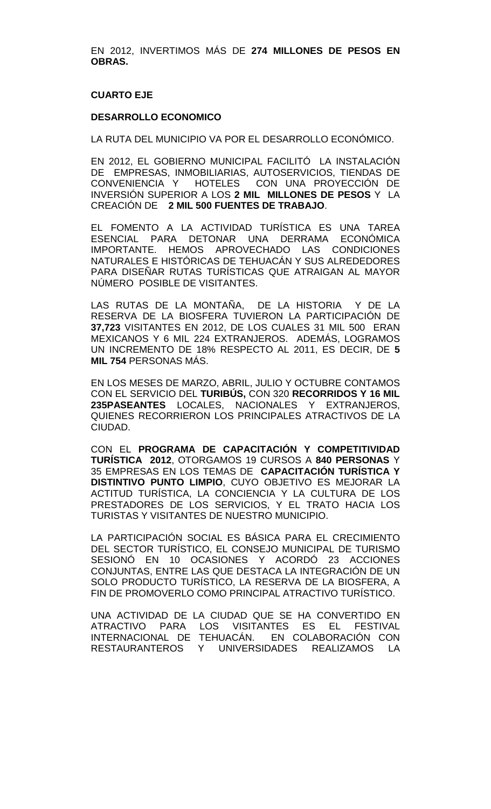EN 2012, INVERTIMOS MÁS DE **274 MILLONES DE PESOS EN OBRAS.** 

# **CUARTO EJE**

#### **DESARROLLO ECONOMICO**

LA RUTA DEL MUNICIPIO VA POR EL DESARROLLO ECONÓMICO.

EN 2012, EL GOBIERNO MUNICIPAL FACILITÓ LA INSTALACIÓN DE EMPRESAS, INMOBILIARIAS, AUTOSERVICIOS, TIENDAS DE CONVENIENCIA Y HOTELES CON UNA PROYECCIÓN DE INVERSIÓN SUPERIOR A LOS **2 MIL MILLONES DE PESOS** Y LA CREACIÓN DE **2 MIL 500 FUENTES DE TRABAJO**.

EL FOMENTO A LA ACTIVIDAD TURÍSTICA ES UNA TAREA ESENCIAL PARA DETONAR UNA DERRAMA ECONÓMICA IMPORTANTE. HEMOS APROVECHADO LAS CONDICIONES NATURALES E HISTÓRICAS DE TEHUACÁN Y SUS ALREDEDORES PARA DISEÑAR RUTAS TURÍSTICAS QUE ATRAIGAN AL MAYOR NÚMERO POSIBLE DE VISITANTES.

LAS RUTAS DE LA MONTAÑA, DE LA HISTORIA Y DE LA RESERVA DE LA BIOSFERA TUVIERON LA PARTICIPACIÓN DE **37,723** VISITANTES EN 2012, DE LOS CUALES 31 MIL 500 ERAN MEXICANOS Y 6 MIL 224 EXTRANJEROS. ADEMÁS, LOGRAMOS UN INCREMENTO DE 18% RESPECTO AL 2011, ES DECIR, DE **5 MIL 754** PERSONAS MÁS.

EN LOS MESES DE MARZO, ABRIL, JULIO Y OCTUBRE CONTAMOS CON EL SERVICIO DEL **TURIBÚS,** CON 320 **RECORRIDOS Y 16 MIL 235PASEANTES** LOCALES, NACIONALES Y EXTRANJEROS, QUIENES RECORRIERON LOS PRINCIPALES ATRACTIVOS DE LA CIUDAD.

CON EL **PROGRAMA DE CAPACITACIÓN Y COMPETITIVIDAD TURÍSTICA 2012**, OTORGAMOS 19 CURSOS A **840 PERSONAS** Y 35 EMPRESAS EN LOS TEMAS DE **CAPACITACIÓN TURÍSTICA Y DISTINTIVO PUNTO LIMPIO**, CUYO OBJETIVO ES MEJORAR LA ACTITUD TURÍSTICA, LA CONCIENCIA Y LA CULTURA DE LOS PRESTADORES DE LOS SERVICIOS, Y EL TRATO HACIA LOS TURISTAS Y VISITANTES DE NUESTRO MUNICIPIO.

LA PARTICIPACIÓN SOCIAL ES BÁSICA PARA EL CRECIMIENTO DEL SECTOR TURÍSTICO, EL CONSEJO MUNICIPAL DE TURISMO SESIONÓ EN 10 OCASIONES Y ACORDÓ 23 ACCIONES CONJUNTAS, ENTRE LAS QUE DESTACA LA INTEGRACIÓN DE UN SOLO PRODUCTO TURÍSTICO, LA RESERVA DE LA BIOSFERA, A FIN DE PROMOVERLO COMO PRINCIPAL ATRACTIVO TURÍSTICO.

UNA ACTIVIDAD DE LA CIUDAD QUE SE HA CONVERTIDO EN ATRACTIVO PARA LOS VISITANTES ES EL FESTIVAL INTERNACIONAL DE TEHUACÁN. EN COLABORACIÓN CON RESTAURANTEROS Y UNIVERSIDADES REALIZAMOS LA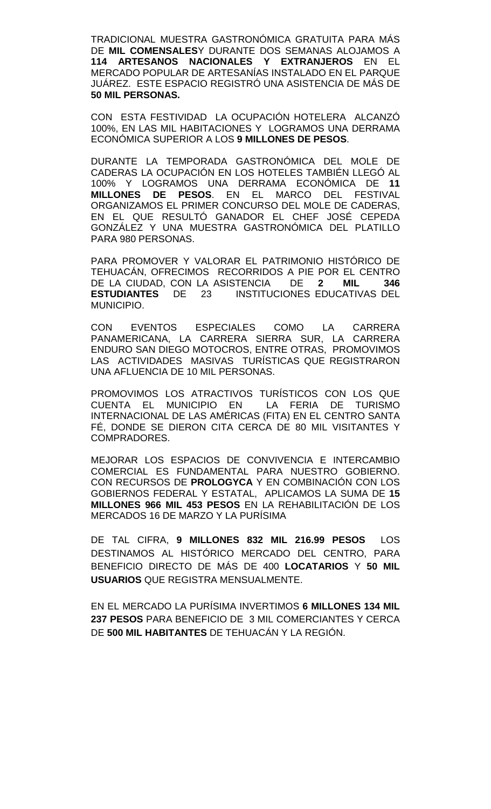TRADICIONAL MUESTRA GASTRONÓMICA GRATUITA PARA MÁS DE **MIL COMENSALES**Y DURANTE DOS SEMANAS ALOJAMOS A **114 ARTESANOS NACIONALES Y EXTRANJEROS** EN EL MERCADO POPULAR DE ARTESANÍAS INSTALADO EN EL PARQUE JUÁREZ. ESTE ESPACIO REGISTRÓ UNA ASISTENCIA DE MÁS DE **50 MIL PERSONAS.**

CON ESTA FESTIVIDAD LA OCUPACIÓN HOTELERA ALCANZÓ 100%, EN LAS MIL HABITACIONES Y LOGRAMOS UNA DERRAMA ECONÓMICA SUPERIOR A LOS **9 MILLONES DE PESOS**.

DURANTE LA TEMPORADA GASTRONÓMICA DEL MOLE DE CADERAS LA OCUPACIÓN EN LOS HOTELES TAMBIÉN LLEGÓ AL 100% Y LOGRAMOS UNA DERRAMA ECONÓMICA DE **11 MILLONES DE PESOS**. EN EL MARCO DEL FESTIVAL ORGANIZAMOS EL PRIMER CONCURSO DEL MOLE DE CADERAS, EN EL QUE RESULTÓ GANADOR EL CHEF JOSÉ CEPEDA GONZÁLEZ Y UNA MUESTRA GASTRONÓMICA DEL PLATILLO PARA 980 PERSONAS.

PARA PROMOVER Y VALORAR EL PATRIMONIO HISTÓRICO DE TEHUACÁN, OFRECIMOS RECORRIDOS A PIE POR EL CENTRO DE LA CIUDAD, CON LA ASISTENCIA DE **2 MIL 346 ESTUDIANTES** DE 23 INSTITUCIONES EDUCATIVAS DEL MUNICIPIO.

CON EVENTOS ESPECIALES COMO LA CARRERA PANAMERICANA, LA CARRERA SIERRA SUR, LA CARRERA ENDURO SAN DIEGO MOTOCROS, ENTRE OTRAS, PROMOVIMOS LAS ACTIVIDADES MASIVAS TURÍSTICAS QUE REGISTRARON UNA AFLUENCIA DE 10 MIL PERSONAS.

PROMOVIMOS LOS ATRACTIVOS TURÍSTICOS CON LOS QUE CUENTA EL MUNICIPIO EN INTERNACIONAL DE LAS AMÉRICAS (FITA) EN EL CENTRO SANTA FÉ, DONDE SE DIERON CITA CERCA DE 80 MIL VISITANTES Y COMPRADORES.

MEJORAR LOS ESPACIOS DE CONVIVENCIA E INTERCAMBIO COMERCIAL ES FUNDAMENTAL PARA NUESTRO GOBIERNO. CON RECURSOS DE **PROLOGYCA** Y EN COMBINACIÓN CON LOS GOBIERNOS FEDERAL Y ESTATAL, APLICAMOS LA SUMA DE **15 MILLONES 966 MIL 453 PESOS** EN LA REHABILITACIÓN DE LOS MERCADOS 16 DE MARZO Y LA PURÍSIMA

DE TAL CIFRA, **9 MILLONES 832 MIL 216.99 PESOS** LOS DESTINAMOS AL HISTÓRICO MERCADO DEL CENTRO, PARA BENEFICIO DIRECTO DE MÁS DE 400 **LOCATARIOS** Y **50 MIL USUARIOS** QUE REGISTRA MENSUALMENTE.

EN EL MERCADO LA PURÍSIMA INVERTIMOS **6 MILLONES 134 MIL 237 PESOS** PARA BENEFICIO DE 3 MIL COMERCIANTES Y CERCA DE **500 MIL HABITANTES** DE TEHUACÁN Y LA REGIÓN.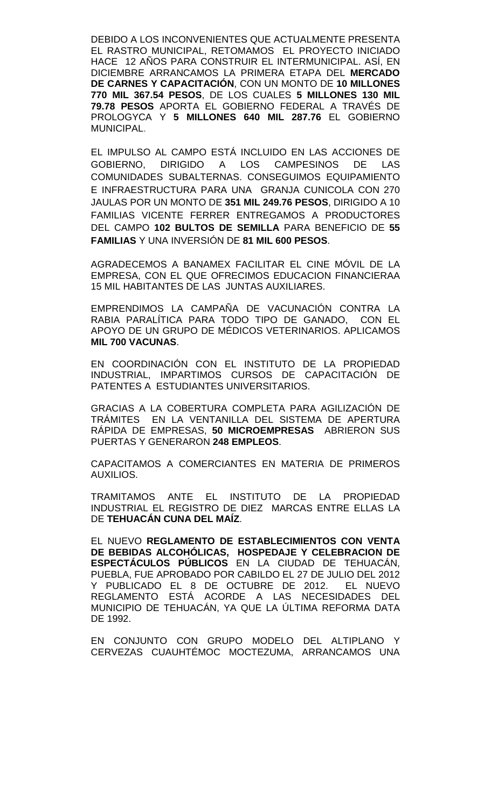DEBIDO A LOS INCONVENIENTES QUE ACTUALMENTE PRESENTA EL RASTRO MUNICIPAL, RETOMAMOS EL PROYECTO INICIADO HACE 12 AÑOS PARA CONSTRUIR EL INTERMUNICIPAL. ASÍ, EN DICIEMBRE ARRANCAMOS LA PRIMERA ETAPA DEL **MERCADO DE CARNES Y CAPACITACIÓN**, CON UN MONTO DE **10 MILLONES 770 MIL 367.54 PESOS**, DE LOS CUALES **5 MILLONES 130 MIL 79.78 PESOS** APORTA EL GOBIERNO FEDERAL A TRAVÉS DE PROLOGYCA Y **5 MILLONES 640 MIL 287.76** EL GOBIERNO MUNICIPAL.

EL IMPULSO AL CAMPO ESTÁ INCLUIDO EN LAS ACCIONES DE GOBIERNO, DIRIGIDO A LOS CAMPESINOS DE LAS COMUNIDADES SUBALTERNAS. CONSEGUIMOS EQUIPAMIENTO E INFRAESTRUCTURA PARA UNA GRANJA CUNICOLA CON 270 JAULAS POR UN MONTO DE **351 MIL 249.76 PESOS**, DIRIGIDO A 10 FAMILIAS VICENTE FERRER ENTREGAMOS A PRODUCTORES DEL CAMPO **102 BULTOS DE SEMILLA** PARA BENEFICIO DE **55 FAMILIAS** Y UNA INVERSIÓN DE **81 MIL 600 PESOS**.

AGRADECEMOS A BANAMEX FACILITAR EL CINE MÓVIL DE LA EMPRESA, CON EL QUE OFRECIMOS EDUCACION FINANCIERAA 15 MIL HABITANTES DE LAS JUNTAS AUXILIARES.

EMPRENDIMOS LA CAMPAÑA DE VACUNACIÓN CONTRA LA RABIA PARALÍTICA PARA TODO TIPO DE GANADO, CON EL APOYO DE UN GRUPO DE MÉDICOS VETERINARIOS. APLICAMOS **MIL 700 VACUNAS**.

EN COORDINACIÓN CON EL INSTITUTO DE LA PROPIEDAD INDUSTRIAL, IMPARTIMOS CURSOS DE CAPACITACIÓN DE PATENTES A ESTUDIANTES UNIVERSITARIOS.

GRACIAS A LA COBERTURA COMPLETA PARA AGILIZACIÓN DE TRÁMITES EN LA VENTANILLA DEL SISTEMA DE APERTURA RÁPIDA DE EMPRESAS, **50 MICROEMPRESAS** ABRIERON SUS PUERTAS Y GENERARON **248 EMPLEOS**.

CAPACITAMOS A COMERCIANTES EN MATERIA DE PRIMEROS AUXILIOS.

TRAMITAMOS ANTE EL INSTITUTO DE LA PROPIEDAD INDUSTRIAL EL REGISTRO DE DIEZ MARCAS ENTRE ELLAS LA DE **TEHUACÁN CUNA DEL MAÍZ**.

EL NUEVO **REGLAMENTO DE ESTABLECIMIENTOS CON VENTA DE BEBIDAS ALCOHÓLICAS, HOSPEDAJE Y CELEBRACION DE ESPECTÁCULOS PÚBLICOS** EN LA CIUDAD DE TEHUACÁN, PUEBLA, FUE APROBADO POR CABILDO EL 27 DE JULIO DEL 2012 Y PUBLICADO EL 8 DE OCTUBRE DE 2012. EL NUEVO REGLAMENTO ESTÁ ACORDE A LAS NECESIDADES DEL MUNICIPIO DE TEHUACÁN, YA QUE LA ÚLTIMA REFORMA DATA DE 1992.

EN CONJUNTO CON GRUPO MODELO DEL ALTIPLANO Y CERVEZAS CUAUHTÉMOC MOCTEZUMA, ARRANCAMOS UNA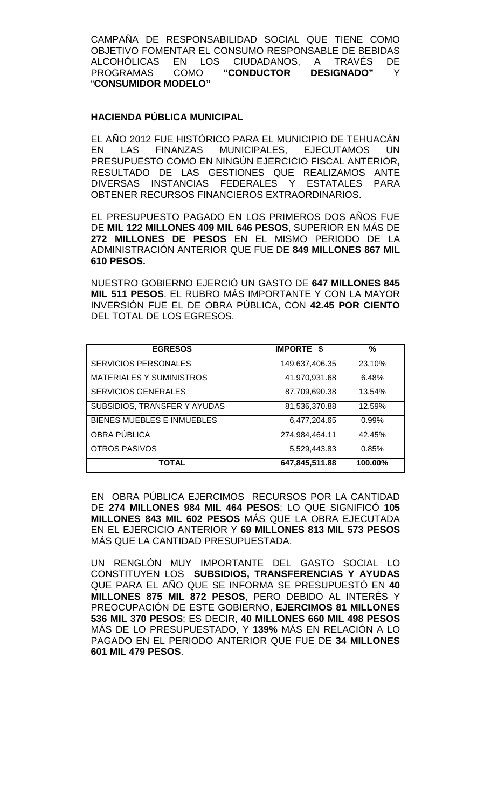CAMPAÑA DE RESPONSABILIDAD SOCIAL QUE TIENE COMO OBJETIVO FOMENTAR EL CONSUMO RESPONSABLE DE BEBIDAS ALCOHÓLICAS EN LOS CIUDADANOS, A TRAVÉS DE<br>PROGRAMAS COMO "**CONDUCTOR DESIGNADO**" Y PROGRAMAS COMO **"CONDUCTOR DESIGNADO"** Y "**CONSUMIDOR MODELO"**

### **HACIENDA PÚBLICA MUNICIPAL**

EL AÑO 2012 FUE HISTÓRICO PARA EL MUNICIPIO DE TEHUACÁN EN LAS FINANZAS MUNICIPALES, EJECUTAMOS UN PRESUPUESTO COMO EN NINGÚN EJERCICIO FISCAL ANTERIOR, RESULTADO DE LAS GESTIONES QUE REALIZAMOS ANTE DIVERSAS INSTANCIAS FEDERALES Y ESTATALES PARA OBTENER RECURSOS FINANCIEROS EXTRAORDINARIOS.

EL PRESUPUESTO PAGADO EN LOS PRIMEROS DOS AÑOS FUE DE **MIL 122 MILLONES 409 MIL 646 PESOS**, SUPERIOR EN MÁS DE **272 MILLONES DE PESOS** EN EL MISMO PERIODO DE LA ADMINISTRACIÓN ANTERIOR QUE FUE DE **849 MILLONES 867 MIL 610 PESOS.** 

NUESTRO GOBIERNO EJERCIÓ UN GASTO DE **647 MILLONES 845 MIL 511 PESOS**. EL RUBRO MÁS IMPORTANTE Y CON LA MAYOR INVERSIÓN FUE EL DE OBRA PÚBLICA, CON **42.45 POR CIENTO** DEL TOTAL DE LOS EGRESOS.

| <b>EGRESOS</b>                  | <b>IMPORTE \$</b> | %       |
|---------------------------------|-------------------|---------|
| <b>SERVICIOS PERSONALES</b>     | 149,637,406.35    | 23.10%  |
| <b>MATERIALES Y SUMINISTROS</b> | 41,970,931.68     | 6.48%   |
| <b>SERVICIOS GENERALES</b>      | 87,709,690.38     | 13.54%  |
| SUBSIDIOS, TRANSFER Y AYUDAS    | 81,536,370.88     | 12.59%  |
| BIENES MUEBLES E INMUEBLES      | 6,477,204.65      | 0.99%   |
| OBRA PÚBLICA                    | 274,984,464.11    | 42.45%  |
| <b>OTROS PASIVOS</b>            | 5,529,443.83      | 0.85%   |
| <b>TOTAL</b>                    | 647,845,511.88    | 100.00% |

EN OBRA PÚBLICA EJERCIMOS RECURSOS POR LA CANTIDAD DE **274 MILLONES 984 MIL 464 PESOS**; LO QUE SIGNIFICÓ **105 MILLONES 843 MIL 602 PESOS** MÁS QUE LA OBRA EJECUTADA EN EL EJERCICIO ANTERIOR Y **69 MILLONES 813 MIL 573 PESOS** MÁS QUE LA CANTIDAD PRESUPUESTADA.

UN RENGLÓN MUY IMPORTANTE DEL GASTO SOCIAL LO CONSTITUYEN LOS **SUBSIDIOS, TRANSFERENCIAS Y AYUDAS** QUE PARA EL AÑO QUE SE INFORMA SE PRESUPUESTÓ EN **40 MILLONES 875 MIL 872 PESOS**, PERO DEBIDO AL INTERÉS Y PREOCUPACIÓN DE ESTE GOBIERNO, **EJERCIMOS 81 MILLONES 536 MIL 370 PESOS**; ES DECIR, **40 MILLONES 660 MIL 498 PESOS** MÁS DE LO PRESUPUESTADO, Y **139%** MÁS EN RELACIÓN A LO PAGADO EN EL PERIODO ANTERIOR QUE FUE DE **34 MILLONES 601 MIL 479 PESOS**.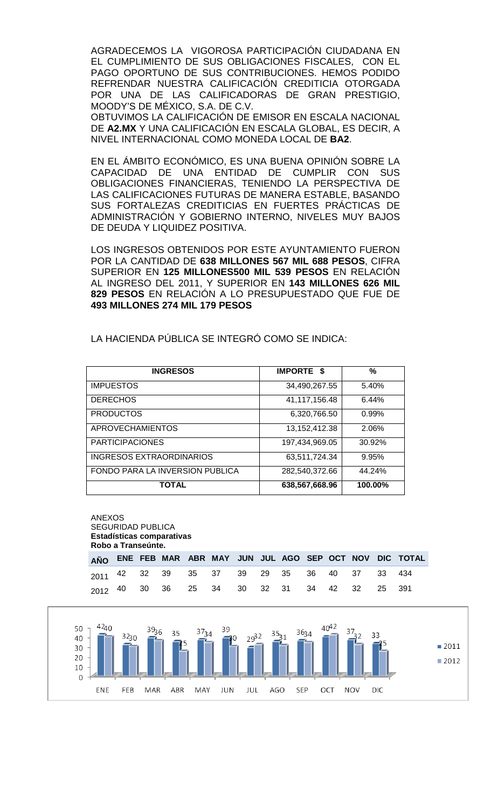AGRADECEMOS LA VIGOROSA PARTICIPACIÓN CIUDADANA EN EL CUMPLIMIENTO DE SUS OBLIGACIONES FISCALES, CON EL PAGO OPORTUNO DE SUS CONTRIBUCIONES. HEMOS PODIDO REFRENDAR NUESTRA CALIFICACIÓN CREDITICIA OTORGADA POR UNA DE LAS CALIFICADORAS DE GRAN PRESTIGIO, MOODY'S DE MÉXICO, S.A. DE C.V.

OBTUVIMOS LA CALIFICACIÓN DE EMISOR EN ESCALA NACIONAL DE **A2.MX** Y UNA CALIFICACIÓN EN ESCALA GLOBAL, ES DECIR, A NIVEL INTERNACIONAL COMO MONEDA LOCAL DE **BA2**.

EN EL ÁMBITO ECONÓMICO, ES UNA BUENA OPINIÓN SOBRE LA CAPACIDAD DE UNA ENTIDAD DE CUMPLIR CON SUS OBLIGACIONES FINANCIERAS, TENIENDO LA PERSPECTIVA DE LAS CALIFICACIONES FUTURAS DE MANERA ESTABLE, BASANDO SUS FORTALEZAS CREDITICIAS EN FUERTES PRÁCTICAS DE ADMINISTRACIÓN Y GOBIERNO INTERNO, NIVELES MUY BAJOS DE DEUDA Y LIQUIDEZ POSITIVA.

LOS INGRESOS OBTENIDOS POR ESTE AYUNTAMIENTO FUERON POR LA CANTIDAD DE **638 MILLONES 567 MIL 688 PESOS**, CIFRA SUPERIOR EN **125 MILLONES500 MIL 539 PESOS** EN RELACIÓN AL INGRESO DEL 2011, Y SUPERIOR EN **143 MILLONES 626 MIL 829 PESOS** EN RELACIÓN A LO PRESUPUESTADO QUE FUE DE **493 MILLONES 274 MIL 179 PESOS**

| <b>INGRESOS</b>                 | <b>IMPORTE \$</b> | %        |
|---------------------------------|-------------------|----------|
| <b>IMPUESTOS</b>                | 34,490,267.55     | 5.40%    |
| <b>DERECHOS</b>                 | 41,117,156.48     | 6.44%    |
| <b>PRODUCTOS</b>                | 6,320,766.50      | $0.99\%$ |
| <b>APROVECHAMIENTOS</b>         | 13, 152, 412. 38  | 2.06%    |
| <b>PARTICIPACIONES</b>          | 197,434,969.05    | 30.92%   |
| <b>INGRESOS EXTRAORDINARIOS</b> | 63,511,724.34     | 9.95%    |
| FONDO PARA LA INVERSION PUBLICA | 282,540,372.66    | 44.24%   |
| TOTAL                           | 638,567,668.96    | 100.00%  |

LA HACIENDA PÚBLICA SE INTEGRÓ COMO SE INDICA:

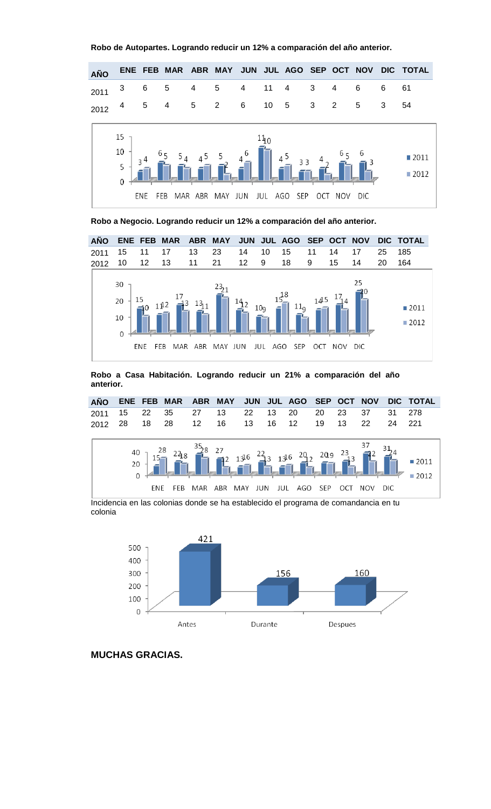



**Robo a Negocio. Logrando reducir un 12% a comparación del año anterior.**



**Robo a Casa Habitación. Logrando reducir un 21% a comparación del año anterior.**



Incidencia en las colonias donde se ha establecido el programa de comandancia en tu colonia



**MUCHAS GRACIAS.**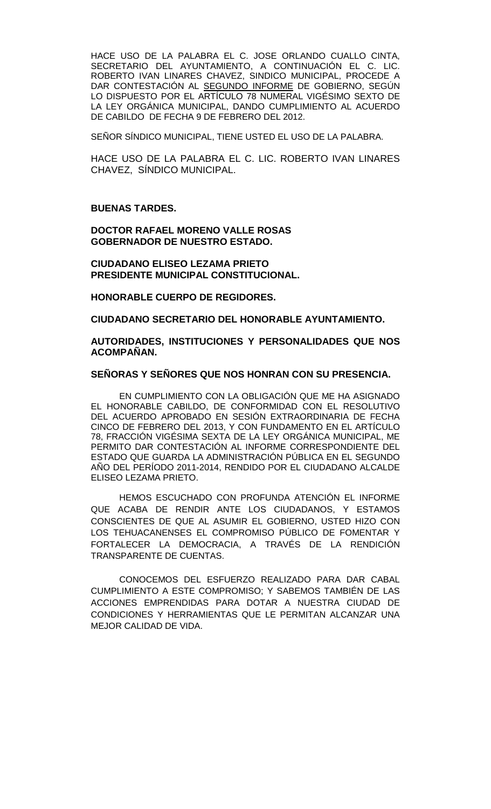HACE USO DE LA PALABRA EL C. JOSE ORLANDO CUALLO CINTA, SECRETARIO DEL AYUNTAMIENTO, A CONTINUACIÓN EL C. LIC. ROBERTO IVAN LINARES CHAVEZ, SINDICO MUNICIPAL, PROCEDE A DAR CONTESTACIÓN AL SEGUNDO INFORME DE GOBIERNO, SEGÚN LO DISPUESTO POR EL ARTÍCULO 78 NUMERAL VIGÉSIMO SEXTO DE LA LEY ORGÁNICA MUNICIPAL, DANDO CUMPLIMIENTO AL ACUERDO DE CABILDO DE FECHA 9 DE FEBRERO DEL 2012.

SEÑOR SÍNDICO MUNICIPAL, TIENE USTED EL USO DE LA PALABRA.

HACE USO DE LA PALABRA EL C. LIC. ROBERTO IVAN LINARES CHAVEZ, SÍNDICO MUNICIPAL.

#### **BUENAS TARDES.**

**DOCTOR RAFAEL MORENO VALLE ROSAS GOBERNADOR DE NUESTRO ESTADO.**

**CIUDADANO ELISEO LEZAMA PRIETO PRESIDENTE MUNICIPAL CONSTITUCIONAL.**

**HONORABLE CUERPO DE REGIDORES.**

**CIUDADANO SECRETARIO DEL HONORABLE AYUNTAMIENTO.**

**AUTORIDADES, INSTITUCIONES Y PERSONALIDADES QUE NOS ACOMPAÑAN.**

#### **SEÑORAS Y SEÑORES QUE NOS HONRAN CON SU PRESENCIA.**

EN CUMPLIMIENTO CON LA OBLIGACIÓN QUE ME HA ASIGNADO EL HONORABLE CABILDO, DE CONFORMIDAD CON EL RESOLUTIVO DEL ACUERDO APROBADO EN SESIÓN EXTRAORDINARIA DE FECHA CINCO DE FEBRERO DEL 2013, Y CON FUNDAMENTO EN EL ARTÍCULO 78, FRACCIÓN VIGÉSIMA SEXTA DE LA LEY ORGÁNICA MUNICIPAL, ME PERMITO DAR CONTESTACIÓN AL INFORME CORRESPONDIENTE DEL ESTADO QUE GUARDA LA ADMINISTRACIÓN PÚBLICA EN EL SEGUNDO AÑO DEL PERÍODO 2011-2014, RENDIDO POR EL CIUDADANO ALCALDE ELISEO LEZAMA PRIETO.

HEMOS ESCUCHADO CON PROFUNDA ATENCIÓN EL INFORME QUE ACABA DE RENDIR ANTE LOS CIUDADANOS, Y ESTAMOS CONSCIENTES DE QUE AL ASUMIR EL GOBIERNO, USTED HIZO CON LOS TEHUACANENSES EL COMPROMISO PÚBLICO DE FOMENTAR Y FORTALECER LA DEMOCRACIA, A TRAVÉS DE LA RENDICIÓN TRANSPARENTE DE CUENTAS.

CONOCEMOS DEL ESFUERZO REALIZADO PARA DAR CABAL CUMPLIMIENTO A ESTE COMPROMISO; Y SABEMOS TAMBIÉN DE LAS ACCIONES EMPRENDIDAS PARA DOTAR A NUESTRA CIUDAD DE CONDICIONES Y HERRAMIENTAS QUE LE PERMITAN ALCANZAR UNA MEJOR CALIDAD DE VIDA.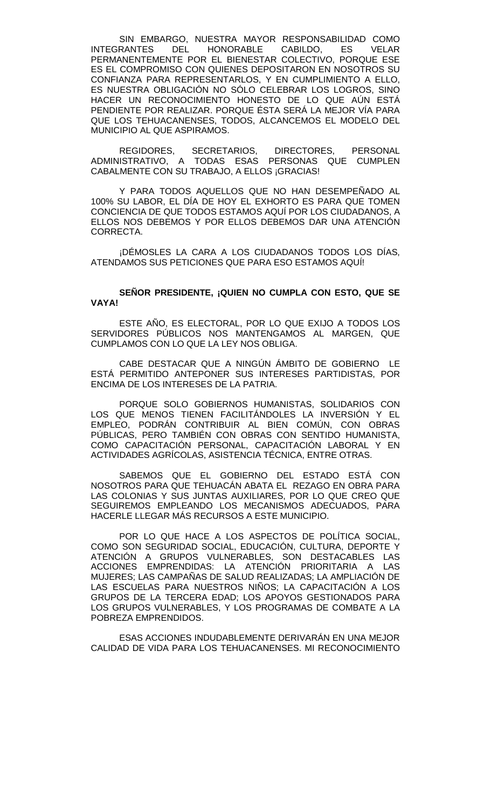SIN EMBARGO, NUESTRA MAYOR RESPONSABILIDAD COMO<br>RANTES DEL HONORABLE CABILDO. ES VELAR **INTEGRANTES** PERMANENTEMENTE POR EL BIENESTAR COLECTIVO, PORQUE ESE ES EL COMPROMISO CON QUIENES DEPOSITARON EN NOSOTROS SU CONFIANZA PARA REPRESENTARLOS, Y EN CUMPLIMIENTO A ELLO, ES NUESTRA OBLIGACIÓN NO SÓLO CELEBRAR LOS LOGROS, SINO HACER UN RECONOCIMIENTO HONESTO DE LO QUE AÚN ESTÁ PENDIENTE POR REALIZAR. PORQUE ÉSTA SERÁ LA MEJOR VÍA PARA QUE LOS TEHUACANENSES, TODOS, ALCANCEMOS EL MODELO DEL MUNICIPIO AL QUE ASPIRAMOS.

REGIDORES, SECRETARIOS, DIRECTORES, PERSONAL ADMINISTRATIVO, A TODAS ESAS PERSONAS QUE CUMPLEN CABALMENTE CON SU TRABAJO, A ELLOS ¡GRACIAS!

Y PARA TODOS AQUELLOS QUE NO HAN DESEMPEÑADO AL 100% SU LABOR, EL DÍA DE HOY EL EXHORTO ES PARA QUE TOMEN CONCIENCIA DE QUE TODOS ESTAMOS AQUÍ POR LOS CIUDADANOS, A ELLOS NOS DEBEMOS Y POR ELLOS DEBEMOS DAR UNA ATENCIÓN CORRECTA.

¡DÉMOSLES LA CARA A LOS CIUDADANOS TODOS LOS DÍAS, ATENDAMOS SUS PETICIONES QUE PARA ESO ESTAMOS AQUÍ!

#### **SEÑOR PRESIDENTE, ¡QUIEN NO CUMPLA CON ESTO, QUE SE VAYA!**

ESTE AÑO, ES ELECTORAL, POR LO QUE EXIJO A TODOS LOS SERVIDORES PÚBLICOS NOS MANTENGAMOS AL MARGEN, QUE CUMPLAMOS CON LO QUE LA LEY NOS OBLIGA.

CABE DESTACAR QUE A NINGÚN ÁMBITO DE GOBIERNO LE ESTÁ PERMITIDO ANTEPONER SUS INTERESES PARTIDISTAS, POR ENCIMA DE LOS INTERESES DE LA PATRIA.

PORQUE SOLO GOBIERNOS HUMANISTAS, SOLIDARIOS CON LOS QUE MENOS TIENEN FACILITÁNDOLES LA INVERSIÓN Y EL EMPLEO, PODRÁN CONTRIBUIR AL BIEN COMÚN, CON OBRAS PÚBLICAS, PERO TAMBIÉN CON OBRAS CON SENTIDO HUMANISTA, COMO CAPACITACIÓN PERSONAL, CAPACITACIÓN LABORAL Y EN ACTIVIDADES AGRÍCOLAS, ASISTENCIA TÉCNICA, ENTRE OTRAS.

SABEMOS QUE EL GOBIERNO DEL ESTADO ESTÁ CON NOSOTROS PARA QUE TEHUACÁN ABATA EL REZAGO EN OBRA PARA LAS COLONIAS Y SUS JUNTAS AUXILIARES, POR LO QUE CREO QUE SEGUIREMOS EMPLEANDO LOS MECANISMOS ADECUADOS, PARA HACERLE LLEGAR MÁS RECURSOS A ESTE MUNICIPIO.

POR LO QUE HACE A LOS ASPECTOS DE POLÍTICA SOCIAL, COMO SON SEGURIDAD SOCIAL, EDUCACIÓN, CULTURA, DEPORTE Y ATENCIÓN A GRUPOS VULNERABLES, SON DESTACABLES LAS ACCIONES EMPRENDIDAS: LA ATENCIÓN PRIORITARIA A LAS MUJERES; LAS CAMPAÑAS DE SALUD REALIZADAS; LA AMPLIACIÓN DE LAS ESCUELAS PARA NUESTROS NIÑOS; LA CAPACITACIÓN A LOS GRUPOS DE LA TERCERA EDAD; LOS APOYOS GESTIONADOS PARA LOS GRUPOS VULNERABLES, Y LOS PROGRAMAS DE COMBATE A LA POBREZA EMPRENDIDOS.

ESAS ACCIONES INDUDABLEMENTE DERIVARÁN EN UNA MEJOR CALIDAD DE VIDA PARA LOS TEHUACANENSES. MI RECONOCIMIENTO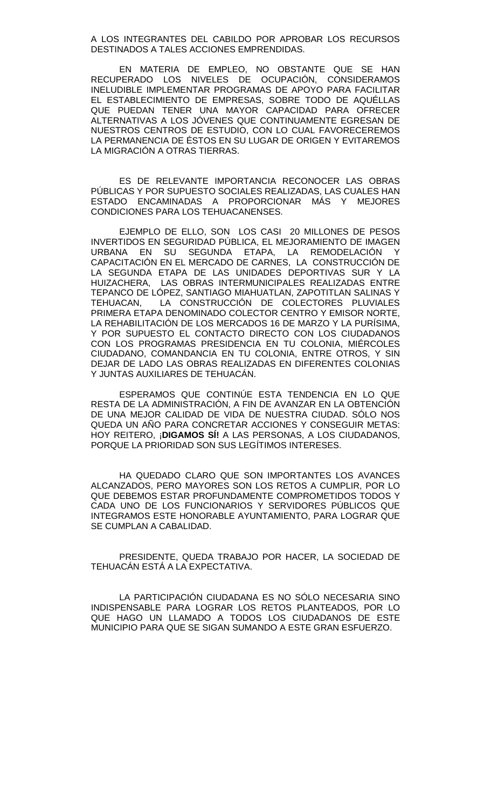A LOS INTEGRANTES DEL CABILDO POR APROBAR LOS RECURSOS DESTINADOS A TALES ACCIONES EMPRENDIDAS.

EN MATERIA DE EMPLEO, NO OBSTANTE QUE SE HAN RECUPERADO LOS NIVELES DE OCUPACIÓN, CONSIDERAMOS INELUDIBLE IMPLEMENTAR PROGRAMAS DE APOYO PARA FACILITAR EL ESTABLECIMIENTO DE EMPRESAS, SOBRE TODO DE AQUÉLLAS QUE PUEDAN TENER UNA MAYOR CAPACIDAD PARA OFRECER ALTERNATIVAS A LOS JÓVENES QUE CONTINUAMENTE EGRESAN DE NUESTROS CENTROS DE ESTUDIO, CON LO CUAL FAVORECEREMOS LA PERMANENCIA DE ÉSTOS EN SU LUGAR DE ORIGEN Y EVITAREMOS LA MIGRACIÓN A OTRAS TIERRAS.

ES DE RELEVANTE IMPORTANCIA RECONOCER LAS OBRAS PÚBLICAS Y POR SUPUESTO SOCIALES REALIZADAS, LAS CUALES HAN ESTADO ENCAMINADAS A PROPORCIONAR MÁS Y MEJORES CONDICIONES PARA LOS TEHUACANENSES.

EJEMPLO DE ELLO, SON LOS CASI 20 MILLONES DE PESOS INVERTIDOS EN SEGURIDAD PÚBLICA, EL MEJORAMIENTO DE IMAGEN<br>URBANA EN SU SEGUNDA ETAPA, LA REMODELACIÓN Y SEGUNDA ETAPA, LA REMODELACIÓN Y CAPACITACIÓN EN EL MERCADO DE CARNES, LA CONSTRUCCIÓN DE LA SEGUNDA ETAPA DE LAS UNIDADES DEPORTIVAS SUR Y LA HUIZACHERA, LAS OBRAS INTERMUNICIPALES REALIZADAS ENTRE TEPANCO DE LÓPEZ, SANTIAGO MIAHUATLAN, ZAPOTITLAN SALINAS Y<br>TEHUACAN. LA CONSTRUCCIÓN DE COLECTORES PLUVIALES LA CONSTRUCCIÓN DE COLECTORES PLUVIALES PRIMERA ETAPA DENOMINADO COLECTOR CENTRO Y EMISOR NORTE, LA REHABILITACIÓN DE LOS MERCADOS 16 DE MARZO Y LA PURÍSIMA, Y POR SUPUESTO EL CONTACTO DIRECTO CON LOS CIUDADANOS CON LOS PROGRAMAS PRESIDENCIA EN TU COLONIA, MIÉRCOLES CIUDADANO, COMANDANCIA EN TU COLONIA, ENTRE OTROS, Y SIN DEJAR DE LADO LAS OBRAS REALIZADAS EN DIFERENTES COLONIAS Y JUNTAS AUXILIARES DE TEHUACÁN.

ESPERAMOS QUE CONTINÚE ESTA TENDENCIA EN LO QUE RESTA DE LA ADMINISTRACIÓN, A FIN DE AVANZAR EN LA OBTENCIÓN DE UNA MEJOR CALIDAD DE VIDA DE NUESTRA CIUDAD. SÓLO NOS QUEDA UN AÑO PARA CONCRETAR ACCIONES Y CONSEGUIR METAS: HOY REITERO, ¡**DIGAMOS SÍ!** A LAS PERSONAS, A LOS CIUDADANOS, PORQUE LA PRIORIDAD SON SUS LEGÍTIMOS INTERESES.

HA QUEDADO CLARO QUE SON IMPORTANTES LOS AVANCES ALCANZADOS, PERO MAYORES SON LOS RETOS A CUMPLIR, POR LO QUE DEBEMOS ESTAR PROFUNDAMENTE COMPROMETIDOS TODOS Y CADA UNO DE LOS FUNCIONARIOS Y SERVIDORES PÚBLICOS QUE INTEGRAMOS ESTE HONORABLE AYUNTAMIENTO, PARA LOGRAR QUE SE CUMPLAN A CABALIDAD.

PRESIDENTE, QUEDA TRABAJO POR HACER, LA SOCIEDAD DE TEHUACÁN ESTÁ A LA EXPECTATIVA.

LA PARTICIPACIÓN CIUDADANA ES NO SÓLO NECESARIA SINO INDISPENSABLE PARA LOGRAR LOS RETOS PLANTEADOS, POR LO QUE HAGO UN LLAMADO A TODOS LOS CIUDADANOS DE ESTE MUNICIPIO PARA QUE SE SIGAN SUMANDO A ESTE GRAN ESFUERZO.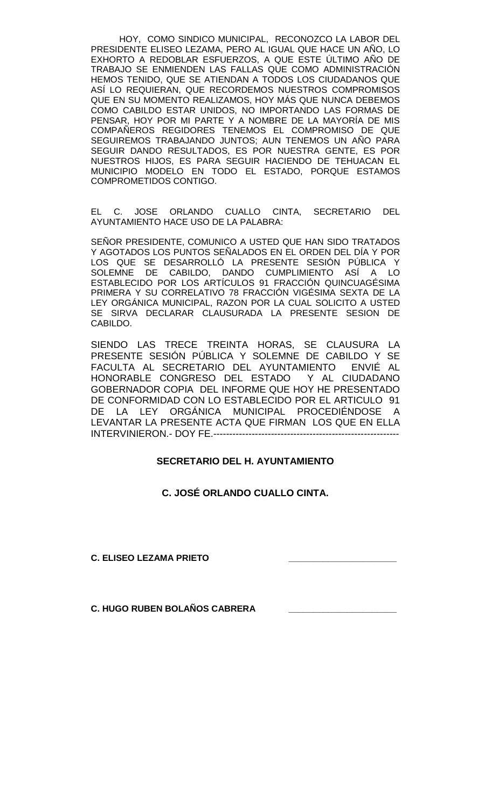HOY, COMO SINDICO MUNICIPAL, RECONOZCO LA LABOR DEL PRESIDENTE ELISEO LEZAMA, PERO AL IGUAL QUE HACE UN AÑO, LO EXHORTO A REDOBLAR ESFUERZOS, A QUE ESTE ÚLTIMO AÑO DE TRABAJO SE ENMIENDEN LAS FALLAS QUE COMO ADMINISTRACIÓN HEMOS TENIDO, QUE SE ATIENDAN A TODOS LOS CIUDADANOS QUE ASÍ LO REQUIERAN, QUE RECORDEMOS NUESTROS COMPROMISOS QUE EN SU MOMENTO REALIZAMOS, HOY MÁS QUE NUNCA DEBEMOS COMO CABILDO ESTAR UNIDOS, NO IMPORTANDO LAS FORMAS DE PENSAR, HOY POR MI PARTE Y A NOMBRE DE LA MAYORÍA DE MIS COMPAÑEROS REGIDORES TENEMOS EL COMPROMISO DE QUE SEGUIREMOS TRABAJANDO JUNTOS; AUN TENEMOS UN AÑO PARA SEGUIR DANDO RESULTADOS, ES POR NUESTRA GENTE, ES POR NUESTROS HIJOS, ES PARA SEGUIR HACIENDO DE TEHUACAN EL MUNICIPIO MODELO EN TODO EL ESTADO, PORQUE ESTAMOS COMPROMETIDOS CONTIGO.

EL C. JOSE ORLANDO CUALLO CINTA, SECRETARIO DEL AYUNTAMIENTO HACE USO DE LA PALABRA:

SEÑOR PRESIDENTE, COMUNICO A USTED QUE HAN SIDO TRATADOS Y AGOTADOS LOS PUNTOS SEÑALADOS EN EL ORDEN DEL DÍA Y POR LOS QUE SE DESARROLLÓ LA PRESENTE SESIÓN PÚBLICA Y SOLEMNE DE CABILDO, DANDO CUMPLIMIENTO ASÍ A LO ESTABLECIDO POR LOS ARTÍCULOS 91 FRACCIÓN QUINCUAGÉSIMA PRIMERA Y SU CORRELATIVO 78 FRACCIÓN VIGÉSIMA SEXTA DE LA LEY ORGÁNICA MUNICIPAL, RAZON POR LA CUAL SOLICITO A USTED SE SIRVA DECLARAR CLAUSURADA LA PRESENTE SESION DE CABILDO.

SIENDO LAS TRECE TREINTA HORAS, SE CLAUSURA LA PRESENTE SESIÓN PÚBLICA Y SOLEMNE DE CABILDO Y SE FACULTA AL SECRETARIO DEL AYUNTAMIENTO ENVIÉ AL HONORABLE CONGRESO DEL ESTADO Y AL CIUDADANO GOBERNADOR COPIA DEL INFORME QUE HOY HE PRESENTADO DE CONFORMIDAD CON LO ESTABLECIDO POR EL ARTICULO 91 DE LA LEY ORGÁNICA MUNICIPAL PROCEDIÉNDOSE A LEVANTAR LA PRESENTE ACTA QUE FIRMAN LOS QUE EN ELLA INTERVINIERON.- DOY FE.----------------------------------------------------------

# **SECRETARIO DEL H. AYUNTAMIENTO**

**C. JOSÉ ORLANDO CUALLO CINTA.**

**C. ELISEO LEZAMA PRIETO \_\_\_\_\_\_\_\_\_\_\_\_\_\_\_\_\_\_\_\_\_\_**

**C. HUGO RUBEN BOLAÑOS CABRERA \_\_\_\_\_\_\_\_\_\_\_\_\_\_\_\_\_\_\_\_\_\_**